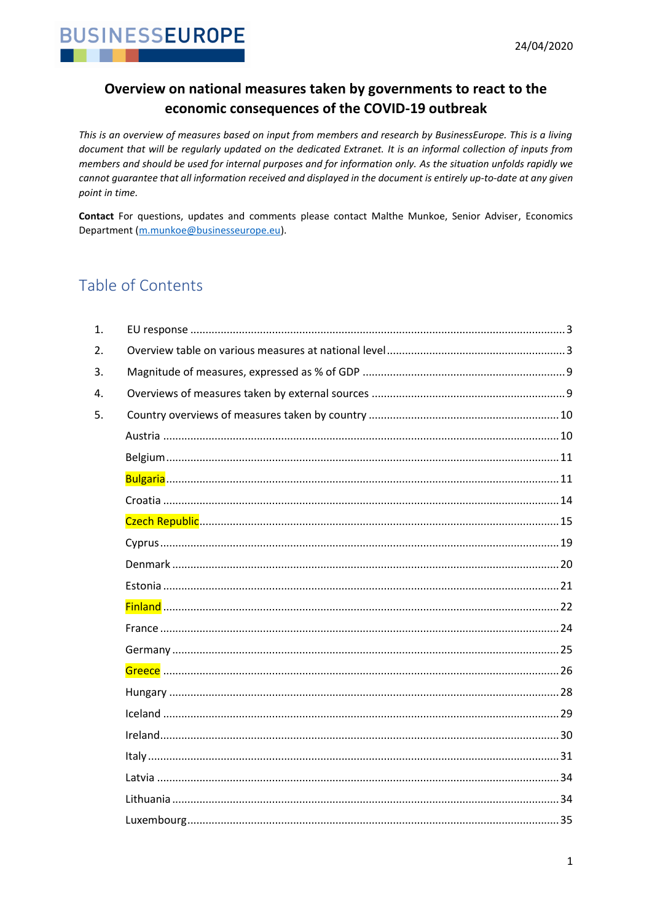

### Overview on national measures taken by governments to react to the economic consequences of the COVID-19 outbreak

This is an overview of measures based on input from members and research by BusinessEurope. This is a living document that will be regularly updated on the dedicated Extranet. It is an informal collection of inputs from members and should be used for internal purposes and for information only. As the situation unfolds rapidly we cannot quarantee that all information received and displayed in the document is entirely up-to-date at any given point in time.

Contact For questions, updates and comments please contact Malthe Munkoe, Senior Adviser, Economics Department (m.munkoe@businesseurope.eu).

## Table of Contents

| $\mathbf{1}$ . |  |
|----------------|--|
| 2.             |  |
| 3.             |  |
| 4.             |  |
| 5.             |  |
|                |  |
|                |  |
|                |  |
|                |  |
|                |  |
|                |  |
|                |  |
|                |  |
|                |  |
|                |  |
|                |  |
|                |  |
|                |  |
|                |  |
|                |  |
|                |  |
|                |  |
|                |  |
|                |  |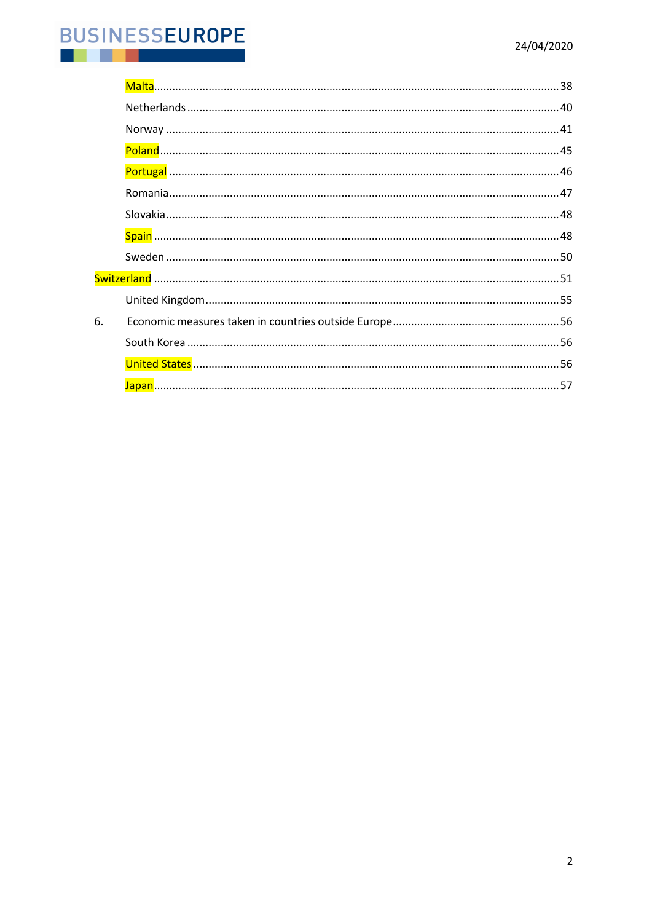#### **BUSINESSEUROPE** IJ m. . .

| 6. |  |
|----|--|
|    |  |
|    |  |
|    |  |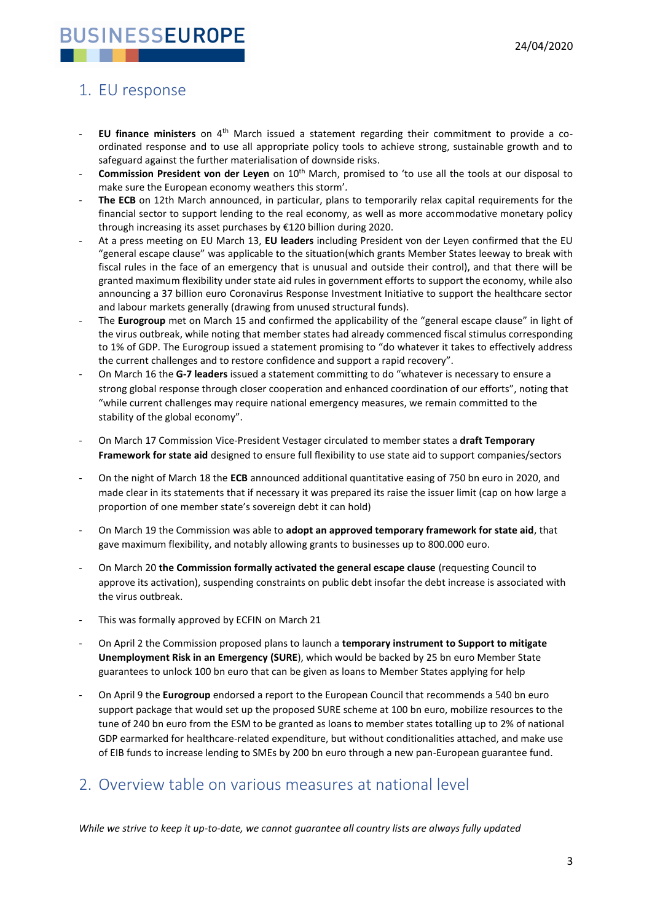### <span id="page-2-0"></span>1. EU response

- **EU finance ministers** on 4th March issued a statement regarding their commitment to provide a coordinated response and to use all appropriate policy tools to achieve strong, sustainable growth and to safeguard against the further materialisation of downside risks.
- Commission President von der Leyen on 10<sup>th</sup> March, promised to 'to use all the tools at our disposal to make sure the European economy weathers this storm'*.*
- **The ECB** on 12th March announced, in particular, plans to temporarily relax capital requirements for the financial sector to support lending to the real economy, as well as more accommodative monetary policy through increasing its asset purchases by €120 billion during 2020.
- At a press meeting on EU March 13, **EU leaders** including President von der Leyen confirmed that the EU "general escape clause" was applicable to the situation(which grants Member States leeway to break with fiscal rules in the face of an emergency that is unusual and outside their control), and that there will be granted maximum flexibility under state aid rules in government efforts to support the economy, while also announcing a 37 billion euro Coronavirus Response Investment Initiative to support the healthcare sector and labour markets generally (drawing from unused structural funds).
- The **Eurogroup** met on March 15 and confirmed the applicability of the "general escape clause" in light of the virus outbreak, while noting that member states had already commenced fiscal stimulus corresponding to 1% of GDP. The Eurogroup issued a statement promising to "do whatever it takes to effectively address the current challenges and to restore confidence and support a rapid recovery".
- On March 16 the **G-7 leaders** issued a statement committing to do "whatever is necessary to ensure a strong global response through closer cooperation and enhanced coordination of our efforts", noting that "while current challenges may require national emergency measures, we remain committed to the stability of the global economy".
- On March 17 Commission Vice-President Vestager circulated to member states a **draft Temporary Framework for state aid** designed to ensure full flexibility to use state aid to support companies/sectors
- On the night of March 18 the **ECB** announced additional quantitative easing of 750 bn euro in 2020, and made clear in its statements that if necessary it was prepared its raise the issuer limit (cap on how large a proportion of one member state's sovereign debt it can hold)
- On March 19 the Commission was able to **adopt an approved temporary framework for state aid**, that gave maximum flexibility, and notably allowing grants to businesses up to 800.000 euro.
- On March 20 **the Commission formally activated the general escape clause** (requesting Council to approve its activation), suspending constraints on public debt insofar the debt increase is associated with the virus outbreak.
- This was formally approved by ECFIN on March 21
- On April 2 the Commission proposed plans to launch a **temporary instrument to Support to mitigate Unemployment Risk in an Emergency (SURE**), which would be backed by 25 bn euro Member State guarantees to unlock 100 bn euro that can be given as loans to Member States applying for help
- On April 9 the **Eurogroup** endorsed a report to the European Council that recommends a 540 bn euro support package that would set up the proposed SURE scheme at 100 bn euro, mobilize resources to the tune of 240 bn euro from the ESM to be granted as loans to member states totalling up to 2% of national GDP earmarked for healthcare-related expenditure, but without conditionalities attached, and make use of EIB funds to increase lending to SMEs by 200 bn euro through a new pan-European guarantee fund.

### <span id="page-2-1"></span>2. Overview table on various measures at national level

*While we strive to keep it up-to-date, we cannot guarantee all country lists are always fully updated*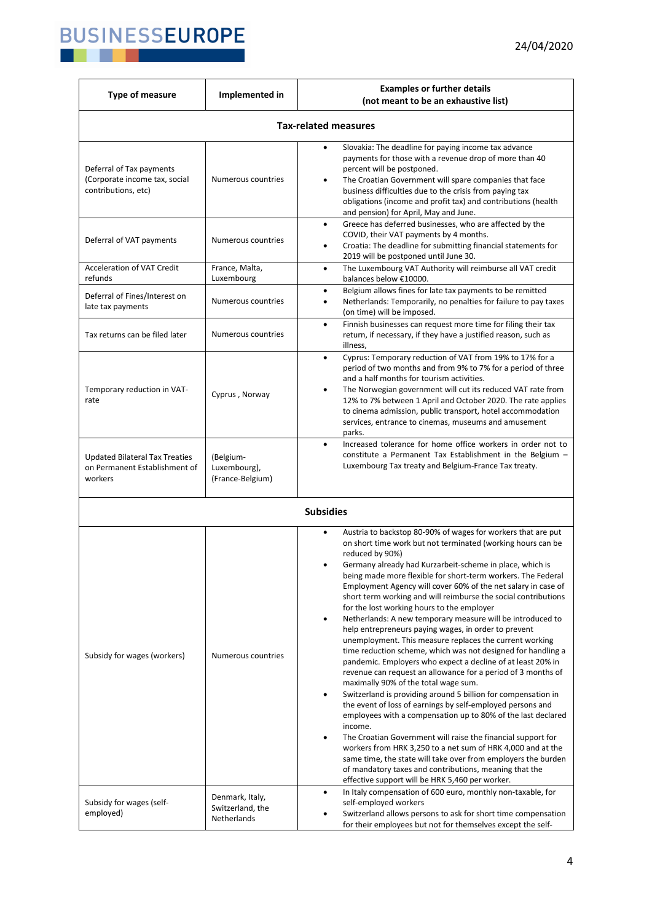

| Type of measure                                                                   | Implemented in                                     | <b>Examples or further details</b><br>(not meant to be an exhaustive list)                                                                                                                                                                                                                                                                                                                                                                                                                                                                                                                                                                                                                                                                                                                                                                                                                                                                                                                                                                                                                                                                                                                                                                                                                                                                                                                                                                                     |  |
|-----------------------------------------------------------------------------------|----------------------------------------------------|----------------------------------------------------------------------------------------------------------------------------------------------------------------------------------------------------------------------------------------------------------------------------------------------------------------------------------------------------------------------------------------------------------------------------------------------------------------------------------------------------------------------------------------------------------------------------------------------------------------------------------------------------------------------------------------------------------------------------------------------------------------------------------------------------------------------------------------------------------------------------------------------------------------------------------------------------------------------------------------------------------------------------------------------------------------------------------------------------------------------------------------------------------------------------------------------------------------------------------------------------------------------------------------------------------------------------------------------------------------------------------------------------------------------------------------------------------------|--|
| <b>Tax-related measures</b>                                                       |                                                    |                                                                                                                                                                                                                                                                                                                                                                                                                                                                                                                                                                                                                                                                                                                                                                                                                                                                                                                                                                                                                                                                                                                                                                                                                                                                                                                                                                                                                                                                |  |
| Deferral of Tax payments<br>(Corporate income tax, social<br>contributions, etc)  | Numerous countries                                 | Slovakia: The deadline for paying income tax advance<br>$\bullet$<br>payments for those with a revenue drop of more than 40<br>percent will be postponed.<br>The Croatian Government will spare companies that face<br>$\bullet$<br>business difficulties due to the crisis from paying tax<br>obligations (income and profit tax) and contributions (health<br>and pension) for April, May and June.                                                                                                                                                                                                                                                                                                                                                                                                                                                                                                                                                                                                                                                                                                                                                                                                                                                                                                                                                                                                                                                          |  |
| Deferral of VAT payments                                                          | Numerous countries                                 | Greece has deferred businesses, who are affected by the<br>$\bullet$<br>COVID, their VAT payments by 4 months.<br>Croatia: The deadline for submitting financial statements for<br>$\bullet$<br>2019 will be postponed until June 30.                                                                                                                                                                                                                                                                                                                                                                                                                                                                                                                                                                                                                                                                                                                                                                                                                                                                                                                                                                                                                                                                                                                                                                                                                          |  |
| Acceleration of VAT Credit<br>refunds                                             | France, Malta,<br>Luxembourg                       | The Luxembourg VAT Authority will reimburse all VAT credit<br>$\bullet$<br>balances below €10000.                                                                                                                                                                                                                                                                                                                                                                                                                                                                                                                                                                                                                                                                                                                                                                                                                                                                                                                                                                                                                                                                                                                                                                                                                                                                                                                                                              |  |
| Deferral of Fines/Interest on<br>late tax payments                                | Numerous countries                                 | Belgium allows fines for late tax payments to be remitted<br>$\bullet$<br>Netherlands: Temporarily, no penalties for failure to pay taxes<br>$\bullet$<br>(on time) will be imposed.                                                                                                                                                                                                                                                                                                                                                                                                                                                                                                                                                                                                                                                                                                                                                                                                                                                                                                                                                                                                                                                                                                                                                                                                                                                                           |  |
| Tax returns can be filed later                                                    | Numerous countries                                 | Finnish businesses can request more time for filing their tax<br>$\bullet$<br>return, if necessary, if they have a justified reason, such as<br>illness,                                                                                                                                                                                                                                                                                                                                                                                                                                                                                                                                                                                                                                                                                                                                                                                                                                                                                                                                                                                                                                                                                                                                                                                                                                                                                                       |  |
| Temporary reduction in VAT-<br>rate                                               | Cyprus, Norway                                     | Cyprus: Temporary reduction of VAT from 19% to 17% for a<br>$\bullet$<br>period of two months and from 9% to 7% for a period of three<br>and a half months for tourism activities.<br>The Norwegian government will cut its reduced VAT rate from<br>12% to 7% between 1 April and October 2020. The rate applies<br>to cinema admission, public transport, hotel accommodation<br>services, entrance to cinemas, museums and amusement<br>parks.                                                                                                                                                                                                                                                                                                                                                                                                                                                                                                                                                                                                                                                                                                                                                                                                                                                                                                                                                                                                              |  |
| <b>Updated Bilateral Tax Treaties</b><br>on Permanent Establishment of<br>workers | (Belgium-<br>Luxembourg),<br>(France-Belgium)      | Increased tolerance for home office workers in order not to<br>$\bullet$<br>constitute a Permanent Tax Establishment in the Belgium -<br>Luxembourg Tax treaty and Belgium-France Tax treaty.                                                                                                                                                                                                                                                                                                                                                                                                                                                                                                                                                                                                                                                                                                                                                                                                                                                                                                                                                                                                                                                                                                                                                                                                                                                                  |  |
|                                                                                   |                                                    | <b>Subsidies</b>                                                                                                                                                                                                                                                                                                                                                                                                                                                                                                                                                                                                                                                                                                                                                                                                                                                                                                                                                                                                                                                                                                                                                                                                                                                                                                                                                                                                                                               |  |
| Subsidy for wages (workers)                                                       | Numerous countries                                 | Austria to backstop 80-90% of wages for workers that are put<br>$\bullet$<br>on short time work but not terminated (working hours can be<br>reduced by 90%)<br>Germany already had Kurzarbeit-scheme in place, which is<br>being made more flexible for short-term workers. The Federal<br>Employment Agency will cover 60% of the net salary in case of<br>short term working and will reimburse the social contributions<br>for the lost working hours to the employer<br>Netherlands: A new temporary measure will be introduced to<br>$\bullet$<br>help entrepreneurs paying wages, in order to prevent<br>unemployment. This measure replaces the current working<br>time reduction scheme, which was not designed for handling a<br>pandemic. Employers who expect a decline of at least 20% in<br>revenue can request an allowance for a period of 3 months of<br>maximally 90% of the total wage sum.<br>Switzerland is providing around 5 billion for compensation in<br>$\bullet$<br>the event of loss of earnings by self-employed persons and<br>employees with a compensation up to 80% of the last declared<br>income.<br>The Croatian Government will raise the financial support for<br>$\bullet$<br>workers from HRK 3,250 to a net sum of HRK 4,000 and at the<br>same time, the state will take over from employers the burden<br>of mandatory taxes and contributions, meaning that the<br>effective support will be HRK 5,460 per worker. |  |
| Subsidy for wages (self-<br>employed)                                             | Denmark, Italy,<br>Switzerland, the<br>Netherlands | In Italy compensation of 600 euro, monthly non-taxable, for<br>$\bullet$<br>self-employed workers<br>Switzerland allows persons to ask for short time compensation<br>for their employees but not for themselves except the self-                                                                                                                                                                                                                                                                                                                                                                                                                                                                                                                                                                                                                                                                                                                                                                                                                                                                                                                                                                                                                                                                                                                                                                                                                              |  |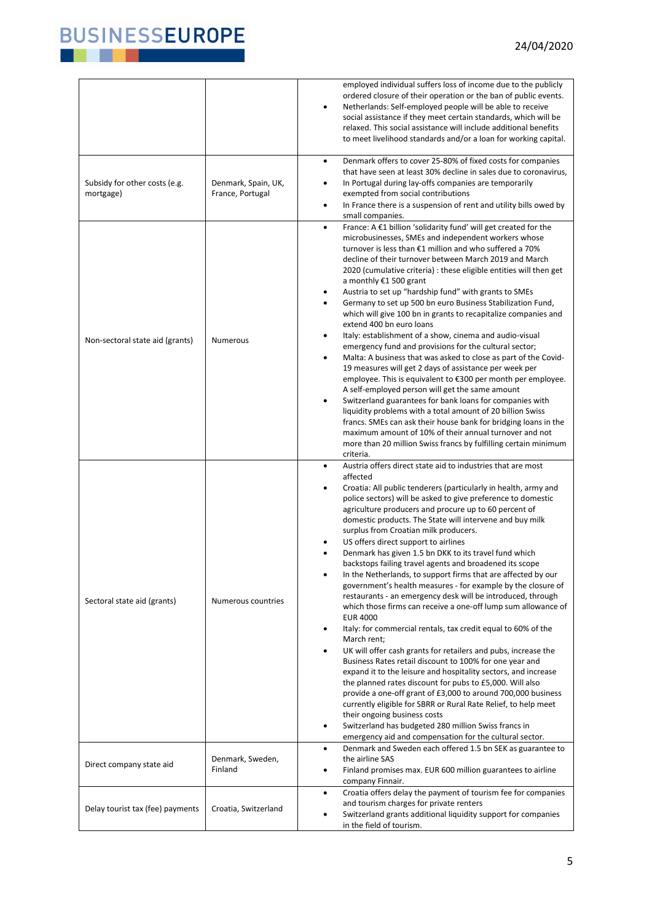

|                                            |                                         | employed individual suffers loss of income due to the publicly<br>ordered closure of their operation or the ban of public events.<br>Netherlands: Self-employed people will be able to receive<br>$\bullet$<br>social assistance if they meet certain standards, which will be<br>relaxed. This social assistance will include additional benefits<br>to meet livelihood standards and/or a loan for working capital.                                                                                                                                                                                                                                                                                                                                                                                                                                                                                                                                                                                                                                                                                                                                                                                                                                                                                                                                                                                                                                                                                                  |
|--------------------------------------------|-----------------------------------------|------------------------------------------------------------------------------------------------------------------------------------------------------------------------------------------------------------------------------------------------------------------------------------------------------------------------------------------------------------------------------------------------------------------------------------------------------------------------------------------------------------------------------------------------------------------------------------------------------------------------------------------------------------------------------------------------------------------------------------------------------------------------------------------------------------------------------------------------------------------------------------------------------------------------------------------------------------------------------------------------------------------------------------------------------------------------------------------------------------------------------------------------------------------------------------------------------------------------------------------------------------------------------------------------------------------------------------------------------------------------------------------------------------------------------------------------------------------------------------------------------------------------|
| Subsidy for other costs (e.g.<br>mortgage) | Denmark, Spain, UK,<br>France, Portugal | Denmark offers to cover 25-80% of fixed costs for companies<br>$\bullet$<br>that have seen at least 30% decline in sales due to coronavirus,<br>In Portugal during lay-offs companies are temporarily<br>$\bullet$<br>exempted from social contributions<br>In France there is a suspension of rent and utility bills owed by<br>$\bullet$<br>small companies.                                                                                                                                                                                                                                                                                                                                                                                                                                                                                                                                                                                                                                                                                                                                                                                                                                                                                                                                                                                                                                                                                                                                                         |
| Non-sectoral state aid (grants)            | <b>Numerous</b>                         | France: A €1 billion 'solidarity fund' will get created for the<br>$\bullet$<br>microbusinesses, SMEs and independent workers whose<br>turnover is less than €1 million and who suffered a 70%<br>decline of their turnover between March 2019 and March<br>2020 (cumulative criteria) : these eligible entities will then get<br>a monthly €1 500 grant<br>Austria to set up "hardship fund" with grants to SMEs<br>$\bullet$<br>Germany to set up 500 bn euro Business Stabilization Fund,<br>$\bullet$<br>which will give 100 bn in grants to recapitalize companies and<br>extend 400 bn euro loans<br>Italy: establishment of a show, cinema and audio-visual<br>$\bullet$<br>emergency fund and provisions for the cultural sector;<br>Malta: A business that was asked to close as part of the Covid-<br>$\bullet$<br>19 measures will get 2 days of assistance per week per<br>employee. This is equivalent to €300 per month per employee.<br>A self-employed person will get the same amount<br>Switzerland guarantees for bank loans for companies with<br>$\bullet$<br>liquidity problems with a total amount of 20 billion Swiss<br>francs. SMEs can ask their house bank for bridging loans in the<br>maximum amount of 10% of their annual turnover and not<br>more than 20 million Swiss francs by fulfilling certain minimum<br>criteria.                                                                                                                                                             |
| Sectoral state aid (grants)                | Numerous countries                      | Austria offers direct state aid to industries that are most<br>$\bullet$<br>affected<br>Croatia: All public tenderers (particularly in health, army and<br>$\bullet$<br>police sectors) will be asked to give preference to domestic<br>agriculture producers and procure up to 60 percent of<br>domestic products. The State will intervene and buy milk<br>surplus from Croatian milk producers.<br>US offers direct support to airlines<br>Denmark has given 1.5 bn DKK to its travel fund which<br>backstops failing travel agents and broadened its scope<br>In the Netherlands, to support firms that are affected by our<br>٠<br>government's health measures - for example by the closure of<br>restaurants - an emergency desk will be introduced, through<br>which those firms can receive a one-off lump sum allowance of<br><b>EUR 4000</b><br>Italy: for commercial rentals, tax credit equal to 60% of the<br>$\bullet$<br>March rent;<br>UK will offer cash grants for retailers and pubs, increase the<br>$\bullet$<br>Business Rates retail discount to 100% for one year and<br>expand it to the leisure and hospitality sectors, and increase<br>the planned rates discount for pubs to £5,000. Will also<br>provide a one-off grant of £3,000 to around 700,000 business<br>currently eligible for SBRR or Rural Rate Relief, to help meet<br>their ongoing business costs<br>Switzerland has budgeted 280 million Swiss francs in<br>٠<br>emergency aid and compensation for the cultural sector. |
| Direct company state aid                   | Denmark, Sweden,<br>Finland             | Denmark and Sweden each offered 1.5 bn SEK as guarantee to<br>$\bullet$<br>the airline SAS<br>Finland promises max. EUR 600 million guarantees to airline<br>company Finnair.                                                                                                                                                                                                                                                                                                                                                                                                                                                                                                                                                                                                                                                                                                                                                                                                                                                                                                                                                                                                                                                                                                                                                                                                                                                                                                                                          |
| Delay tourist tax (fee) payments           | Croatia, Switzerland                    | Croatia offers delay the payment of tourism fee for companies<br>$\bullet$<br>and tourism charges for private renters<br>Switzerland grants additional liquidity support for companies<br>in the field of tourism.                                                                                                                                                                                                                                                                                                                                                                                                                                                                                                                                                                                                                                                                                                                                                                                                                                                                                                                                                                                                                                                                                                                                                                                                                                                                                                     |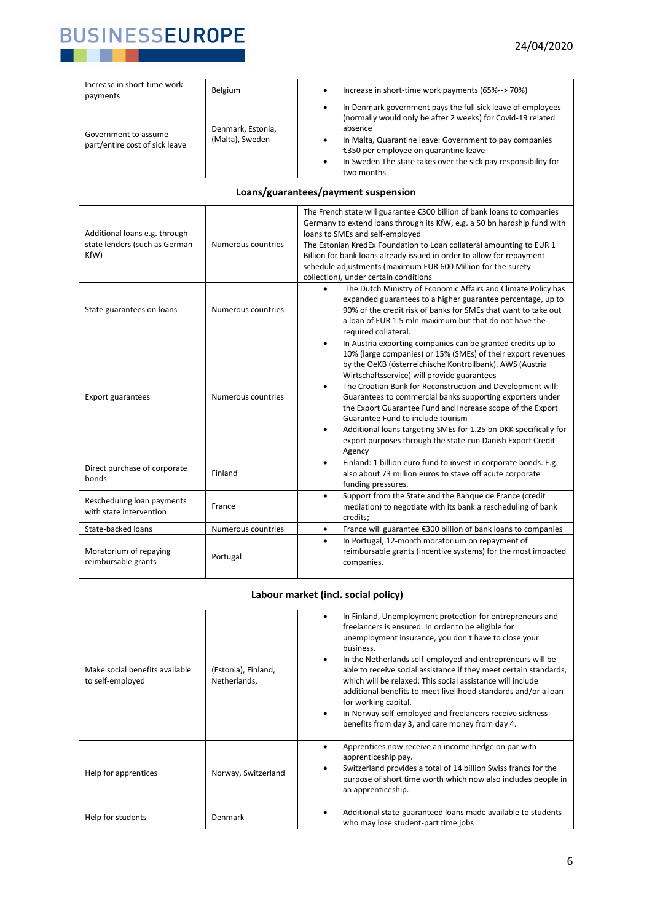

| Increase in short-time work<br>payments                                | Belgium                              | Increase in short-time work payments (65%--> 70%)<br>$\bullet$                                                                                                                                                                                                                                                                                                                                                                                                                                                                                                                                                                          |
|------------------------------------------------------------------------|--------------------------------------|-----------------------------------------------------------------------------------------------------------------------------------------------------------------------------------------------------------------------------------------------------------------------------------------------------------------------------------------------------------------------------------------------------------------------------------------------------------------------------------------------------------------------------------------------------------------------------------------------------------------------------------------|
| Government to assume<br>part/entire cost of sick leave                 | Denmark, Estonia,<br>(Malta), Sweden | In Denmark government pays the full sick leave of employees<br>$\bullet$<br>(normally would only be after 2 weeks) for Covid-19 related<br>absence<br>In Malta, Quarantine leave: Government to pay companies<br>٠<br>€350 per employee on quarantine leave<br>In Sweden The state takes over the sick pay responsibility for<br>two months                                                                                                                                                                                                                                                                                             |
|                                                                        |                                      | Loans/guarantees/payment suspension                                                                                                                                                                                                                                                                                                                                                                                                                                                                                                                                                                                                     |
| Additional loans e.g. through<br>state lenders (such as German<br>KfW) | Numerous countries                   | The French state will guarantee €300 billion of bank loans to companies<br>Germany to extend loans through its KfW, e.g. a 50 bn hardship fund with<br>loans to SMEs and self-employed<br>The Estonian KredEx Foundation to Loan collateral amounting to EUR 1<br>Billion for bank loans already issued in order to allow for repayment<br>schedule adjustments (maximum EUR 600 Million for the surety<br>collection), under certain conditions                                                                                                                                                                                        |
| State guarantees on loans                                              | Numerous countries                   | The Dutch Ministry of Economic Affairs and Climate Policy has<br>$\bullet$<br>expanded guarantees to a higher guarantee percentage, up to<br>90% of the credit risk of banks for SMEs that want to take out<br>a loan of EUR 1.5 mln maximum but that do not have the<br>required collateral.                                                                                                                                                                                                                                                                                                                                           |
| <b>Export guarantees</b>                                               | Numerous countries                   | In Austria exporting companies can be granted credits up to<br>$\bullet$<br>10% (large companies) or 15% (SMEs) of their export revenues<br>by the OeKB (österreichische Kontrollbank). AWS (Austria<br>Wirtschaftsservice) will provide guarantees<br>The Croatian Bank for Reconstruction and Development will:<br>٠<br>Guarantees to commercial banks supporting exporters under<br>the Export Guarantee Fund and Increase scope of the Export<br>Guarantee Fund to include tourism<br>Additional loans targeting SMEs for 1.25 bn DKK specifically for<br>٠<br>export purposes through the state-run Danish Export Credit<br>Agency |
| Direct purchase of corporate<br>bonds                                  | Finland                              | Finland: 1 billion euro fund to invest in corporate bonds. E.g.<br>$\bullet$<br>also about 73 million euros to stave off acute corporate<br>funding pressures.                                                                                                                                                                                                                                                                                                                                                                                                                                                                          |
| Rescheduling loan payments<br>with state intervention                  | France                               | Support from the State and the Banque de France (credit<br>$\bullet$<br>mediation) to negotiate with its bank a rescheduling of bank<br>credits;                                                                                                                                                                                                                                                                                                                                                                                                                                                                                        |
| State-backed loans                                                     | Numerous countries                   | France will guarantee €300 billion of bank loans to companies<br>٠                                                                                                                                                                                                                                                                                                                                                                                                                                                                                                                                                                      |
| Moratorium of repaying<br>reimbursable grants                          | Portugal                             | In Portugal, 12-month moratorium on repayment of<br>$\bullet$<br>reimbursable grants (incentive systems) for the most impacted<br>companies.                                                                                                                                                                                                                                                                                                                                                                                                                                                                                            |
|                                                                        |                                      | Labour market (incl. social policy)                                                                                                                                                                                                                                                                                                                                                                                                                                                                                                                                                                                                     |
| Make social benefits available<br>to self-employed                     | (Estonia), Finland,<br>Netherlands,  | In Finland, Unemployment protection for entrepreneurs and<br>$\bullet$<br>freelancers is ensured. In order to be eligible for<br>unemployment insurance, you don't have to close your<br>business.<br>In the Netherlands self-employed and entrepreneurs will be<br>٠<br>able to receive social assistance if they meet certain standards,<br>which will be relaxed. This social assistance will include<br>additional benefits to meet livelihood standards and/or a loan<br>for working capital.<br>In Norway self-employed and freelancers receive sickness<br>٠<br>benefits from day 3, and care money from day 4.                  |
| Help for apprentices                                                   | Norway, Switzerland                  | Apprentices now receive an income hedge on par with<br>$\bullet$<br>apprenticeship pay.<br>Switzerland provides a total of 14 billion Swiss francs for the<br>٠<br>purpose of short time worth which now also includes people in<br>an apprenticeship.                                                                                                                                                                                                                                                                                                                                                                                  |
| Help for students                                                      | Denmark                              | Additional state-guaranteed loans made available to students<br>$\bullet$<br>who may lose student-part time jobs                                                                                                                                                                                                                                                                                                                                                                                                                                                                                                                        |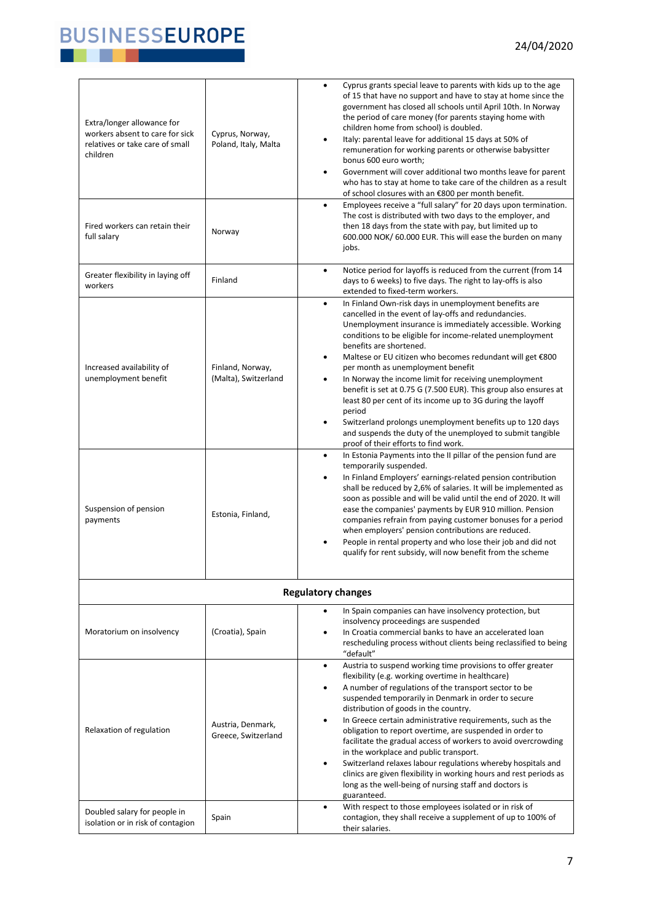### 24/04/2020



| Extra/longer allowance for<br>workers absent to care for sick<br>relatives or take care of small<br>children | Cyprus, Norway,<br>Poland, Italy, Malta  | Cyprus grants special leave to parents with kids up to the age<br>$\bullet$<br>of 15 that have no support and have to stay at home since the<br>government has closed all schools until April 10th. In Norway<br>the period of care money (for parents staying home with<br>children home from school) is doubled.<br>Italy: parental leave for additional 15 days at 50% of<br>$\bullet$<br>remuneration for working parents or otherwise babysitter<br>bonus 600 euro worth;<br>Government will cover additional two months leave for parent<br>$\bullet$<br>who has to stay at home to take care of the children as a result<br>of school closures with an €800 per month benefit.                                                                                                            |
|--------------------------------------------------------------------------------------------------------------|------------------------------------------|--------------------------------------------------------------------------------------------------------------------------------------------------------------------------------------------------------------------------------------------------------------------------------------------------------------------------------------------------------------------------------------------------------------------------------------------------------------------------------------------------------------------------------------------------------------------------------------------------------------------------------------------------------------------------------------------------------------------------------------------------------------------------------------------------|
| Fired workers can retain their<br>full salary                                                                | Norway                                   | Employees receive a "full salary" for 20 days upon termination.<br>$\bullet$<br>The cost is distributed with two days to the employer, and<br>then 18 days from the state with pay, but limited up to<br>600.000 NOK/ 60.000 EUR. This will ease the burden on many<br>jobs.                                                                                                                                                                                                                                                                                                                                                                                                                                                                                                                     |
| Greater flexibility in laying off<br>workers                                                                 | Finland                                  | Notice period for layoffs is reduced from the current (from 14<br>$\bullet$<br>days to 6 weeks) to five days. The right to lay-offs is also<br>extended to fixed-term workers.                                                                                                                                                                                                                                                                                                                                                                                                                                                                                                                                                                                                                   |
| Increased availability of<br>unemployment benefit                                                            | Finland, Norway,<br>(Malta), Switzerland | In Finland Own-risk days in unemployment benefits are<br>$\bullet$<br>cancelled in the event of lay-offs and redundancies.<br>Unemployment insurance is immediately accessible. Working<br>conditions to be eligible for income-related unemployment<br>benefits are shortened.<br>Maltese or EU citizen who becomes redundant will get €800<br>$\bullet$<br>per month as unemployment benefit<br>In Norway the income limit for receiving unemployment<br>$\bullet$<br>benefit is set at 0.75 G (7.500 EUR). This group also ensures at<br>least 80 per cent of its income up to 3G during the layoff<br>period<br>Switzerland prolongs unemployment benefits up to 120 days<br>$\bullet$<br>and suspends the duty of the unemployed to submit tangible<br>proof of their efforts to find work. |
| Suspension of pension<br>payments                                                                            | Estonia, Finland,                        | In Estonia Payments into the II pillar of the pension fund are<br>$\bullet$<br>temporarily suspended.<br>In Finland Employers' earnings-related pension contribution<br>$\bullet$<br>shall be reduced by 2,6% of salaries. It will be implemented as<br>soon as possible and will be valid until the end of 2020. It will<br>ease the companies' payments by EUR 910 million. Pension<br>companies refrain from paying customer bonuses for a period<br>when employers' pension contributions are reduced.<br>People in rental property and who lose their job and did not<br>qualify for rent subsidy, will now benefit from the scheme                                                                                                                                                         |
|                                                                                                              |                                          | <b>Regulatory changes</b>                                                                                                                                                                                                                                                                                                                                                                                                                                                                                                                                                                                                                                                                                                                                                                        |
| Moratorium on insolvency                                                                                     | (Croatia), Spain                         | In Spain companies can have insolvency protection, but<br>insolvency proceedings are suspended<br>In Croatia commercial banks to have an accelerated loan<br>rescheduling process without clients being reclassified to being<br>"default"                                                                                                                                                                                                                                                                                                                                                                                                                                                                                                                                                       |
| Relaxation of regulation                                                                                     | Austria, Denmark,<br>Greece, Switzerland | Austria to suspend working time provisions to offer greater<br>$\bullet$<br>flexibility (e.g. working overtime in healthcare)<br>A number of regulations of the transport sector to be<br>$\bullet$<br>suspended temporarily in Denmark in order to secure<br>distribution of goods in the country.<br>In Greece certain administrative requirements, such as the<br>obligation to report overtime, are suspended in order to<br>facilitate the gradual access of workers to avoid overcrowding<br>in the workplace and public transport.<br>Switzerland relaxes labour regulations whereby hospitals and<br>$\bullet$<br>clinics are given flexibility in working hours and rest periods as<br>long as the well-being of nursing staff and doctors is<br>guaranteed.                            |
| Doubled salary for people in<br>isolation or in risk of contagion                                            | Spain                                    | With respect to those employees isolated or in risk of<br>$\bullet$<br>contagion, they shall receive a supplement of up to 100% of<br>their salaries.                                                                                                                                                                                                                                                                                                                                                                                                                                                                                                                                                                                                                                            |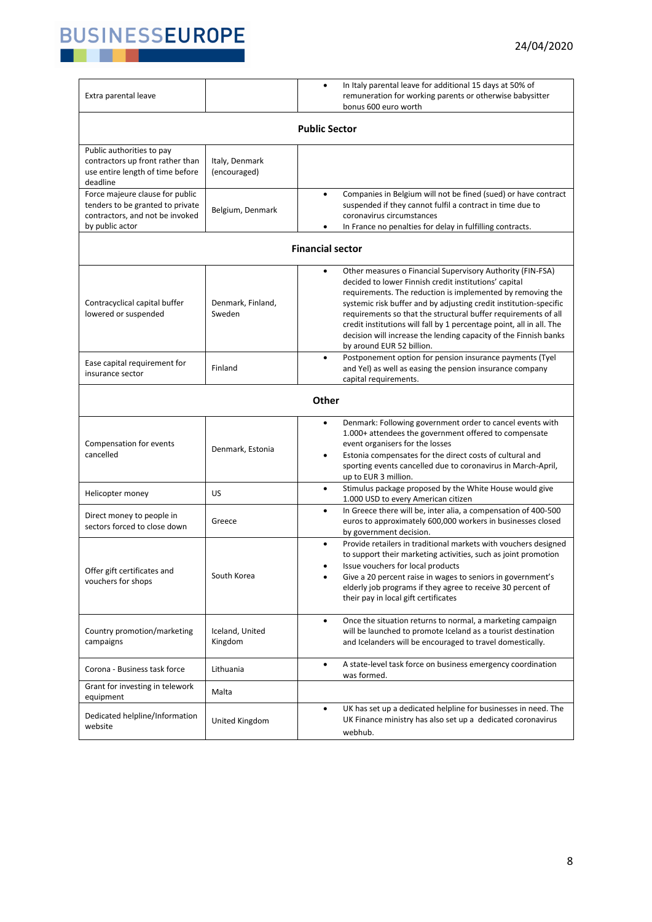

| Extra parental leave                                                                                                      |                                | In Italy parental leave for additional 15 days at 50% of<br>remuneration for working parents or otherwise babysitter<br>bonus 600 euro worth                                                                                                                                                                                                                                                                                                                                                           |  |  |
|---------------------------------------------------------------------------------------------------------------------------|--------------------------------|--------------------------------------------------------------------------------------------------------------------------------------------------------------------------------------------------------------------------------------------------------------------------------------------------------------------------------------------------------------------------------------------------------------------------------------------------------------------------------------------------------|--|--|
| <b>Public Sector</b>                                                                                                      |                                |                                                                                                                                                                                                                                                                                                                                                                                                                                                                                                        |  |  |
| Public authorities to pay<br>contractors up front rather than<br>use entire length of time before<br>deadline             | Italy, Denmark<br>(encouraged) |                                                                                                                                                                                                                                                                                                                                                                                                                                                                                                        |  |  |
| Force majeure clause for public<br>tenders to be granted to private<br>contractors, and not be invoked<br>by public actor | Belgium, Denmark               | Companies in Belgium will not be fined (sued) or have contract<br>$\bullet$<br>suspended if they cannot fulfil a contract in time due to<br>coronavirus circumstances<br>In France no penalties for delay in fulfilling contracts.<br>٠                                                                                                                                                                                                                                                                |  |  |
|                                                                                                                           |                                | <b>Financial sector</b>                                                                                                                                                                                                                                                                                                                                                                                                                                                                                |  |  |
| Contracyclical capital buffer<br>lowered or suspended                                                                     | Denmark, Finland,<br>Sweden    | Other measures o Financial Supervisory Authority (FIN-FSA)<br>٠<br>decided to lower Finnish credit institutions' capital<br>requirements. The reduction is implemented by removing the<br>systemic risk buffer and by adjusting credit institution-specific<br>requirements so that the structural buffer requirements of all<br>credit institutions will fall by 1 percentage point, all in all. The<br>decision will increase the lending capacity of the Finnish banks<br>by around EUR 52 billion. |  |  |
| Ease capital requirement for<br>insurance sector                                                                          | Finland                        | Postponement option for pension insurance payments (Tyel<br>$\bullet$<br>and Yel) as well as easing the pension insurance company<br>capital requirements.                                                                                                                                                                                                                                                                                                                                             |  |  |
|                                                                                                                           |                                | Other                                                                                                                                                                                                                                                                                                                                                                                                                                                                                                  |  |  |
| Compensation for events<br>cancelled                                                                                      | Denmark, Estonia               | Denmark: Following government order to cancel events with<br>٠<br>1.000+ attendees the government offered to compensate<br>event organisers for the losses<br>Estonia compensates for the direct costs of cultural and<br>sporting events cancelled due to coronavirus in March-April,<br>up to EUR 3 million.                                                                                                                                                                                         |  |  |
| Helicopter money                                                                                                          | US                             | Stimulus package proposed by the White House would give<br>٠<br>1.000 USD to every American citizen                                                                                                                                                                                                                                                                                                                                                                                                    |  |  |
| Direct money to people in<br>sectors forced to close down                                                                 | Greece                         | In Greece there will be, inter alia, a compensation of 400-500<br>٠<br>euros to approximately 600,000 workers in businesses closed<br>by government decision.                                                                                                                                                                                                                                                                                                                                          |  |  |
| Offer gift certificates and<br>vouchers for shops                                                                         | South Korea                    | Provide retailers in traditional markets with vouchers designed<br>$\bullet$<br>to support their marketing activities, such as joint promotion<br>Issue vouchers for local products<br>Give a 20 percent raise in wages to seniors in government's<br>٠<br>elderly job programs if they agree to receive 30 percent of<br>their pay in local gift certificates                                                                                                                                         |  |  |
| Country promotion/marketing<br>campaigns                                                                                  | Iceland, United<br>Kingdom     | Once the situation returns to normal, a marketing campaign<br>$\bullet$<br>will be launched to promote Iceland as a tourist destination<br>and Icelanders will be encouraged to travel domestically.                                                                                                                                                                                                                                                                                                   |  |  |
| Corona - Business task force                                                                                              | Lithuania                      | A state-level task force on business emergency coordination<br>٠<br>was formed.                                                                                                                                                                                                                                                                                                                                                                                                                        |  |  |
| Grant for investing in telework<br>equipment                                                                              | Malta                          |                                                                                                                                                                                                                                                                                                                                                                                                                                                                                                        |  |  |
| Dedicated helpline/Information<br>website                                                                                 | United Kingdom                 | UK has set up a dedicated helpline for businesses in need. The<br>٠<br>UK Finance ministry has also set up a dedicated coronavirus<br>webhub.                                                                                                                                                                                                                                                                                                                                                          |  |  |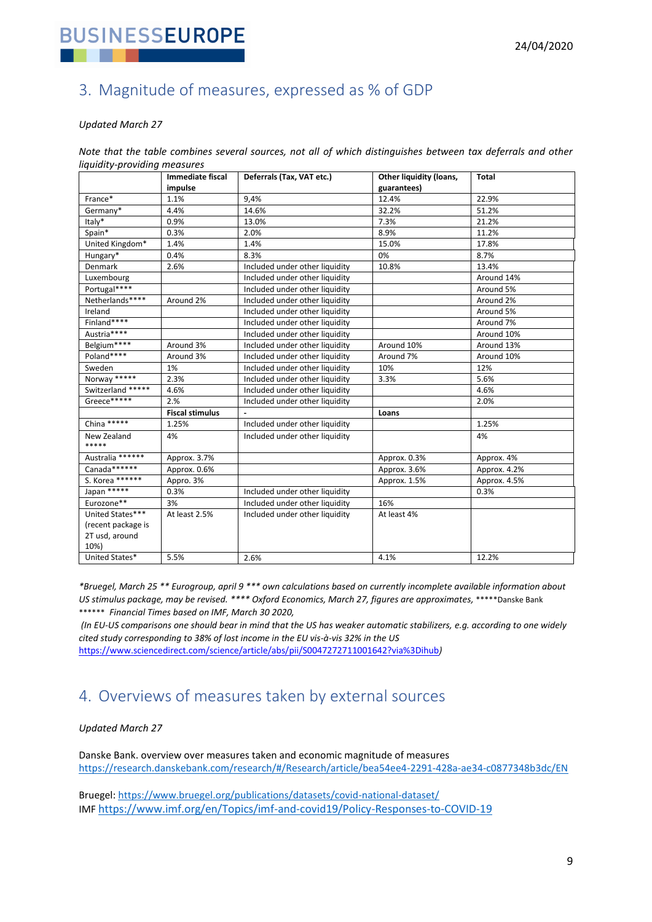

### <span id="page-8-0"></span>3. Magnitude of measures, expressed as % of GDP

#### *Updated March 27*

*Note that the table combines several sources, not all of which distinguishes between tax deferrals and other liquidity-providing measures*

|                      | Immediate fiscal       | Deferrals (Tax, VAT etc.)      | Other liquidity (loans, | <b>Total</b> |
|----------------------|------------------------|--------------------------------|-------------------------|--------------|
|                      | impulse                |                                | guarantees)             |              |
| France*              | 1.1%                   | 9,4%                           | 12.4%                   | 22.9%        |
| Germany*             | 4.4%                   | 14.6%                          | 32.2%                   | 51.2%        |
| Italy*               | 0.9%                   | 13.0%                          | 7.3%                    | 21.2%        |
| Spain*               | 0.3%                   | 2.0%                           | 8.9%                    | 11.2%        |
| United Kingdom*      | 1.4%                   | 1.4%                           | 15.0%                   | 17.8%        |
| Hungary*             | 0.4%                   | 8.3%                           | 0%                      | 8.7%         |
| Denmark              | 2.6%                   | Included under other liquidity | 10.8%                   | 13.4%        |
| Luxembourg           |                        | Included under other liquidity |                         | Around 14%   |
| Portugal****         |                        | Included under other liquidity |                         | Around 5%    |
| Netherlands****      | Around 2%              | Included under other liquidity |                         | Around 2%    |
| Ireland              |                        | Included under other liquidity |                         | Around 5%    |
| Finland****          |                        | Included under other liquidity |                         | Around 7%    |
| Austria****          |                        | Included under other liquidity |                         | Around 10%   |
| Belgium****          | Around 3%              | Included under other liquidity | Around 10%              | Around 13%   |
| Poland****           | Around 3%              | Included under other liquidity | Around 7%               | Around 10%   |
| Sweden               | 1%                     | Included under other liquidity | 10%                     | 12%          |
| Norway *****         | 2.3%                   | Included under other liquidity | 3.3%                    | 5.6%         |
| Switzerland *****    | 4.6%                   | Included under other liquidity |                         | 4.6%         |
| Greece*****          | 2.%                    | Included under other liquidity |                         | 2.0%         |
|                      | <b>Fiscal stimulus</b> |                                | Loans                   |              |
| China *****          | 1.25%                  | Included under other liquidity |                         | 1.25%        |
| New Zealand<br>***** | 4%                     | Included under other liquidity |                         | 4%           |
| Australia ******     | Approx. 3.7%           |                                | Approx. 0.3%            | Approx. 4%   |
| Canada******         | Approx. 0.6%           |                                | Approx. 3.6%            | Approx. 4.2% |
| S. Korea ******      | Appro. 3%              |                                | Approx. 1.5%            | Approx. 4.5% |
| Japan *****          | 0.3%                   | Included under other liquidity |                         | 0.3%         |
| Eurozone**           | 3%                     | Included under other liquidity | 16%                     |              |
| United States***     | At least 2.5%          | Included under other liquidity | At least 4%             |              |
| (recent package is   |                        |                                |                         |              |
| 2T usd, around       |                        |                                |                         |              |
| 10%)                 |                        |                                |                         |              |
| United States*       | 5.5%                   | 2.6%                           | 4.1%                    | 12.2%        |

*\*Bruegel, March 25 \*\* Eurogroup, april 9 \*\*\* own calculations based on currently incomplete available information about US stimulus package, may be revised. \*\*\*\* Oxford Economics, March 27, figures are approximates,* \*\*\*\*\*Danske Bank \*\*\*\*\*\* *Financial Times based on IMF, March 30 2020,*

*(In EU-US comparisons one should bear in mind that the US has weaker automatic stabilizers, e.g. according to one widely cited study corresponding to 38% of lost income in the EU vis-à-vis 32% in the US* 

<https://www.sciencedirect.com/science/article/abs/pii/S0047272711001642?via%3Dihub>*)*

## <span id="page-8-1"></span>4. Overviews of measures taken by external sources

#### *Updated March 27*

Danske Bank. overview over measures taken and economic magnitude of measures [https://research.danskebank.com/research/#/Research/article/bea54ee4-2291-428a-ae34-c0877348b3dc/EN](https://research.danskebank.com/research/#/Research/article/bea54ee4-2291-428a-ae34-cT0877348b3dc/EN)

Bruegel:<https://www.bruegel.org/publications/datasets/covid-national-dataset/> IMF <https://www.imf.org/en/Topics/imf-and-covid19/Policy-Responses-to-COVID-19>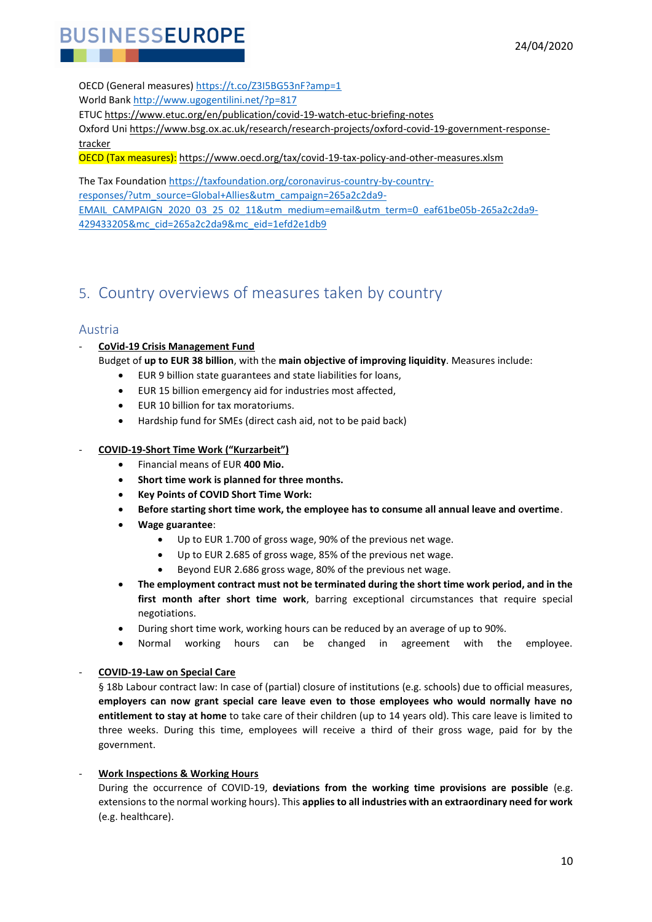

OECD (General measures) [https://t.co/Z3I5BG53nF?amp=1](https://t.co/Z3I5BG53nF?amp=1%20)  World Bank [http://www.ugogentilini.net/?p=817](http://www.ugogentilini.net/?p=817%20) 

ETUC<https://www.etuc.org/en/publication/covid-19-watch-etuc-briefing-notes>

Oxford Un[i https://www.bsg.ox.ac.uk/research/research-projects/oxford-covid-19-government-response](https://www.bsg.ox.ac.uk/research/research-projects/oxford-covid-19-government-response-tracker)[tracker](https://www.bsg.ox.ac.uk/research/research-projects/oxford-covid-19-government-response-tracker)

OECD (Tax measures): <https://www.oecd.org/tax/covid-19-tax-policy-and-other-measures.xlsm>

The Tax Foundatio[n https://taxfoundation.org/coronavirus-country-by-country](https://taxfoundation.org/coronavirus-country-by-country-responses/?utm_source=Global+Allies&utm_campaign=265a2c2da9-EMAIL_CAMPAIGN_2020_03_25_02_11&utm_medium=email&utm_term=0_eaf61be05b-265a2c2da9-429433205&mc_cid=265a2c2da9&mc_eid=1efd2e1db9)[responses/?utm\\_source=Global+Allies&utm\\_campaign=265a2c2da9-](https://taxfoundation.org/coronavirus-country-by-country-responses/?utm_source=Global+Allies&utm_campaign=265a2c2da9-EMAIL_CAMPAIGN_2020_03_25_02_11&utm_medium=email&utm_term=0_eaf61be05b-265a2c2da9-429433205&mc_cid=265a2c2da9&mc_eid=1efd2e1db9) [EMAIL\\_CAMPAIGN\\_2020\\_03\\_25\\_02\\_11&utm\\_medium=email&utm\\_term=0\\_eaf61be05b-265a2c2da9-](https://taxfoundation.org/coronavirus-country-by-country-responses/?utm_source=Global+Allies&utm_campaign=265a2c2da9-EMAIL_CAMPAIGN_2020_03_25_02_11&utm_medium=email&utm_term=0_eaf61be05b-265a2c2da9-429433205&mc_cid=265a2c2da9&mc_eid=1efd2e1db9) [429433205&mc\\_cid=265a2c2da9&mc\\_eid=1efd2e1db9](https://taxfoundation.org/coronavirus-country-by-country-responses/?utm_source=Global+Allies&utm_campaign=265a2c2da9-EMAIL_CAMPAIGN_2020_03_25_02_11&utm_medium=email&utm_term=0_eaf61be05b-265a2c2da9-429433205&mc_cid=265a2c2da9&mc_eid=1efd2e1db9)

## <span id="page-9-0"></span>5. Country overviews of measures taken by country

#### <span id="page-9-1"></span>Austria

#### - **CoVid-19 Crisis Management Fund**

- Budget of **up to EUR 38 billion**, with the **main objective of improving liquidity**. Measures include:
	- EUR 9 billion state guarantees and state liabilities for loans,
	- EUR 15 billion emergency aid for industries most affected,
	- EUR 10 billion for tax moratoriums.
	- Hardship fund for SMEs (direct cash aid, not to be paid back)

#### - **COVID-19-Short Time Work ("Kurzarbeit")**

- Financial means of EUR **400 Mio.**
- **Short time work is planned for three months.**
- **Key Points of COVID Short Time Work:**
- **Before starting short time work, the employee has to consume all annual leave and overtime**.
- **Wage guarantee**:
	- Up to EUR 1.700 of gross wage, 90% of the previous net wage.
	- Up to EUR 2.685 of gross wage, 85% of the previous net wage.
	- Beyond EUR 2.686 gross wage, 80% of the previous net wage.
- **The employment contract must not be terminated during the short time work period, and in the first month after short time work**, barring exceptional circumstances that require special negotiations.
- During short time work, working hours can be reduced by an average of up to 90%.
- Normal working hours can be changed in agreement with the employee.

#### - **COVID-19-Law on Special Care**

§ 18b Labour contract law: In case of (partial) closure of institutions (e.g. schools) due to official measures, **employers can now grant special care leave even to those employees who would normally have no entitlement to stay at home** to take care of their children (up to 14 years old). This care leave is limited to three weeks. During this time, employees will receive a third of their gross wage, paid for by the government.

#### - **Work Inspections & Working Hours**

During the occurrence of COVID-19, **deviations from the working time provisions are possible** (e.g. extensions to the normal working hours). This **applies to all industries with an extraordinary need for work** (e.g. healthcare).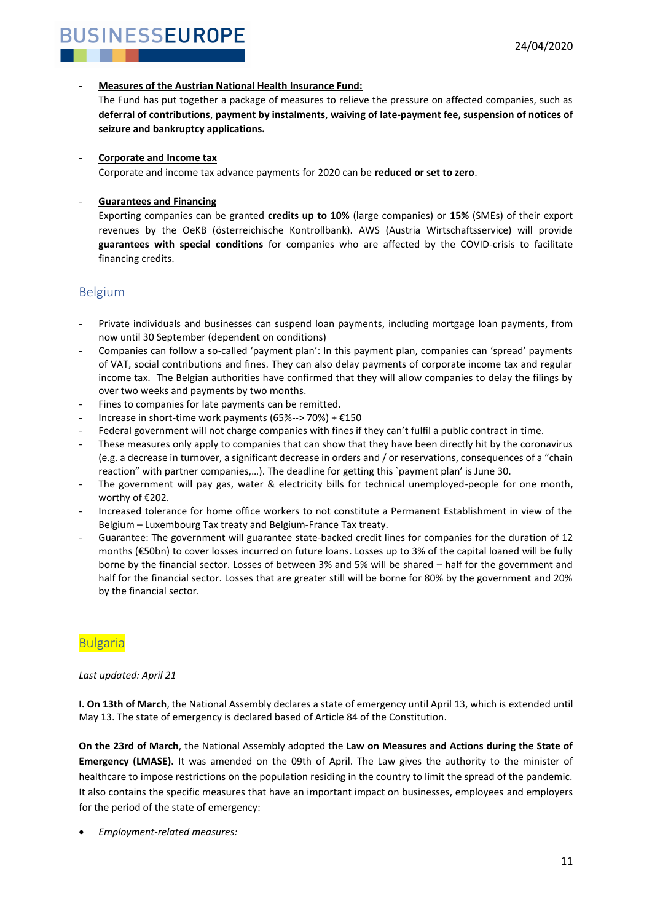#### - **Measures of the Austrian National Health Insurance Fund:**

The Fund has put together a package of measures to relieve the pressure on affected companies, such as **deferral of contributions**, **payment by instalments**, **waiving of late-payment fee, suspension of notices of seizure and bankruptcy applications.**

#### - **Corporate and Income tax**

Corporate and income tax advance payments for 2020 can be **reduced or set to zero**.

#### - **Guarantees and Financing**

Exporting companies can be granted **credits up to 10%** (large companies) or **15%** (SMEs) of their export revenues by the OeKB (österreichische Kontrollbank). AWS (Austria Wirtschaftsservice) will provide **guarantees with special conditions** for companies who are affected by the COVID-crisis to facilitate financing credits.

### <span id="page-10-0"></span>Belgium

- Private individuals and businesses can suspend loan payments, including mortgage loan payments, from now until 30 September (dependent on conditions)
- Companies can follow a so-called 'payment plan': In this payment plan, companies can 'spread' payments of VAT, social contributions and fines. They can also delay payments of corporate income tax and regular income tax. The Belgian authorities have confirmed that they will allow companies to delay the filings by over two weeks and payments by two months.
- Fines to companies for late payments can be remitted.
- Increase in short-time work payments (65%--> 70%) +  $£150$
- Federal government will not charge companies with fines if they can't fulfil a public contract in time.
- These measures only apply to companies that can show that they have been directly hit by the coronavirus (e.g. a decrease in turnover, a significant decrease in orders and / or reservations, consequences of a "chain reaction" with partner companies,…). The deadline for getting this `payment plan' is June 30.
- The government will pay gas, water & electricity bills for technical unemployed-people for one month, worthy of €202.
- Increased tolerance for home office workers to not constitute a Permanent Establishment in view of the Belgium – Luxembourg Tax treaty and Belgium-France Tax treaty.
- Guarantee: The government will guarantee state-backed credit lines for companies for the duration of 12 months (€50bn) to cover losses incurred on future loans. Losses up to 3% of the capital loaned will be fully borne by the financial sector. Losses of between 3% and 5% will be shared – half for the government and half for the financial sector. Losses that are greater still will be borne for 80% by the government and 20% by the financial sector.

#### <span id="page-10-1"></span>Bulgaria

#### *Last updated: April 21*

**I. On 13th of March**, the National Assembly declares a state of emergency until April 13, which is extended until May 13. The state of emergency is declared based of Article 84 of the Constitution.

**On the 23rd of March**, the National Assembly adopted the **Law on Measures and Actions during the State of Emergency (LMASE).** It was amended on the 09th of April. Тhe Law gives the authority to the minister of healthcare to impose restrictions on the population residing in the country to limit the spread of the pandemic. It also contains the specific measures that have an important impact on businesses, employees and employers for the period of the state of emergency:

• *Employment-related measures:*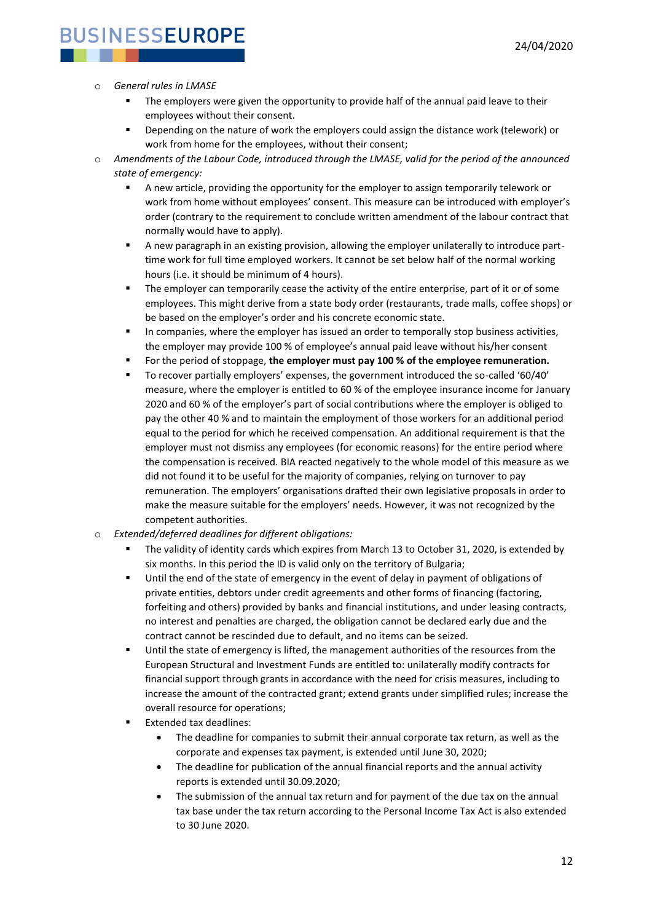#### o *General rules in LMASE*

- The employers were given the opportunity to provide half of the annual paid leave to their employees without their consent.
- Depending on the nature of work the employers could assign the distance work (telework) or work from home for the employees, without their consent;
- Amendments of the Labour Code, introduced through the LMASE, valid for the period of the announced *state of emergency:*
	- A new article, providing the opportunity for the employer to assign temporarily telework or work from home without employees' consent. This measure can be introduced with employer's order (contrary to the requirement to conclude written amendment of the labour contract that normally would have to apply).
	- A new paragraph in an existing provision, allowing the employer unilaterally to introduce parttime work for full time employed workers. It cannot be set below half of the normal working hours (i.e. it should be minimum of 4 hours).
	- **•** The employer can temporarily cease the activity of the entire enterprise, part of it or of some employees. This might derive from a state body order (restaurants, trade malls, coffee shops) or be based on the employer's order and his concrete economic state.
	- In companies, where the employer has issued an order to temporally stop business activities, the employer may provide 100 % of employee's annual paid leave without his/her consent
	- For the period of stoppage, the employer must pay 100 % of the employee remuneration.
	- To recover partially employers' expenses, the government introduced the so-called '60/40' measure, where the employer is entitled to 60 % of the employee insurance income for January 2020 and 60 % of the employer's part of social contributions where the employer is obliged to pay the other 40 % and to maintain the employment of those workers for an additional period equal to the period for which he received compensation. An additional requirement is that the employer must not dismiss any employees (for economic reasons) for the entire period where the compensation is received. BIA reacted negatively to the whole model of this measure as we did not found it to be useful for the majority of companies, relying on turnover to pay remuneration. The employers' organisations drafted their own legislative proposals in order to make the measure suitable for the employers' needs. However, it was not recognized by the competent authorities.
- Extended/deferred deadlines for different obligations:
	- The validity of identity cards which expires from March 13 to October 31, 2020, is extended by six months. In this period the ID is valid only on the territory of Bulgaria;
	- **■** Until the end of the state of emergency in the event of delay in payment of obligations of private entities, debtors under credit agreements and other forms of financing (factoring, forfeiting and others) provided by banks and financial institutions, and under leasing contracts, no interest and penalties are charged, the obligation cannot be declared early due and the contract cannot be rescinded due to default, and no items can be seized.
	- **■** Until the state of emergency is lifted, the management authorities of the resources from the European Structural and Investment Funds are entitled to: unilaterally modify contracts for financial support through grants in accordance with the need for crisis measures, including to increase the amount of the contracted grant; extend grants under simplified rules; increase the overall resource for operations;
	- **Extended tax deadlines:** 
		- The deadline for companies to submit their annual corporate tax return, as well as the corporate and expenses tax payment, is extended until June 30, 2020;
		- The deadline for publication of the annual financial reports and the annual activity reports is extended until 30.09.2020;
		- The submission of the annual tax return and for payment of the due tax on the annual tax base under the tax return according to the Personal Income Tax Act is also extended to 30 June 2020.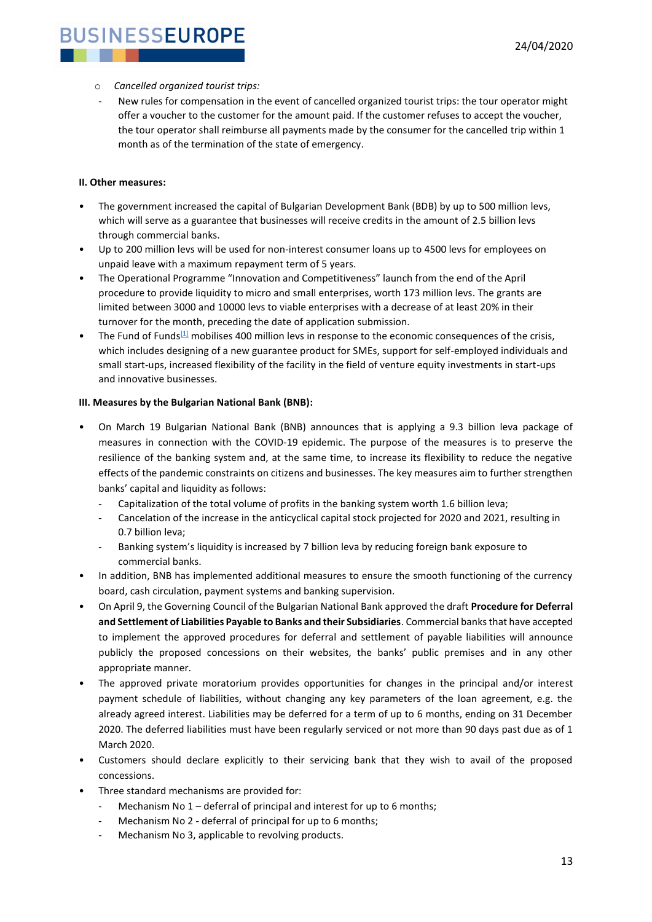- o *Cancelled organized tourist trips:*
- New rules for compensation in the event of cancelled organized tourist trips: the tour operator might offer a voucher to the customer for the amount paid. If the customer refuses to accept the voucher, the tour operator shall reimburse all payments made by the consumer for the cancelled trip within 1 month as of the termination of the state of emergency.

#### **II. Other measures:**

- The government increased the capital of Bulgarian Development Bank (BDB) by up to 500 million levs, which will serve as a guarantee that businesses will receive credits in the amount of 2.5 billion levs through commercial banks.
- Up to 200 million levs will be used for non-interest consumer loans up to 4500 levs for employees on unpaid leave with a maximum repayment term of 5 years.
- The Operational Programme "Innovation and Competitiveness" launch from the end of the April procedure to provide liquidity to micro and small enterprises, worth 173 million levs. The grants are limited between 3000 and 10000 levs to viable enterprises with a decrease of at least 20% in their turnover for the month, preceding the date of application submission.
- The Fund of Funds<sup>[\[1\]](https://euc-word-edit.officeapps.live.com/we/wordeditorframe.aspx?ui=da%2DDK&rs=en%2DUS&wopisrc=https%3A%2F%2Fbusinesseurope-my.sharepoint.com%2Fpersonal%2Fjpl_businesseurope_eu%2F_vti_bin%2Fwopi.ashx%2Ffiles%2F7971d74354164d53b33c345881f91329&wdenableroaming=1&mscc=0&wdodb=1&hid=DDF24A9F-E01A-9000-727E-531BC7EB98E3&wdorigin=Sharing&jsapi=1&newsession=1&corrid=323cec0e-ddc5-438f-98c4-fa071b59c432&usid=323cec0e-ddc5-438f-98c4-fa071b59c432&instantedit=1&wopicomplete=1&wdredirectionreason=Unified_SingleFlush#_ftn1)</sup> mobilises 400 million levs in response to the economic consequences of the crisis, which includes designing of a new guarantee product for SMEs, support for self-employed individuals and small start-ups, increased flexibility of the facility in the field of venture equity investments in start-ups and innovative businesses.

#### **III. Measures by the Bulgarian National Bank (BNB):**

- On March 19 Bulgarian National Bank (BNB) announces that is applying a 9.3 billion leva package of measures in connection with the COVID-19 epidemic. The purpose of the measures is to preserve the resilience of the banking system and, at the same time, to increase its flexibility to reduce the negative effects of the pandemic constraints on citizens and businesses. The key measures aim to further strengthen banks' capital and liquidity as follows:
	- Capitalization of the total volume of profits in the banking system worth 1.6 billion leva;
	- Cancelation of the increase in the anticyclical capital stock projected for 2020 and 2021, resulting in 0.7 billion leva;
	- Banking system's liquidity is increased by 7 billion leva by reducing foreign bank exposure to commercial banks.
- In addition, BNB has implemented additional measures to ensure the smooth functioning of the currency board, cash circulation, payment systems and banking supervision.
- On April 9, the Governing Council of the Bulgarian National Bank approved the draft **Procedure for Deferral and Settlement of Liabilities Payable to Banks and their Subsidiaries**. Commercial banks that have accepted to implement the approved procedures for deferral and settlement of payable liabilities will announce publicly the proposed concessions on their websites, the banks' public premises and in any other appropriate manner.
- The approved private moratorium provides opportunities for changes in the principal and/or interest payment schedule of liabilities, without changing any key parameters of the loan agreement, e.g. the already agreed interest. Liabilities may be deferred for a term of up to 6 months, ending on 31 December 2020. The deferred liabilities must have been regularly serviced or not more than 90 days past due as of 1 March 2020.
- Customers should declare explicitly to their servicing bank that they wish to avail of the proposed concessions.
- Three standard mechanisms are provided for:
	- Mechanism No  $1$  deferral of principal and interest for up to 6 months;
	- Mechanism No 2 deferral of principal for up to 6 months;
	- Mechanism No 3, applicable to revolving products.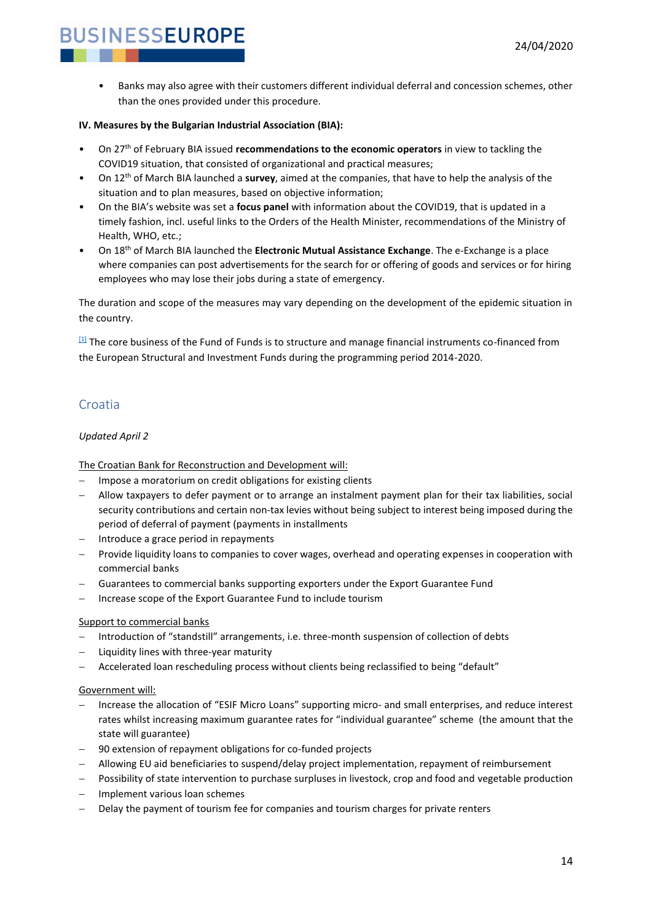• Banks may also agree with their customers different individual deferral and concession schemes, other than the ones provided under this procedure.

#### **IV. Measures by the Bulgarian Industrial Association (BIA):**

- On 27th of February BIA issued **recommendations to the economic operators** in view to tackling the COVID19 situation, that consisted of organizational and practical measures;
- On 12th of March BIA launched a **survey**, aimed at the companies, that have to help the analysis of the situation and to plan measures, based on objective information;
- On the BIA's website was set a **focus panel** with information about the COVID19, that is updated in a timely fashion, incl. useful links to the Orders of the Health Minister, recommendations of the Ministry of Health, WHO, etc.;
- On 18th of March BIA launched the **Electronic Mutual Assistance Exchange**. The e-Exchange is a place where companies can post advertisements for the search for or offering of goods and services or for hiring employees who may lose their jobs during a state of emergency.

The duration and scope of the measures may vary depending on the development of the epidemic situation in the country.

[\[1\]](https://euc-word-edit.officeapps.live.com/we/wordeditorframe.aspx?ui=da%2DDK&rs=en%2DUS&wopisrc=https%3A%2F%2Fbusinesseurope-my.sharepoint.com%2Fpersonal%2Fjpl_businesseurope_eu%2F_vti_bin%2Fwopi.ashx%2Ffiles%2F7971d74354164d53b33c345881f91329&wdenableroaming=1&mscc=0&wdodb=1&hid=DDF24A9F-E01A-9000-727E-531BC7EB98E3&wdorigin=Sharing&jsapi=1&newsession=1&corrid=323cec0e-ddc5-438f-98c4-fa071b59c432&usid=323cec0e-ddc5-438f-98c4-fa071b59c432&instantedit=1&wopicomplete=1&wdredirectionreason=Unified_SingleFlush#_ftnref1) The core business of the Fund of Funds is to structure and manage financial instruments co-financed from the European Structural and Investment Funds during the programming period 2014-2020.

### <span id="page-13-0"></span>Croatia

#### *Updated April 2*

The Croatian Bank for Reconstruction and Development will:

- Impose a moratorium on credit obligations for existing clients
- − Allow taxpayers to defer payment or to arrange an instalment payment plan for their tax liabilities, social security contributions and certain non-tax levies without being subject to interest being imposed during the period of deferral of payment (payments in installments
- Introduce a grace period in repayments
- Provide liquidity loans to companies to cover wages, overhead and operating expenses in cooperation with commercial banks
- − Guarantees to commercial banks supporting exporters under the Export Guarantee Fund
- − Increase scope of the Export Guarantee Fund to include tourism

#### Support to commercial banks

- − Introduction of "standstill" arrangements, i.e. three-month suspension of collection of debts
- Liquidity lines with three-year maturity
- − Accelerated loan rescheduling process without clients being reclassified to being "default"

#### Government will:

- − Increase the allocation of "ESIF Micro Loans" supporting micro- and small enterprises, and reduce interest rates whilst increasing maximum guarantee rates for "individual guarantee" scheme (the amount that the state will guarantee)
- 90 extension of repayment obligations for co-funded projects
- − Allowing EU aid beneficiaries to suspend/delay project implementation, repayment of reimbursement
- − Possibility of state intervention to purchase surpluses in livestock, crop and food and vegetable production
- − Implement various loan schemes
- Delay the payment of tourism fee for companies and tourism charges for private renters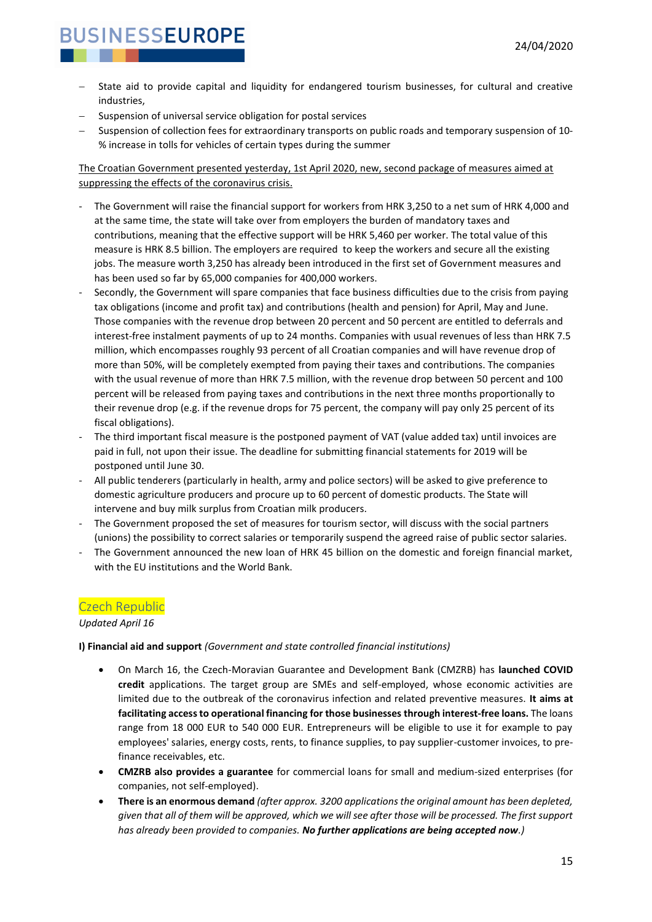- State aid to provide capital and liquidity for endangered tourism businesses, for cultural and creative industries,
- Suspension of universal service obligation for postal services
- − Suspension of collection fees for extraordinary transports on public roads and temporary suspension of 10- % increase in tolls for vehicles of certain types during the summer

The Croatian Government presented yesterday, 1st April 2020, new, second package of measures aimed at suppressing the effects of the coronavirus crisis.

- The Government will raise the financial support for workers from HRK 3,250 to a net sum of HRK 4,000 and at the same time, the state will take over from employers the burden of mandatory taxes and contributions, meaning that the effective support will be HRK 5,460 per worker. The total value of this measure is HRK 8.5 billion. The employers are required to keep the workers and secure all the existing jobs. The measure worth 3,250 has already been introduced in the first set of Government measures and has been used so far by 65,000 companies for 400,000 workers.
- Secondly, the Government will spare companies that face business difficulties due to the crisis from paying tax obligations (income and profit tax) and contributions (health and pension) for April, May and June. Those companies with the revenue drop between 20 percent and 50 percent are entitled to deferrals and interest-free instalment payments of up to 24 months. Companies with usual revenues of less than HRK 7.5 million, which encompasses roughly 93 percent of all Croatian companies and will have revenue drop of more than 50%, will be completely exempted from paying their taxes and contributions. The companies with the usual revenue of more than HRK 7.5 million, with the revenue drop between 50 percent and 100 percent will be released from paying taxes and contributions in the next three months proportionally to their revenue drop (e.g. if the revenue drops for 75 percent, the company will pay only 25 percent of its fiscal obligations).
- The third important fiscal measure is the postponed payment of VAT (value added tax) until invoices are paid in full, not upon their issue. The deadline for submitting financial statements for 2019 will be postponed until June 30.
- All public tenderers (particularly in health, army and police sectors) will be asked to give preference to domestic agriculture producers and procure up to 60 percent of domestic products. The State will intervene and buy milk surplus from Croatian milk producers.
- The Government proposed the set of measures for tourism sector, will discuss with the social partners (unions) the possibility to correct salaries or temporarily suspend the agreed raise of public sector salaries.
- The Government announced the new loan of HRK 45 billion on the domestic and foreign financial market, with the EU institutions and the World Bank.

#### <span id="page-14-0"></span>Czech Republic

*Updated April 16*

#### **I) Financial aid and support** *(Government and state controlled financial institutions)*

- On March 16, the Czech-Moravian Guarantee and Development Bank (CMZRB) has **launched COVID credit** applications. The target group are SMEs and self-employed, whose economic activities are limited due to the outbreak of the coronavirus infection and related preventive measures. **It aims at facilitating access to operational financing for those businesses through interest-free loans.** The loans range from 18 000 EUR to 540 000 EUR. Entrepreneurs will be eligible to use it for example to pay employees' salaries, energy costs, rents, to finance supplies, to pay supplier-customer invoices, to prefinance receivables, etc.
- **CMZRB also provides a guarantee** for commercial loans for small and medium-sized enterprises (for companies, not self-employed).
- **There is an enormous demand** *(after approx. 3200 applications the original amount has been depleted, given that all of them will be approved, which we will see after those will be processed. The first support has already been provided to companies. No further applications are being accepted now.)*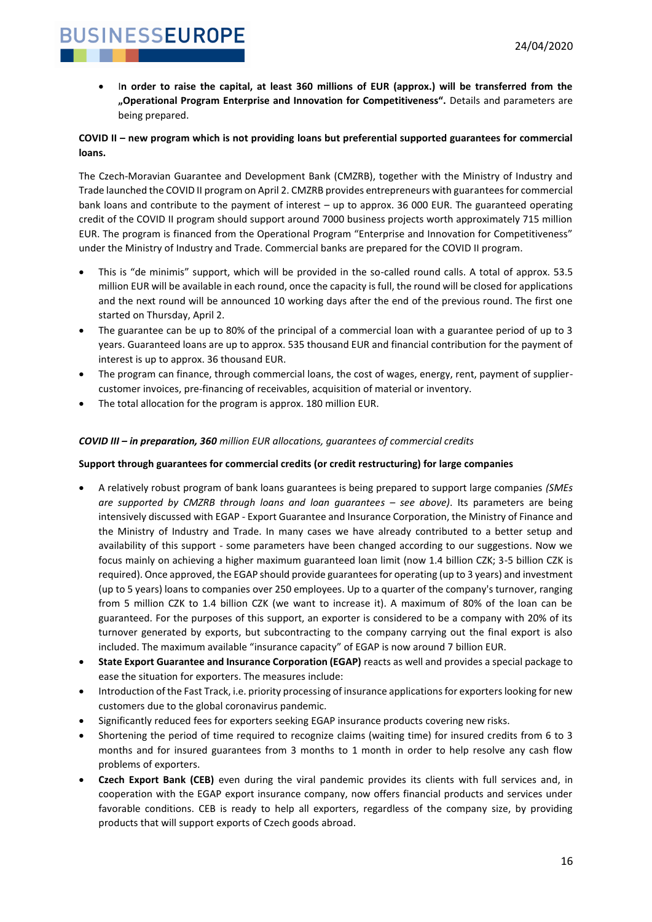• I**n order to raise the capital, at least 360 millions of EUR (approx.) will be transferred from the "Operational Program Enterprise and Innovation for Competitiveness".** Details and parameters are being prepared.

#### **COVID II – new program which is not providing loans but preferential supported guarantees for commercial loans.**

The Czech-Moravian Guarantee and Development Bank (CMZRB), together with the Ministry of Industry and Trade launched the COVID II program on April 2. CMZRB provides entrepreneurs with guarantees for commercial bank loans and contribute to the payment of interest – up to approx. 36 000 EUR. The guaranteed operating credit of the COVID II program should support around 7000 business projects worth approximately 715 million EUR. The program is financed from the Operational Program "Enterprise and Innovation for Competitiveness" under the Ministry of Industry and Trade. Commercial banks are prepared for the COVID II program.

- This is "de minimis" support, which will be provided in the so-called round calls. A total of approx. 53.5 million EUR will be available in each round, once the capacity is full, the round will be closed for applications and the next round will be announced 10 working days after the end of the previous round. The first one started on Thursday, April 2.
- The guarantee can be up to 80% of the principal of a commercial loan with a guarantee period of up to 3 years. Guaranteed loans are up to approx. 535 thousand EUR and financial contribution for the payment of interest is up to approx. 36 thousand EUR.
- The program can finance, through commercial loans, the cost of wages, energy, rent, payment of suppliercustomer invoices, pre-financing of receivables, acquisition of material or inventory.
- The total allocation for the program is approx. 180 million EUR.

#### *COVID III – in preparation, 360 million EUR allocations, guarantees of commercial credits*

#### **Support through guarantees for commercial credits (or credit restructuring) for large companies**

- A relatively robust program of bank loans guarantees is being prepared to support large companies *(SMEs are supported by CMZRB through loans and loan guarantees – see above)*. Its parameters are being intensively discussed with EGAP - Export Guarantee and Insurance Corporation, the Ministry of Finance and the Ministry of Industry and Trade. In many cases we have already contributed to a better setup and availability of this support - some parameters have been changed according to our suggestions. Now we focus mainly on achieving a higher maximum guaranteed loan limit (now 1.4 billion CZK; 3-5 billion CZK is required). Once approved, the EGAP should provide guarantees for operating (up to 3 years) and investment (up to 5 years) loans to companies over 250 employees. Up to a quarter of the company's turnover, ranging from 5 million CZK to 1.4 billion CZK (we want to increase it). A maximum of 80% of the loan can be guaranteed. For the purposes of this support, an exporter is considered to be a company with 20% of its turnover generated by exports, but subcontracting to the company carrying out the final export is also included. The maximum available "insurance capacity" of EGAP is now around 7 billion EUR.
- **State Export Guarantee and Insurance Corporation (EGAP)** reacts as well and provides a special package to ease the situation for exporters. The measures include:
- Introduction of the Fast Track, i.e. priority processing of insurance applications for exporters looking for new customers due to the global coronavirus pandemic.
- Significantly reduced fees for exporters seeking EGAP insurance products covering new risks.
- Shortening the period of time required to recognize claims (waiting time) for insured credits from 6 to 3 months and for insured guarantees from 3 months to 1 month in order to help resolve any cash flow problems of exporters.
- **Czech Export Bank (CEB)** even during the viral pandemic provides its clients with full services and, in cooperation with the EGAP export insurance company, now offers financial products and services under favorable conditions. CEB is ready to help all exporters, regardless of the company size, by providing products that will support exports of Czech goods abroad.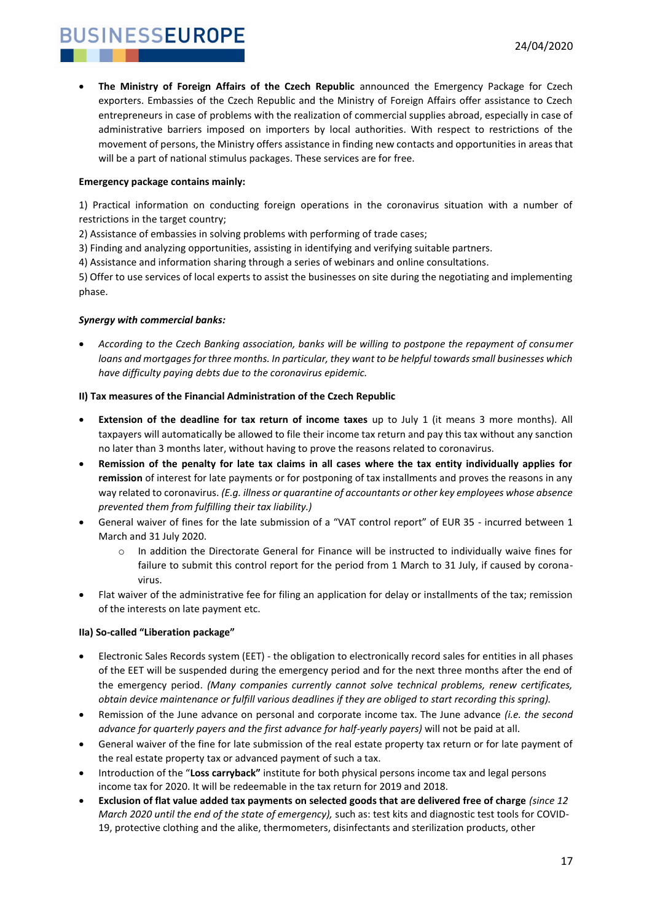• **The Ministry of Foreign Affairs of the Czech Republic** announced the Emergency Package for Czech exporters. Embassies of the Czech Republic and the Ministry of Foreign Affairs offer assistance to Czech entrepreneurs in case of problems with the realization of commercial supplies abroad, especially in case of administrative barriers imposed on importers by local authorities. With respect to restrictions of the movement of persons, the Ministry offers assistance in finding new contacts and opportunities in areas that will be a part of national stimulus packages. These services are for free.

#### **Emergency package contains mainly:**

1) Practical information on conducting foreign operations in the coronavirus situation with a number of restrictions in the target country;

2) Assistance of embassies in solving problems with performing of trade cases;

3) Finding and analyzing opportunities, assisting in identifying and verifying suitable partners.

4) Assistance and information sharing through a series of webinars and online consultations.

5) Offer to use services of local experts to assist the businesses on site during the negotiating and implementing phase.

#### *Synergy with commercial banks:*

• *According to the Czech Banking association, banks will be willing to postpone the repayment of consumer loans and mortgages for three months. In particular, they want to be helpful towards small businesses which have difficulty paying debts due to the coronavirus epidemic.* 

#### **II) Tax measures of the Financial Administration of the Czech Republic**

- **Extension of the deadline for tax return of income taxes** up to July 1 (it means 3 more months). All taxpayers will automatically be allowed to file their income tax return and pay this tax without any sanction no later than 3 months later, without having to prove the reasons related to coronavirus.
- **Remission of the penalty for late tax claims in all cases where the tax entity individually applies for remission** of interest for late payments or for postponing of tax installments and proves the reasons in any way related to coronavirus. *(E.g. illness or quarantine of accountants or other key employees whose absence prevented them from fulfilling their tax liability.)*
- General waiver of fines for the late submission of a "VAT control report" of EUR 35 incurred between 1 March and 31 July 2020.
	- o In addition the Directorate General for Finance will be instructed to individually waive fines for failure to submit this control report for the period from 1 March to 31 July, if caused by coronavirus.
- Flat waiver of the administrative fee for filing an application for delay or installments of the tax; remission of the interests on late payment etc.

#### **IIa) So-called "Liberation package"**

- Electronic Sales Records system (EET) the obligation to electronically record sales for entities in all phases of the EET will be suspended during the emergency period and for the next three months after the end of the emergency period. *(Many companies currently cannot solve technical problems, renew certificates, obtain device maintenance or fulfill various deadlines if they are obliged to start recording this spring).*
- Remission of the June advance on personal and corporate income tax. The June advance *(i.e. the second advance for quarterly payers and the first advance for half-yearly payers)* will not be paid at all.
- General waiver of the fine for late submission of the real estate property tax return or for late payment of the real estate property tax or advanced payment of such a tax.
- Introduction of the "**Loss carryback"** institute for both physical persons income tax and legal persons income tax for 2020. It will be redeemable in the tax return for 2019 and 2018.
- **Exclusion of flat value added tax payments on selected goods that are delivered free of charge** *(since 12 March 2020 until the end of the state of emergency),* such as: test kits and diagnostic test tools for COVID-19, protective clothing and the alike, thermometers, disinfectants and sterilization products, other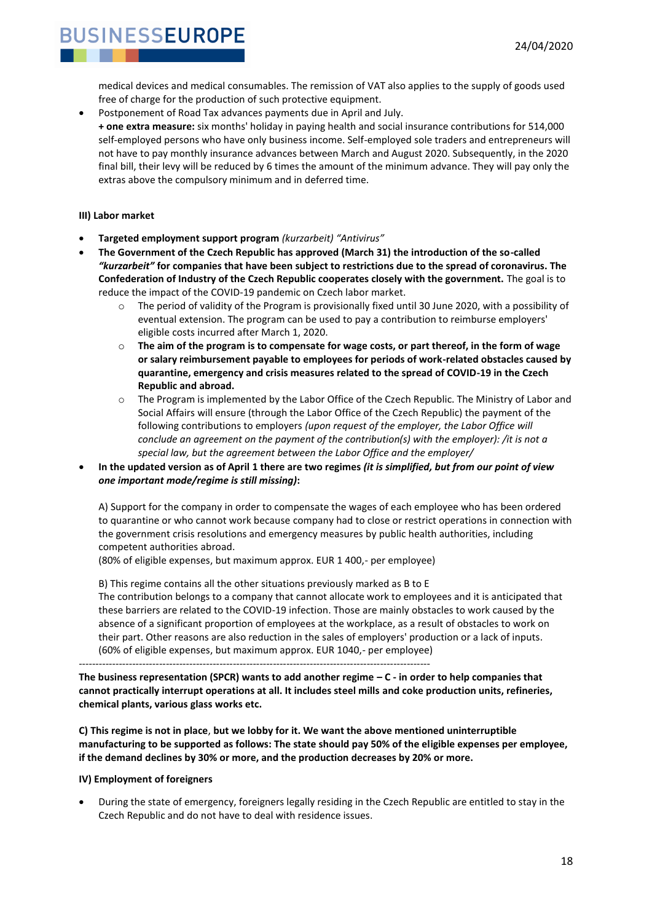

medical devices and medical consumables. The remission of VAT also applies to the supply of goods used free of charge for the production of such protective equipment.

• Postponement of Road Tax advances payments due in April and July.

**+ one extra measure:** six months' holiday in paying health and social insurance contributions for 514,000 self-employed persons who have only business income. Self-employed sole traders and entrepreneurs will not have to pay monthly insurance advances between March and August 2020. Subsequently, in the 2020 final bill, their levy will be reduced by 6 times the amount of the minimum advance. They will pay only the extras above the compulsory minimum and in deferred time.

#### **III) Labor market**

- **Targeted employment support program** *(kurzarbeit) "Antivirus"*
- **The Government of the Czech Republic has approved (March 31) the introduction of the so-called**  *"kurzarbeit"* **for companies that have been subject to restrictions due to the spread of coronavirus. The Confederation of Industry of the Czech Republic cooperates closely with the government.** The goal is to reduce the impact of the COVID-19 pandemic on Czech labor market.
	- $\circ$  The period of validity of the Program is provisionally fixed until 30 June 2020, with a possibility of eventual extension. The program can be used to pay a contribution to reimburse employers' eligible costs incurred after March 1, 2020.
	- o **The aim of the program is to compensate for wage costs, or part thereof, in the form of wage or salary reimbursement payable to employees for periods of work-related obstacles caused by quarantine, emergency and crisis measures related to the spread of COVID-19 in the Czech Republic and abroad.**
	- o The Program is implemented by the Labor Office of the Czech Republic. The Ministry of Labor and Social Affairs will ensure (through the Labor Office of the Czech Republic) the payment of the following contributions to employers *(upon request of the employer, the Labor Office will conclude an agreement on the payment of the contribution(s) with the employer): /it is not a special law, but the agreement between the Labor Office and the employer/*
- **In the updated version as of April 1 there are two regimes** *(it is simplified, but from our point of view one important mode/regime is still missing)***:**

A) Support for the company in order to compensate the wages of each employee who has been ordered to quarantine or who cannot work because company had to close or restrict operations in connection with the government crisis resolutions and emergency measures by public health authorities, including competent authorities abroad.

(80% of eligible expenses, but maximum approx. EUR 1 400,- per employee)

B) This regime contains all the other situations previously marked as B to E The contribution belongs to a company that cannot allocate work to employees and it is anticipated that these barriers are related to the COVID-19 infection. Those are mainly obstacles to work caused by the absence of a significant proportion of employees at the workplace, as a result of obstacles to work on their part. Other reasons are also reduction in the sales of employers' production or a lack of inputs. (60% of eligible expenses, but maximum approx. EUR 1040,- per employee) ---------------------------------------------------------------------------------------------------------

**The business representation (SPCR) wants to add another regime – C - in order to help companies that cannot practically interrupt operations at all. It includes steel mills and coke production units, refineries, chemical plants, various glass works etc.** 

**C) This regime is not in place**, **but we lobby for it. We want the above mentioned uninterruptible manufacturing to be supported as follows: The state should pay 50% of the eligible expenses per employee, if the demand declines by 30% or more, and the production decreases by 20% or more.** 

#### **IV) Employment of foreigners**

• During the state of emergency, foreigners legally residing in the Czech Republic are entitled to stay in the Czech Republic and do not have to deal with residence issues.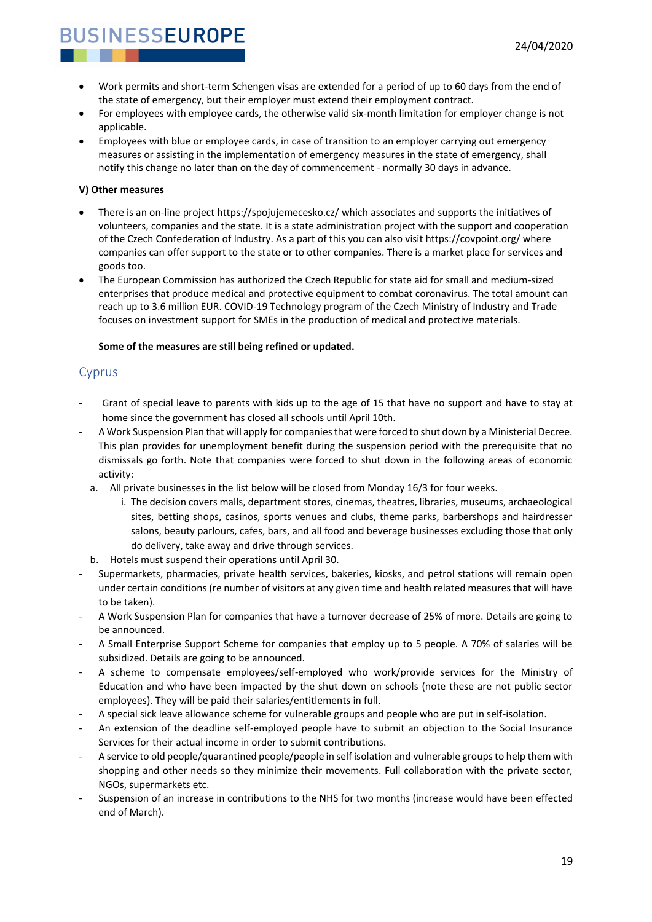- Work permits and short-term Schengen visas are extended for a period of up to 60 days from the end of the state of emergency, but their employer must extend their employment contract.
- For employees with employee cards, the otherwise valid six-month limitation for employer change is not applicable.
- Employees with blue or employee cards, in case of transition to an employer carrying out emergency measures or assisting in the implementation of emergency measures in the state of emergency, shall notify this change no later than on the day of commencement - normally 30 days in advance.

#### **V) Other measures**

- There is an on-line project https://spojujemecesko.cz/ which associates and supports the initiatives of volunteers, companies and the state. It is a state administration project with the support and cooperation of the Czech Confederation of Industry. As a part of this you can also visit https://covpoint.org/ where companies can offer support to the state or to other companies. There is a market place for services and goods too.
- The European Commission has authorized the Czech Republic for state aid for small and medium-sized enterprises that produce medical and protective equipment to combat coronavirus. The total amount can reach up to 3.6 million EUR. COVID-19 Technology program of the Czech Ministry of Industry and Trade focuses on investment support for SMEs in the production of medical and protective materials.

#### **Some of the measures are still being refined or updated.**

#### <span id="page-18-0"></span>Cyprus

- Grant of special leave to parents with kids up to the age of 15 that have no support and have to stay at home since the government has closed all schools until April 10th.
- A Work Suspension Plan that will apply for companies that were forced to shut down by a Ministerial Decree. This plan provides for unemployment benefit during the suspension period with the prerequisite that no dismissals go forth. Note that companies were forced to shut down in the following areas of economic activity:
	- a. All private businesses in the list below will be closed from Monday 16/3 for four weeks.
		- i. The decision covers malls, department stores, cinemas, theatres, libraries, museums, archaeological sites, betting shops, casinos, sports venues and clubs, theme parks, barbershops and hairdresser salons, beauty parlours, cafes, bars, and all food and beverage businesses excluding those that only do delivery, take away and drive through services.
	- b. Hotels must suspend their operations until April 30.
- Supermarkets, pharmacies, private health services, bakeries, kiosks, and petrol stations will remain open under certain conditions (re number of visitors at any given time and health related measures that will have to be taken).
- A Work Suspension Plan for companies that have a turnover decrease of 25% of more. Details are going to be announced.
- A Small Enterprise Support Scheme for companies that employ up to 5 people. A 70% of salaries will be subsidized. Details are going to be announced.
- A scheme to compensate employees/self-employed who work/provide services for the Ministry of Education and who have been impacted by the shut down on schools (note these are not public sector employees). They will be paid their salaries/entitlements in full.
- A special sick leave allowance scheme for vulnerable groups and people who are put in self-isolation.
- An extension of the deadline self-employed people have to submit an objection to the Social Insurance Services for their actual income in order to submit contributions.
- A service to old people/quarantined people/people in self isolation and vulnerable groups to help them with shopping and other needs so they minimize their movements. Full collaboration with the private sector, NGOs, supermarkets etc.
- Suspension of an increase in contributions to the NHS for two months (increase would have been effected end of March).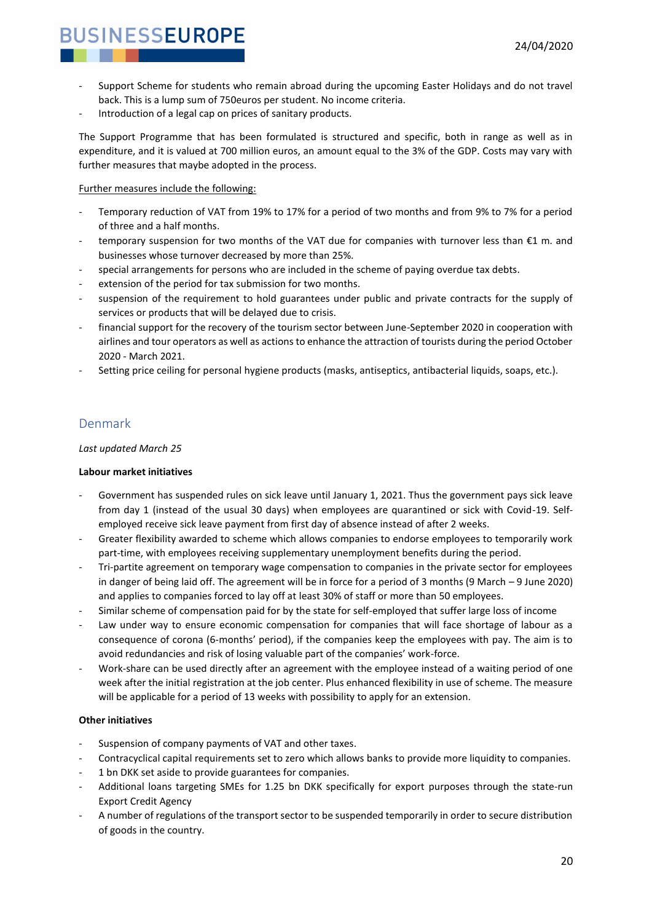- Support Scheme for students who remain abroad during the upcoming Easter Holidays and do not travel back. This is a lump sum of 750euros per student. No income criteria.
- Introduction of a legal cap on prices of sanitary products.

The Support Programme that has been formulated is structured and specific, both in range as well as in expenditure, and it is valued at 700 million euros, an amount equal to the 3% of the GDP. Costs may vary with further measures that maybe adopted in the process.

#### Further measures include the following:

- Temporary reduction of VAT from 19% to 17% for a period of two months and from 9% to 7% for a period of three and a half months.
- temporary suspension for two months of the VAT due for companies with turnover less than  $E1$  m. and businesses whose turnover decreased by more than 25%.
- special arrangements for persons who are included in the scheme of paying overdue tax debts.
- extension of the period for tax submission for two months.
- suspension of the requirement to hold guarantees under public and private contracts for the supply of services or products that will be delayed due to crisis.
- financial support for the recovery of the tourism sector between June-September 2020 in cooperation with airlines and tour operators as well as actions to enhance the attraction of tourists during the period October 2020 - March 2021.
- Setting price ceiling for personal hygiene products (masks, antiseptics, antibacterial liquids, soaps, etc.).

#### <span id="page-19-0"></span>Denmark

#### *Last updated March 25*

#### **Labour market initiatives**

- Government has suspended rules on sick leave until January 1, 2021. Thus the government pays sick leave from day 1 (instead of the usual 30 days) when employees are quarantined or sick with Covid-19. Selfemployed receive sick leave payment from first day of absence instead of after 2 weeks.
- Greater flexibility awarded to scheme which allows companies to endorse employees to temporarily work part-time, with employees receiving supplementary unemployment benefits during the period.
- Tri-partite agreement on temporary wage compensation to companies in the private sector for employees in danger of being laid off. The agreement will be in force for a period of 3 months (9 March – 9 June 2020) and applies to companies forced to lay off at least 30% of staff or more than 50 employees.
- Similar scheme of compensation paid for by the state for self-employed that suffer large loss of income
- Law under way to ensure economic compensation for companies that will face shortage of labour as a consequence of corona (6-months' period), if the companies keep the employees with pay. The aim is to avoid redundancies and risk of losing valuable part of the companies' work-force.
- Work-share can be used directly after an agreement with the employee instead of a waiting period of one week after the initial registration at the job center. Plus enhanced flexibility in use of scheme. The measure will be applicable for a period of 13 weeks with possibility to apply for an extension.

#### **Other initiatives**

- Suspension of company payments of VAT and other taxes.
- Contracyclical capital requirements set to zero which allows banks to provide more liquidity to companies.
- 1 bn DKK set aside to provide guarantees for companies.
- Additional loans targeting SMEs for 1.25 bn DKK specifically for export purposes through the state-run Export Credit Agency
- A number of regulations of the transport sector to be suspended temporarily in order to secure distribution of goods in the country.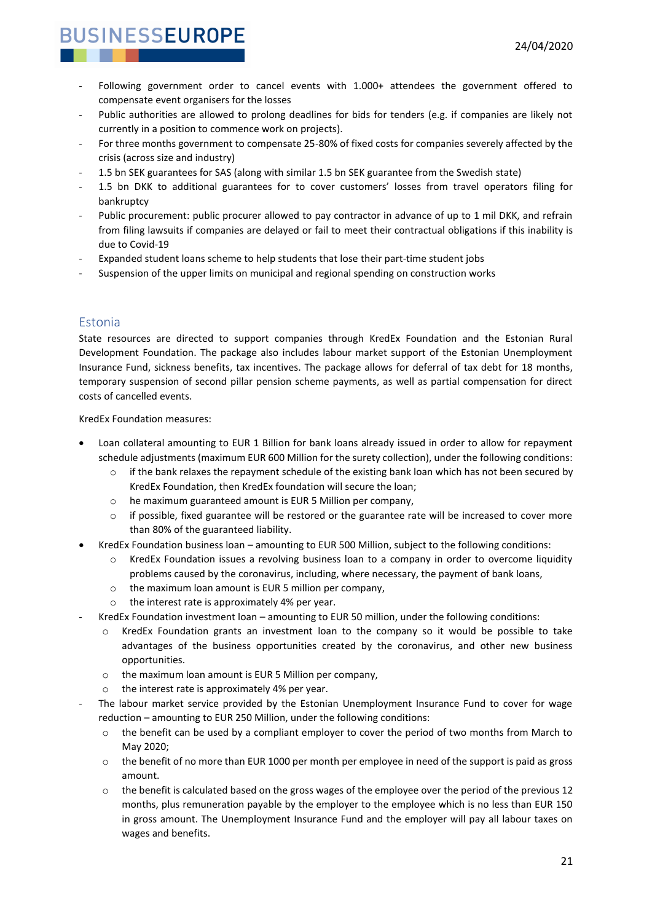- Following government order to cancel events with 1.000+ attendees the government offered to compensate event organisers for the losses
- Public authorities are allowed to prolong deadlines for bids for tenders (e.g. if companies are likely not currently in a position to commence work on projects).
- For three months government to compensate 25-80% of fixed costs for companies severely affected by the crisis (across size and industry)
- 1.5 bn SEK guarantees for SAS (along with similar 1.5 bn SEK guarantee from the Swedish state)
- 1.5 bn DKK to additional guarantees for to cover customers' losses from travel operators filing for bankruptcy
- Public procurement: public procurer allowed to pay contractor in advance of up to 1 mil DKK, and refrain from filing lawsuits if companies are delayed or fail to meet their contractual obligations if this inability is due to Covid-19
- Expanded student loans scheme to help students that lose their part-time student jobs
- Suspension of the upper limits on municipal and regional spending on construction works

#### <span id="page-20-0"></span>Estonia

State resources are directed to support companies through KredEx Foundation and the Estonian Rural Development Foundation. The package also includes labour market support of the Estonian Unemployment Insurance Fund, sickness benefits, tax incentives. The package allows for deferral of tax debt for 18 months, temporary suspension of second pillar pension scheme payments, as well as partial compensation for direct costs of cancelled events.

KredEx Foundation measures:

- Loan collateral amounting to EUR 1 Billion for bank loans already issued in order to allow for repayment schedule adjustments (maximum EUR 600 Million for the surety collection), under the following conditions:
	- $\circ$  if the bank relaxes the repayment schedule of the existing bank loan which has not been secured by KredEx Foundation, then KredEx foundation will secure the loan;
	- o he maximum guaranteed amount is EUR 5 Million per company,
	- $\circ$  if possible, fixed guarantee will be restored or the guarantee rate will be increased to cover more than 80% of the guaranteed liability.
- KredEx Foundation business loan amounting to EUR 500 Million, subject to the following conditions:
	- $\circ$  KredEx Foundation issues a revolving business loan to a company in order to overcome liquidity problems caused by the coronavirus, including, where necessary, the payment of bank loans,
	- o the maximum loan amount is EUR 5 million per company,
	- o the interest rate is approximately 4% per year.
- KredEx Foundation investment loan amounting to EUR 50 million, under the following conditions:
	- o KredEx Foundation grants an investment loan to the company so it would be possible to take advantages of the business opportunities created by the coronavirus, and other new business opportunities.
	- o the maximum loan amount is EUR 5 Million per company,
	- o the interest rate is approximately 4% per year.
- The labour market service provided by the Estonian Unemployment Insurance Fund to cover for wage reduction – amounting to EUR 250 Million, under the following conditions:
	- $\circ$  the benefit can be used by a compliant employer to cover the period of two months from March to May 2020;
	- $\circ$  the benefit of no more than EUR 1000 per month per employee in need of the support is paid as gross amount.
	- $\circ$  the benefit is calculated based on the gross wages of the employee over the period of the previous 12 months, plus remuneration payable by the employer to the employee which is no less than EUR 150 in gross amount. The Unemployment Insurance Fund and the employer will pay all labour taxes on wages and benefits.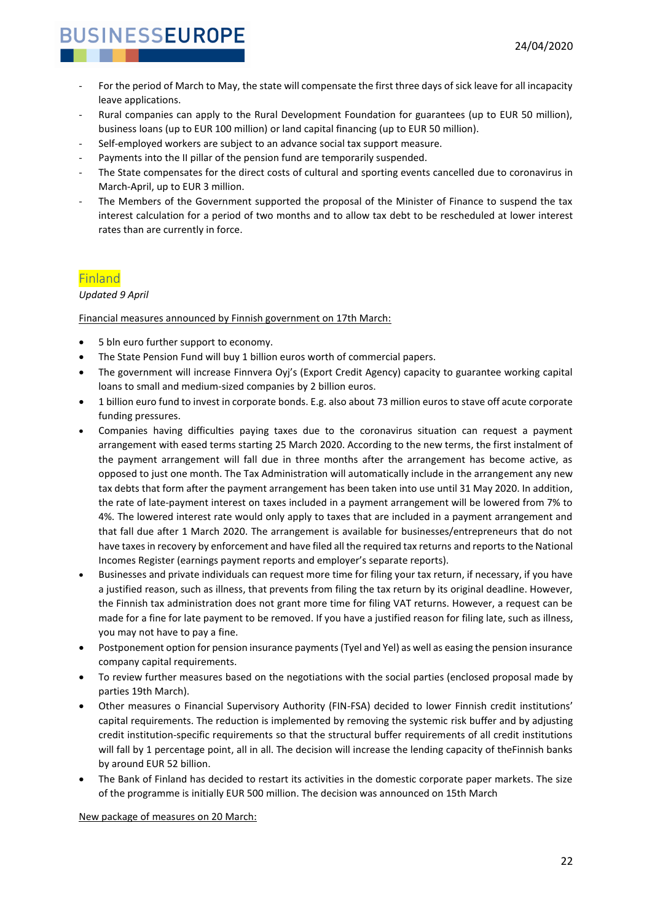- For the period of March to May, the state will compensate the first three days of sick leave for all incapacity leave applications.
- Rural companies can apply to the Rural Development Foundation for guarantees (up to EUR 50 million), business loans (up to EUR 100 million) or land capital financing (up to EUR 50 million).
- Self-employed workers are subject to an advance social tax support measure.
- Payments into the II pillar of the pension fund are temporarily suspended.
- The State compensates for the direct costs of cultural and sporting events cancelled due to coronavirus in March-April, up to EUR 3 million.
- The Members of the Government supported the proposal of the Minister of Finance to suspend the tax interest calculation for a period of two months and to allow tax debt to be rescheduled at lower interest rates than are currently in force.

### <span id="page-21-0"></span>Finland

*Updated 9 April*

Financial measures announced by Finnish government on 17th March:

- 5 bln euro further support to economy.
- The State Pension Fund will buy 1 billion euros worth of commercial papers.
- The government will increase Finnvera Oyj's (Export Credit Agency) capacity to guarantee working capital loans to small and medium-sized companies by 2 billion euros.
- 1 billion euro fund to invest in corporate bonds. E.g. also about 73 million euros to stave off acute corporate funding pressures.
- Companies having difficulties paying taxes due to the coronavirus situation can request a payment arrangement with eased terms starting 25 March 2020. According to the new terms, the first instalment of the payment arrangement will fall due in three months after the arrangement has become active, as opposed to just one month. The Tax Administration will automatically include in the arrangement any new tax debts that form after the payment arrangement has been taken into use until 31 May 2020. In addition, the rate of late-payment interest on taxes included in a payment arrangement will be lowered from 7% to 4%. The lowered interest rate would only apply to taxes that are included in a payment arrangement and that fall due after 1 March 2020. The arrangement is available for businesses/entrepreneurs that do not have taxes in recovery by enforcement and have filed all the required tax returns and reports to the National Incomes Register (earnings payment reports and employer's separate reports).
- Businesses and private individuals can request more time for filing your tax return, if necessary, if you have a justified reason, such as illness, that prevents from filing the tax return by its original deadline. However, the Finnish tax administration does not grant more time for filing VAT returns. However, a request can be made for a fine for late payment to be removed. If you have a justified reason for filing late, such as illness, you may not have to pay a fine.
- Postponement option for pension insurance payments (Tyel and Yel) as well as easing the pension insurance company capital requirements.
- To review further measures based on the negotiations with the social parties (enclosed proposal made by parties 19th March).
- Other measures o Financial Supervisory Authority (FIN-FSA) decided to lower Finnish credit institutions' capital requirements. The reduction is implemented by removing the systemic risk buffer and by adjusting credit institution-specific requirements so that the structural buffer requirements of all credit institutions will fall by 1 percentage point, all in all. The decision will increase the lending capacity of theFinnish banks by around EUR 52 billion.
- The Bank of Finland has decided to restart its activities in the domestic corporate paper markets. The size of the programme is initially EUR 500 million. The decision was announced on 15th March

New package of measures on 20 March: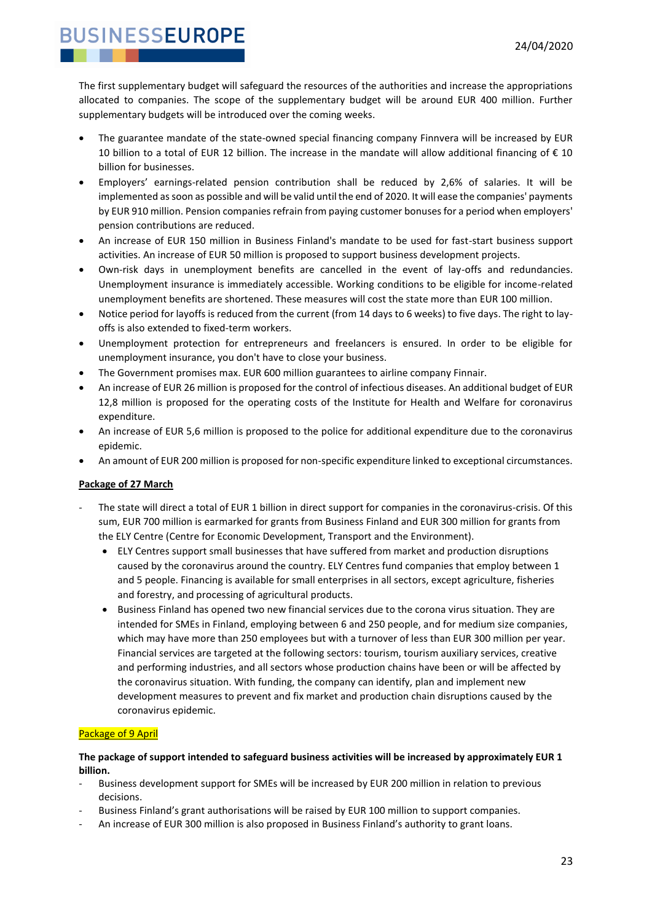The first supplementary budget will safeguard the resources of the authorities and increase the appropriations allocated to companies. The scope of the supplementary budget will be around EUR 400 million. Further supplementary budgets will be introduced over the coming weeks.

- The guarantee mandate of the state-owned special financing company Finnvera will be increased by EUR 10 billion to a total of EUR 12 billion. The increase in the mandate will allow additional financing of € 10 billion for businesses.
- Employers' earnings-related pension contribution shall be reduced by 2,6% of salaries. It will be implemented as soon as possible and will be valid until the end of 2020. It will ease the companies' payments by EUR 910 million. Pension companies refrain from paying customer bonuses for a period when employers' pension contributions are reduced.
- An increase of EUR 150 million in Business Finland's mandate to be used for fast-start business support activities. An increase of EUR 50 million is proposed to support business development projects.
- Own-risk days in unemployment benefits are cancelled in the event of lay-offs and redundancies. Unemployment insurance is immediately accessible. Working conditions to be eligible for income-related unemployment benefits are shortened. These measures will cost the state more than EUR 100 million.
- Notice period for layoffs is reduced from the current (from 14 days to 6 weeks) to five days. The right to layoffs is also extended to fixed-term workers.
- Unemployment protection for entrepreneurs and freelancers is ensured. In order to be eligible for unemployment insurance, you don't have to close your business.
- The Government promises max. EUR 600 million guarantees to airline company Finnair.
- An increase of EUR 26 million is proposed for the control of infectious diseases. An additional budget of EUR 12,8 million is proposed for the operating costs of the Institute for Health and Welfare for coronavirus expenditure.
- An increase of EUR 5,6 million is proposed to the police for additional expenditure due to the coronavirus epidemic.
- An amount of EUR 200 million is proposed for non-specific expenditure linked to exceptional circumstances.

#### **Package of 27 March**

- The state will direct a total of EUR 1 billion in direct support for companies in the coronavirus-crisis. Of this sum, EUR 700 million is earmarked for grants from Business Finland and EUR 300 million for grants from the ELY Centre (Centre for Economic Development, Transport and the Environment).
	- ELY Centres support small businesses that have suffered from market and production disruptions caused by the coronavirus around the country. ELY Centres fund companies that employ between 1 and 5 people. Financing is available for small enterprises in all sectors, except agriculture, fisheries and forestry, and processing of agricultural products.
	- Business Finland has opened two new financial services due to the corona virus situation. They are intended for SMEs in Finland, employing between 6 and 250 people, and for medium size companies, which may have more than 250 employees but with a turnover of less than EUR 300 million per year. Financial services are targeted at the following sectors: tourism, tourism auxiliary services, creative and performing industries, and all sectors whose production chains have been or will be affected by the coronavirus situation. With funding, the company can identify, plan and implement new development measures to prevent and fix market and production chain disruptions caused by the coronavirus epidemic.

#### Package of 9 April

#### **The package of support intended to safeguard business activities will be increased by approximately EUR 1 billion.**

- Business development support for SMEs will be increased by EUR 200 million in relation to previous decisions.
- Business Finland's grant authorisations will be raised by EUR 100 million to support companies.
- An increase of EUR 300 million is also proposed in Business Finland's authority to grant loans.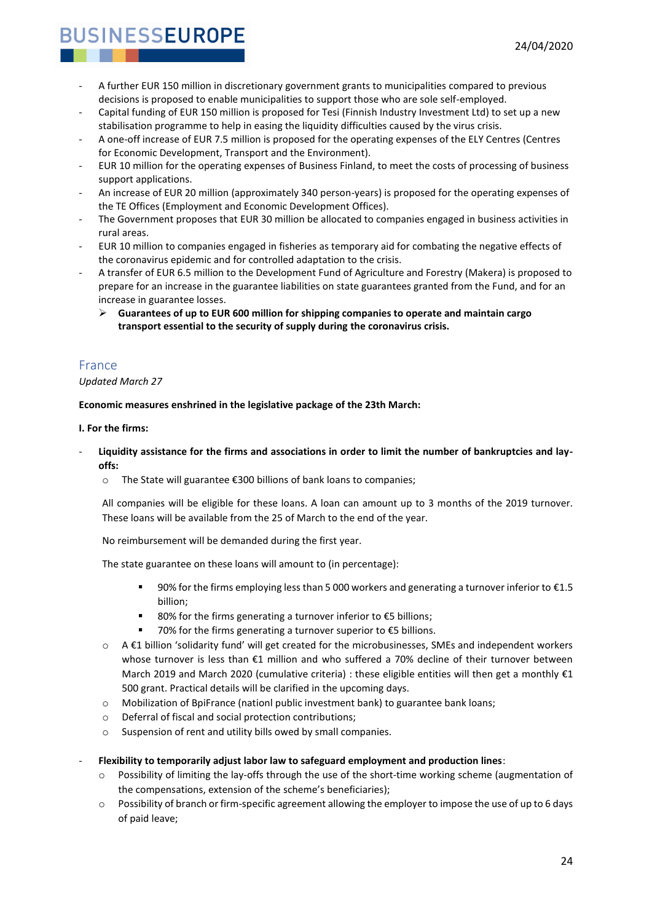- A further EUR 150 million in discretionary government grants to municipalities compared to previous decisions is proposed to enable municipalities to support those who are sole self-employed.
- Capital funding of EUR 150 million is proposed for Tesi (Finnish Industry Investment Ltd) to set up a new stabilisation programme to help in easing the liquidity difficulties caused by the virus crisis.
- A one-off increase of EUR 7.5 million is proposed for the operating expenses of the ELY Centres (Centres for Economic Development, Transport and the Environment).
- EUR 10 million for the operating expenses of Business Finland, to meet the costs of processing of business support applications.
- An increase of EUR 20 million (approximately 340 person-years) is proposed for the operating expenses of the TE Offices (Employment and Economic Development Offices).
- The Government proposes that EUR 30 million be allocated to companies engaged in business activities in rural areas.
- EUR 10 million to companies engaged in fisheries as temporary aid for combating the negative effects of the coronavirus epidemic and for controlled adaptation to the crisis.
- A transfer of EUR 6.5 million to the Development Fund of Agriculture and Forestry (Makera) is proposed to prepare for an increase in the guarantee liabilities on state guarantees granted from the Fund, and for an increase in guarantee losses.
	- ➢ **Guarantees of up to EUR 600 million for shipping companies to operate and maintain cargo transport essential to the security of supply during the coronavirus crisis.**

### <span id="page-23-0"></span>France

#### *Updated March 27*

**Economic measures enshrined in the legislative package of the 23th March:** 

#### **I. For the firms:**

- **Liquidity assistance for the firms and associations in order to limit the number of bankruptcies and layoffs:** 
	- o The State will guarantee €300 billions of bank loans to companies;

All companies will be eligible for these loans. A loan can amount up to 3 months of the 2019 turnover. These loans will be available from the 25 of March to the end of the year.

No reimbursement will be demanded during the first year.

The state guarantee on these loans will amount to (in percentage):

- 90% for the firms employing less than 5 000 workers and generating a turnover inferior to €1.5 billion;
- 80% for the firms generating a turnover inferior to €5 billions;
- 70% for the firms generating a turnover superior to  $\epsilon$ 5 billions.
- o A €1 billion 'solidarity fund' will get created for the microbusinesses, SMEs and independent workers whose turnover is less than €1 million and who suffered a 70% decline of their turnover between March 2019 and March 2020 (cumulative criteria) : these eligible entities will then get a monthly  $\epsilon$ 1 500 grant. Practical details will be clarified in the upcoming days.
- $\circ$  Mobilization of BpiFrance (nationl public investment bank) to guarantee bank loans;
- o Deferral of fiscal and social protection contributions;
- o Suspension of rent and utility bills owed by small companies.

#### - **Flexibility to temporarily adjust labor law to safeguard employment and production lines**:

- $\circ$  Possibility of limiting the lay-offs through the use of the short-time working scheme (augmentation of the compensations, extension of the scheme's beneficiaries);
- $\circ$  Possibility of branch or firm-specific agreement allowing the employer to impose the use of up to 6 days of paid leave;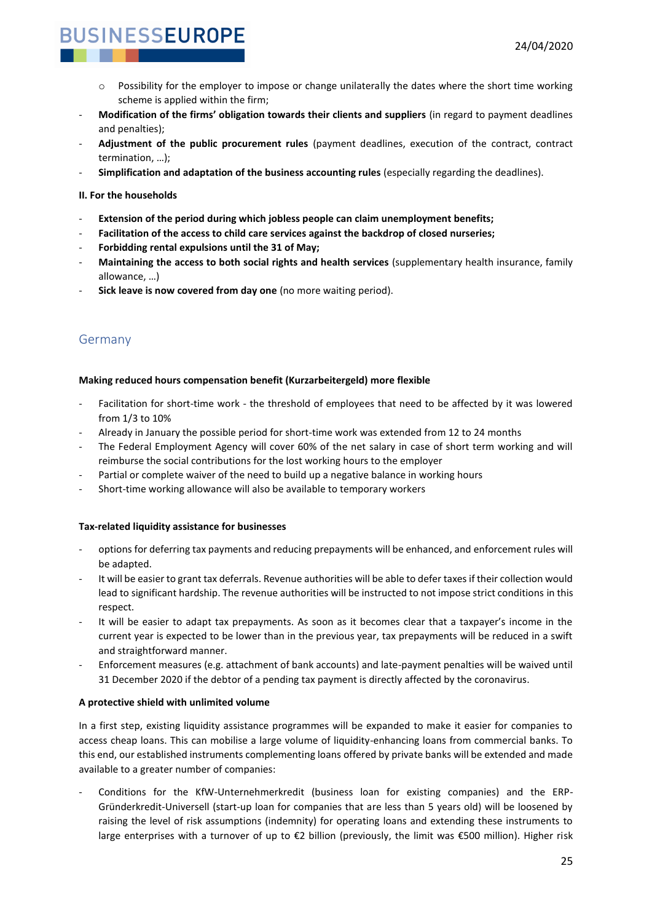- $\circ$  Possibility for the employer to impose or change unilaterally the dates where the short time working scheme is applied within the firm;
- **Modification of the firms' obligation towards their clients and suppliers** (in regard to payment deadlines and penalties);
- **Adjustment of the public procurement rules** (payment deadlines, execution of the contract, contract termination, …);
- **Simplification and adaptation of the business accounting rules** (especially regarding the deadlines).

#### **II. For the households**

- **Extension of the period during which jobless people can claim unemployment benefits;**
- **Facilitation of the access to child care services against the backdrop of closed nurseries;**
- **Forbidding rental expulsions until the 31 of May;**
- **Maintaining the access to both social rights and health services** (supplementary health insurance, family allowance, …)
- **Sick leave is now covered from day one** (no more waiting period).

### <span id="page-24-0"></span>Germany

#### **Making reduced hours compensation benefit (Kurzarbeitergeld) more flexible**

- Facilitation for short-time work the threshold of employees that need to be affected by it was lowered from 1/3 to 10%
- Already in January the possible period for short-time work was extended from 12 to 24 months
- The Federal Employment Agency will cover 60% of the net salary in case of short term working and will reimburse the social contributions for the lost working hours to the employer
- Partial or complete waiver of the need to build up a negative balance in working hours
- Short-time working allowance will also be available to temporary workers

#### **Tax-related liquidity assistance for businesses**

- options for deferring tax payments and reducing prepayments will be enhanced, and enforcement rules will be adapted.
- It will be easier to grant tax deferrals. Revenue authorities will be able to defer taxes if their collection would lead to significant hardship. The revenue authorities will be instructed to not impose strict conditions in this respect.
- It will be easier to adapt tax prepayments. As soon as it becomes clear that a taxpayer's income in the current year is expected to be lower than in the previous year, tax prepayments will be reduced in a swift and straightforward manner.
- Enforcement measures (e.g. attachment of bank accounts) and late-payment penalties will be waived until 31 December 2020 if the debtor of a pending tax payment is directly affected by the coronavirus.

#### **A protective shield with unlimited volume**

In a first step, existing liquidity assistance programmes will be expanded to make it easier for companies to access cheap loans. This can mobilise a large volume of liquidity-enhancing loans from commercial banks. To this end, our established instruments complementing loans offered by private banks will be extended and made available to a greater number of companies:

- Conditions for the KfW-Unternehmerkredit (business loan for existing companies) and the ERP-Gründerkredit-Universell (start-up loan for companies that are less than 5 years old) will be loosened by raising the level of risk assumptions (indemnity) for operating loans and extending these instruments to large enterprises with a turnover of up to €2 billion (previously, the limit was €500 million). Higher risk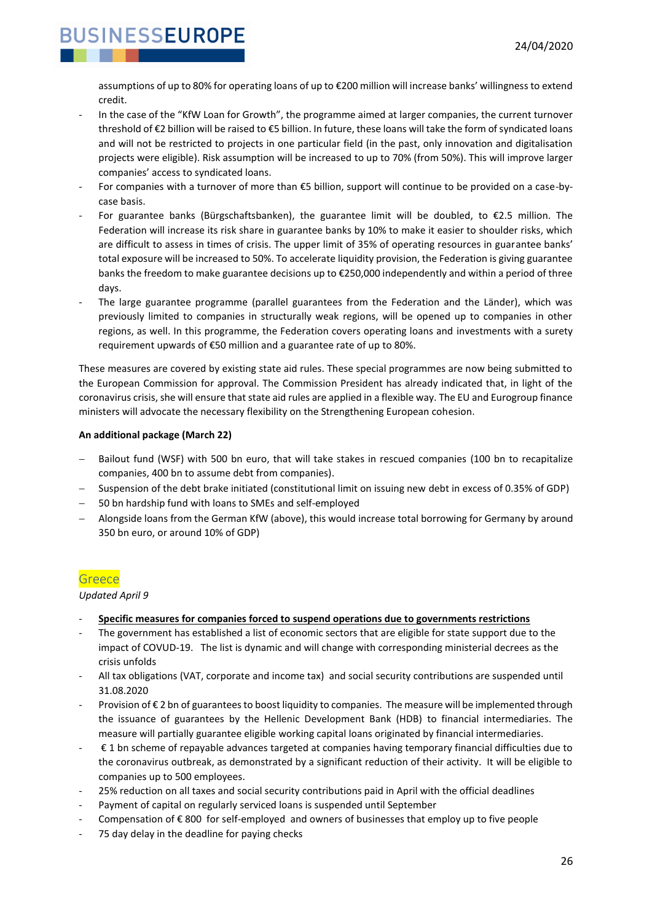assumptions of up to 80% for operating loans of up to €200 million will increase banks' willingness to extend credit.

- In the case of the "KfW Loan for Growth", the programme aimed at larger companies, the current turnover threshold of €2 billion will be raised to €5 billion. In future, these loans will take the form of syndicated loans and will not be restricted to projects in one particular field (in the past, only innovation and digitalisation projects were eligible). Risk assumption will be increased to up to 70% (from 50%). This will improve larger companies' access to syndicated loans.
- For companies with a turnover of more than €5 billion, support will continue to be provided on a case-bycase basis.
- For guarantee banks (Bürgschaftsbanken), the guarantee limit will be doubled, to  $\epsilon$ 2.5 million. The Federation will increase its risk share in guarantee banks by 10% to make it easier to shoulder risks, which are difficult to assess in times of crisis. The upper limit of 35% of operating resources in guarantee banks' total exposure will be increased to 50%. To accelerate liquidity provision, the Federation is giving guarantee banks the freedom to make guarantee decisions up to €250,000 independently and within a period of three days.
- The large guarantee programme (parallel guarantees from the Federation and the Länder), which was previously limited to companies in structurally weak regions, will be opened up to companies in other regions, as well. In this programme, the Federation covers operating loans and investments with a surety requirement upwards of €50 million and a guarantee rate of up to 80%.

These measures are covered by existing state aid rules. These special programmes are now being submitted to the European Commission for approval. The Commission President has already indicated that, in light of the coronavirus crisis, she will ensure that state aid rules are applied in a flexible way. The EU and Eurogroup finance ministers will advocate the necessary flexibility on the Strengthening European cohesion.

#### **An additional package (March 22)**

- Bailout fund (WSF) with 500 bn euro, that will take stakes in rescued companies (100 bn to recapitalize companies, 400 bn to assume debt from companies).
- − Suspension of the debt brake initiated (constitutional limit on issuing new debt in excess of 0.35% of GDP)
- 50 bn hardship fund with loans to SMEs and self-employed
- − Alongside loans from the German KfW (above), this would increase total borrowing for Germany by around 350 bn euro, or around 10% of GDP)

#### <span id="page-25-0"></span>**Greece**

*Updated April 9*

- **Specific measures for companies forced to suspend operations due to governments restrictions**
- The government has established a list of economic sectors that are eligible for state support due to the impact of COVUD-19. The list is dynamic and will change with corresponding ministerial decrees as the crisis unfolds
- All tax obligations (VAT, corporate and income tax) and social security contributions are suspended until 31.08.2020
- Provision of € 2 bn of guarantees to boost liquidity to companies. The measure will be implemented through the issuance of guarantees by the Hellenic Development Bank (HDB) to financial intermediaries. The measure will partially guarantee eligible working capital loans originated by financial intermediaries.
- € 1 bn scheme of repayable advances targeted at companies having temporary financial difficulties due to the coronavirus outbreak, as demonstrated by a significant reduction of their activity. It will be eligible to companies up to 500 employees.
- 25% reduction on all taxes and social security contributions paid in April with the official deadlines
- Payment of capital on regularly serviced loans is suspended until September
- Compensation of € 800 for self-employed and owners of businesses that employ up to five people
- 75 day delay in the deadline for paying checks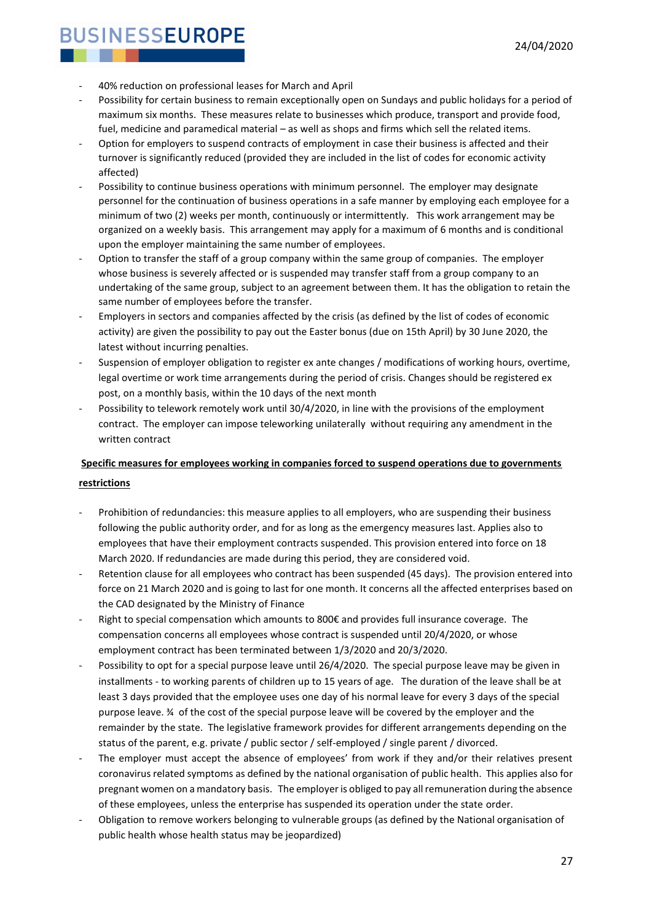- 40% reduction on professional leases for March and April
- Possibility for certain business to remain exceptionally open on Sundays and public holidays for a period of maximum six months. These measures relate to businesses which produce, transport and provide food, fuel, medicine and paramedical material – as well as shops and firms which sell the related items.
- Option for employers to suspend contracts of employment in case their business is affected and their turnover is significantly reduced (provided they are included in the list of codes for economic activity affected)
- Possibility to continue business operations with minimum personnel. The employer may designate personnel for the continuation of business operations in a safe manner by employing each employee for a minimum of two (2) weeks per month, continuously or intermittently. This work arrangement may be organized on a weekly basis. This arrangement may apply for a maximum of 6 months and is conditional upon the employer maintaining the same number of employees.
- Option to transfer the staff of a group company within the same group of companies. The employer whose business is severely affected or is suspended may transfer staff from a group company to an undertaking of the same group, subject to an agreement between them. It has the obligation to retain the same number of employees before the transfer.
- Employers in sectors and companies affected by the crisis (as defined by the list of codes of economic activity) are given the possibility to pay out the Easter bonus (due on 15th April) by 30 June 2020, the latest without incurring penalties.
- Suspension of employer obligation to register ex ante changes / modifications of working hours, overtime, legal overtime or work time arrangements during the period of crisis. Changes should be registered ex post, on a monthly basis, within the 10 days of the next month
- Possibility to telework remotely work until 30/4/2020, in line with the provisions of the employment contract. The employer can impose teleworking unilaterally without requiring any amendment in the written contract

### **Specific measures for employees working in companies forced to suspend operations due to governments restrictions**

- Prohibition of redundancies: this measure applies to all employers, who are suspending their business following the public authority order, and for as long as the emergency measures last. Applies also to employees that have their employment contracts suspended. This provision entered into force on 18 March 2020. If redundancies are made during this period, they are considered void.
- Retention clause for all employees who contract has been suspended (45 days). The provision entered into force on 21 March 2020 and is going to last for one month. It concerns all the affected enterprises based on the CAD designated by the Ministry of Finance
- Right to special compensation which amounts to 800€ and provides full insurance coverage. The compensation concerns all employees whose contract is suspended until 20/4/2020, or whose employment contract has been terminated between 1/3/2020 and 20/3/2020.
- Possibility to opt for a special purpose leave until 26/4/2020. The special purpose leave may be given in installments - to working parents of children up to 15 years of age. The duration of the leave shall be at least 3 days provided that the employee uses one day of his normal leave for every 3 days of the special purpose leave. ¾ of the cost of the special purpose leave will be covered by the employer and the remainder by the state. The legislative framework provides for different arrangements depending on the status of the parent, e.g. private / public sector / self-employed / single parent / divorced.
- The employer must accept the absence of employees' from work if they and/or their relatives present coronavirus related symptoms as defined by the national organisation of public health. This applies also for pregnant women on a mandatory basis. The employer is obliged to pay all remuneration during the absence of these employees, unless the enterprise has suspended its operation under the state order.
- Obligation to remove workers belonging to vulnerable groups (as defined by the National organisation of public health whose health status may be jeopardized)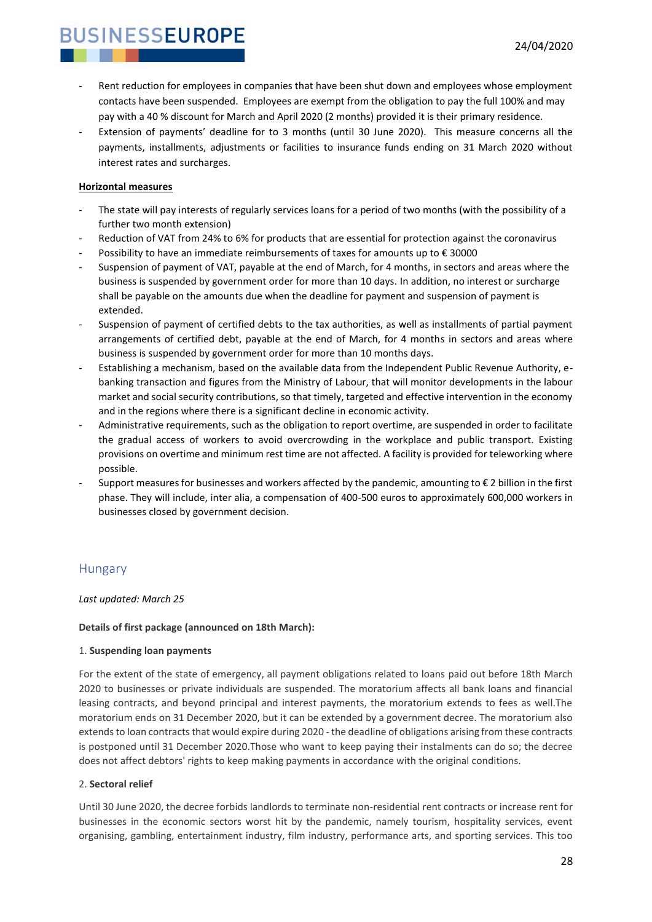- Rent reduction for employees in companies that have been shut down and employees whose employment contacts have been suspended. Employees are exempt from the obligation to pay the full 100% and may pay with a 40 % discount for March and April 2020 (2 months) provided it is their primary residence.
- Extension of payments' deadline for to 3 months (until 30 June 2020). This measure concerns all the payments, installments, adjustments or facilities to insurance funds ending on 31 March 2020 without interest rates and surcharges.

#### **Horizontal measures**

- The state will pay interests of regularly services loans for a period of two months (with the possibility of a further two month extension)
- Reduction of VAT from 24% to 6% for products that are essential for protection against the coronavirus
- Possibility to have an immediate reimbursements of taxes for amounts up to  $\epsilon$  30000
- Suspension of payment of VAT, payable at the end of March, for 4 months, in sectors and areas where the business is suspended by government order for more than 10 days. In addition, no interest or surcharge shall be payable on the amounts due when the deadline for payment and suspension of payment is extended.
- Suspension of payment of certified debts to the tax authorities, as well as installments of partial payment arrangements of certified debt, payable at the end of March, for 4 months in sectors and areas where business is suspended by government order for more than 10 months days.
- Establishing a mechanism, based on the available data from the Independent Public Revenue Authority, ebanking transaction and figures from the Ministry of Labour, that will monitor developments in the labour market and social security contributions, so that timely, targeted and effective intervention in the economy and in the regions where there is a significant decline in economic activity.
- Administrative requirements, such as the obligation to report overtime, are suspended in order to facilitate the gradual access of workers to avoid overcrowding in the workplace and public transport. Existing provisions on overtime and minimum rest time are not affected. A facility is provided for teleworking where possible.
- Support measures for businesses and workers affected by the pandemic, amounting to  $\epsilon$  2 billion in the first phase. They will include, inter alia, a compensation of 400-500 euros to approximately 600,000 workers in businesses closed by government decision.

### <span id="page-27-0"></span>Hungary

#### *Last updated: March 25*

#### **Details of first package (announced on 18th March):**

#### 1. **Suspending loan payments**

For the extent of the state of emergency, all payment obligations related to loans paid out before 18th March 2020 to businesses or private individuals are suspended. The moratorium affects all bank loans and financial leasing contracts, and beyond principal and interest payments, the moratorium extends to fees as well.The moratorium ends on 31 December 2020, but it can be extended by a government decree. The moratorium also extends to loan contracts that would expire during 2020 - the deadline of obligations arising from these contracts is postponed until 31 December 2020.Those who want to keep paying their instalments can do so; the decree does not affect debtors' rights to keep making payments in accordance with the original conditions.

#### 2. **Sectoral relief**

Until 30 June 2020, the decree forbids landlords to terminate non-residential rent contracts or increase rent for businesses in the economic sectors worst hit by the pandemic, namely tourism, hospitality services, event organising, gambling, entertainment industry, film industry, performance arts, and sporting services. This too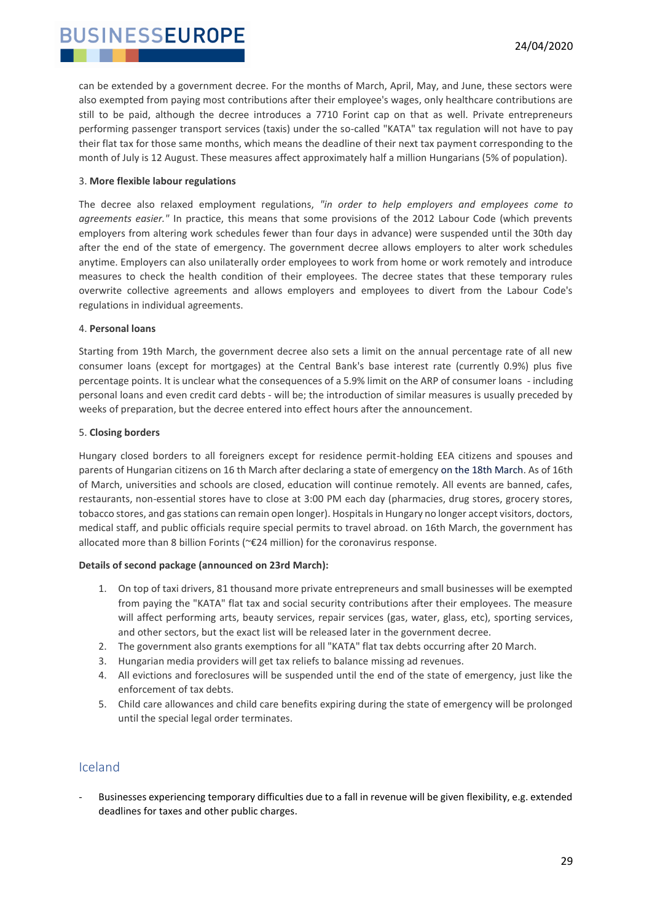can be extended by a government decree. For the months of March, April, May, and June, these sectors were also exempted from paying most contributions after their employee's wages, only healthcare contributions are still to be paid, although the decree introduces a 7710 Forint cap on that as well. Private entrepreneurs performing passenger transport services (taxis) under the so-called "KATA" tax regulation will not have to pay their flat tax for those same months, which means the deadline of their next tax payment corresponding to the month of July is 12 August. These measures affect approximately half a million Hungarians (5% of population).

#### 3. **More flexible labour regulations**

The decree also relaxed employment regulations, *"in order to help employers and employees come to agreements easier."* In practice, this means that some provisions of the 2012 Labour Code (which prevents employers from altering work schedules fewer than four days in advance) were suspended until the 30th day after the end of the state of emergency. The government decree allows employers to alter work schedules anytime. Employers can also unilaterally order employees to work from home or work remotely and introduce measures to check the health condition of their employees. The decree states that these temporary rules overwrite collective agreements and allows employers and employees to divert from the Labour Code's regulations in individual agreements.

#### 4. **Personal loans**

Starting from 19th March, the government decree also sets a limit on the annual percentage rate of all new consumer loans (except for mortgages) at the Central Bank's base interest rate (currently 0.9%) plus five percentage points. It is unclear what the consequences of a 5.9% limit on the ARP of consumer loans - including personal loans and even credit card debts - will be; the introduction of similar measures is usually preceded by weeks of preparation, but the decree entered into effect hours after the announcement.

#### 5. **Closing borders**

Hungary closed borders to all foreigners except for residence permit-holding EEA citizens and spouses and parents of Hungarian citizens on 16 th March after declaring a state of emergency on the 18th March. As of 16th of March, universities and schools are closed, education will continue remotely. All events are banned, cafes, restaurants, non-essential stores have to close at 3:00 PM each day (pharmacies, drug stores, grocery stores, tobacco stores, and gas stations can remain open longer). Hospitals in Hungary no longer accept visitors, doctors, medical staff, and public officials require special permits to travel abroad. on 16th March, the government has allocated more than 8 billion Forints (~€24 million) for the coronavirus response.

#### **Details of second package (announced on 23rd March):**

- 1. On top of taxi drivers, 81 thousand more private entrepreneurs and small businesses will be exempted from paying the "KATA" flat tax and social security contributions after their employees. The measure will affect performing arts, beauty services, repair services (gas, water, glass, etc), sporting services, and other sectors, but the exact list will be released later in the government decree.
- 2. The government also grants exemptions for all "KATA" flat tax debts occurring after 20 March.
- 3. Hungarian media providers will get tax reliefs to balance missing ad revenues.
- 4. All evictions and foreclosures will be suspended until the end of the state of emergency, just like the enforcement of tax debts.
- 5. Child care allowances and child care benefits expiring during the state of emergency will be prolonged until the special legal order terminates.

#### <span id="page-28-0"></span>Iceland

Businesses experiencing temporary difficulties due to a fall in revenue will be given flexibility, e.g. extended deadlines for taxes and other public charges.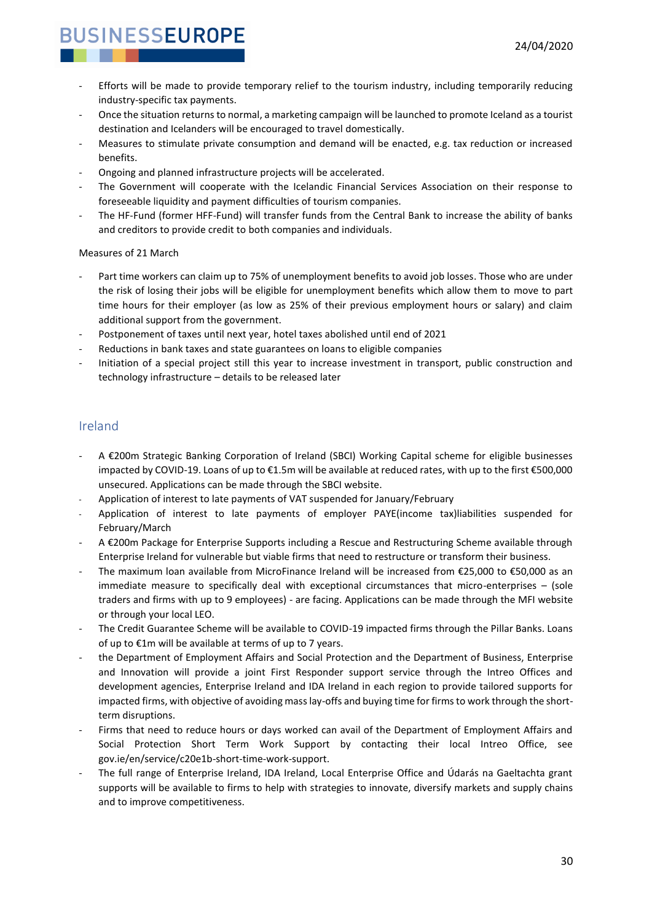- Efforts will be made to provide temporary relief to the tourism industry, including temporarily reducing industry-specific tax payments.
- Once the situation returns to normal, a marketing campaign will be launched to promote Iceland as a tourist destination and Icelanders will be encouraged to travel domestically.
- Measures to stimulate private consumption and demand will be enacted, e.g. tax reduction or increased benefits.
- Ongoing and planned infrastructure projects will be accelerated.
- The Government will cooperate with the Icelandic Financial Services Association on their response to foreseeable liquidity and payment difficulties of tourism companies.
- The HF-Fund (former HFF-Fund) will transfer funds from the Central Bank to increase the ability of banks and creditors to provide credit to both companies and individuals.

#### Measures of 21 March

- Part time workers can claim up to 75% of unemployment benefits to avoid job losses. Those who are under the risk of losing their jobs will be eligible for unemployment benefits which allow them to move to part time hours for their employer (as low as 25% of their previous employment hours or salary) and claim additional support from the government.
- Postponement of taxes until next year, hotel taxes abolished until end of 2021
- Reductions in bank taxes and state guarantees on loans to eligible companies
- Initiation of a special project still this year to increase investment in transport, public construction and technology infrastructure – details to be released later

#### <span id="page-29-0"></span>Ireland

- A €200m Strategic Banking Corporation of Ireland (SBCI) Working Capital scheme for eligible businesses impacted by COVID-19. Loans of up to €1.5m will be available at reduced rates, with up to the first €500,000 unsecured. Applications can be made through the SBCI website.
- Application of interest to late payments of VAT suspended for January/February
- Application of interest to late payments of employer PAYE(income tax)liabilities suspended for February/March
- A €200m Package for Enterprise Supports including a Rescue and Restructuring Scheme available through Enterprise Ireland for vulnerable but viable firms that need to restructure or transform their business.
- The maximum loan available from MicroFinance Ireland will be increased from €25,000 to €50,000 as an immediate measure to specifically deal with exceptional circumstances that micro-enterprises – (sole traders and firms with up to 9 employees) - are facing. Applications can be made through the MFI website or through your local LEO.
- The Credit Guarantee Scheme will be available to COVID-19 impacted firms through the Pillar Banks. Loans of up to €1m will be available at terms of up to 7 years.
- the Department of Employment Affairs and Social Protection and the Department of Business, Enterprise and Innovation will provide a joint First Responder support service through the Intreo Offices and development agencies, Enterprise Ireland and IDA Ireland in each region to provide tailored supports for impacted firms, with objective of avoiding mass lay-offs and buying time for firms to work through the shortterm disruptions.
- Firms that need to reduce hours or days worked can avail of the Department of Employment Affairs and Social Protection Short Term Work Support by contacting their local Intreo Office, see gov.ie/en/service/c20e1b-short-time-work-support.
- The full range of Enterprise Ireland, IDA Ireland, Local Enterprise Office and Údarás na Gaeltachta grant supports will be available to firms to help with strategies to innovate, diversify markets and supply chains and to improve competitiveness.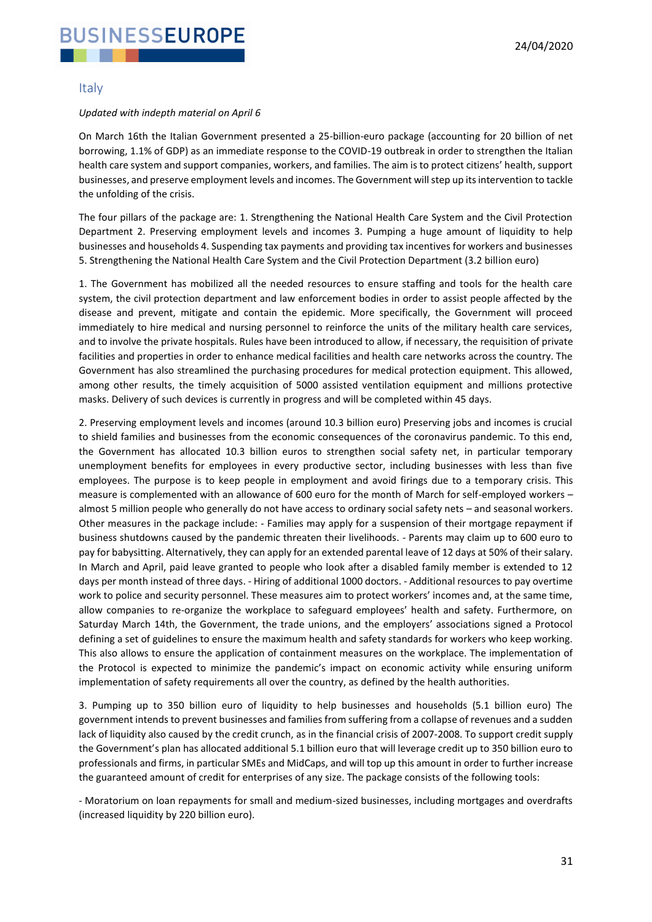#### <span id="page-30-0"></span>Italy

#### *Updated with indepth material on April 6*

On March 16th the Italian Government presented a 25-billion-euro package (accounting for 20 billion of net borrowing, 1.1% of GDP) as an immediate response to the COVID-19 outbreak in order to strengthen the Italian health care system and support companies, workers, and families. The aim is to protect citizens' health, support businesses, and preserve employment levels and incomes. The Government will step up its intervention to tackle the unfolding of the crisis.

The four pillars of the package are: 1. Strengthening the National Health Care System and the Civil Protection Department 2. Preserving employment levels and incomes 3. Pumping a huge amount of liquidity to help businesses and households 4. Suspending tax payments and providing tax incentives for workers and businesses 5. Strengthening the National Health Care System and the Civil Protection Department (3.2 billion euro)

1. The Government has mobilized all the needed resources to ensure staffing and tools for the health care system, the civil protection department and law enforcement bodies in order to assist people affected by the disease and prevent, mitigate and contain the epidemic. More specifically, the Government will proceed immediately to hire medical and nursing personnel to reinforce the units of the military health care services, and to involve the private hospitals. Rules have been introduced to allow, if necessary, the requisition of private facilities and properties in order to enhance medical facilities and health care networks across the country. The Government has also streamlined the purchasing procedures for medical protection equipment. This allowed, among other results, the timely acquisition of 5000 assisted ventilation equipment and millions protective masks. Delivery of such devices is currently in progress and will be completed within 45 days.

2. Preserving employment levels and incomes (around 10.3 billion euro) Preserving jobs and incomes is crucial to shield families and businesses from the economic consequences of the coronavirus pandemic. To this end, the Government has allocated 10.3 billion euros to strengthen social safety net, in particular temporary unemployment benefits for employees in every productive sector, including businesses with less than five employees. The purpose is to keep people in employment and avoid firings due to a temporary crisis. This measure is complemented with an allowance of 600 euro for the month of March for self-employed workers – almost 5 million people who generally do not have access to ordinary social safety nets – and seasonal workers. Other measures in the package include: - Families may apply for a suspension of their mortgage repayment if business shutdowns caused by the pandemic threaten their livelihoods. - Parents may claim up to 600 euro to pay for babysitting. Alternatively, they can apply for an extended parental leave of 12 days at 50% of their salary. In March and April, paid leave granted to people who look after a disabled family member is extended to 12 days per month instead of three days. - Hiring of additional 1000 doctors. - Additional resources to pay overtime work to police and security personnel. These measures aim to protect workers' incomes and, at the same time, allow companies to re-organize the workplace to safeguard employees' health and safety. Furthermore, on Saturday March 14th, the Government, the trade unions, and the employers' associations signed a Protocol defining a set of guidelines to ensure the maximum health and safety standards for workers who keep working. This also allows to ensure the application of containment measures on the workplace. The implementation of the Protocol is expected to minimize the pandemic's impact on economic activity while ensuring uniform implementation of safety requirements all over the country, as defined by the health authorities.

3. Pumping up to 350 billion euro of liquidity to help businesses and households (5.1 billion euro) The government intends to prevent businesses and families from suffering from a collapse of revenues and a sudden lack of liquidity also caused by the credit crunch, as in the financial crisis of 2007-2008. To support credit supply the Government's plan has allocated additional 5.1 billion euro that will leverage credit up to 350 billion euro to professionals and firms, in particular SMEs and MidCaps, and will top up this amount in order to further increase the guaranteed amount of credit for enterprises of any size. The package consists of the following tools:

- Moratorium on loan repayments for small and medium-sized businesses, including mortgages and overdrafts (increased liquidity by 220 billion euro).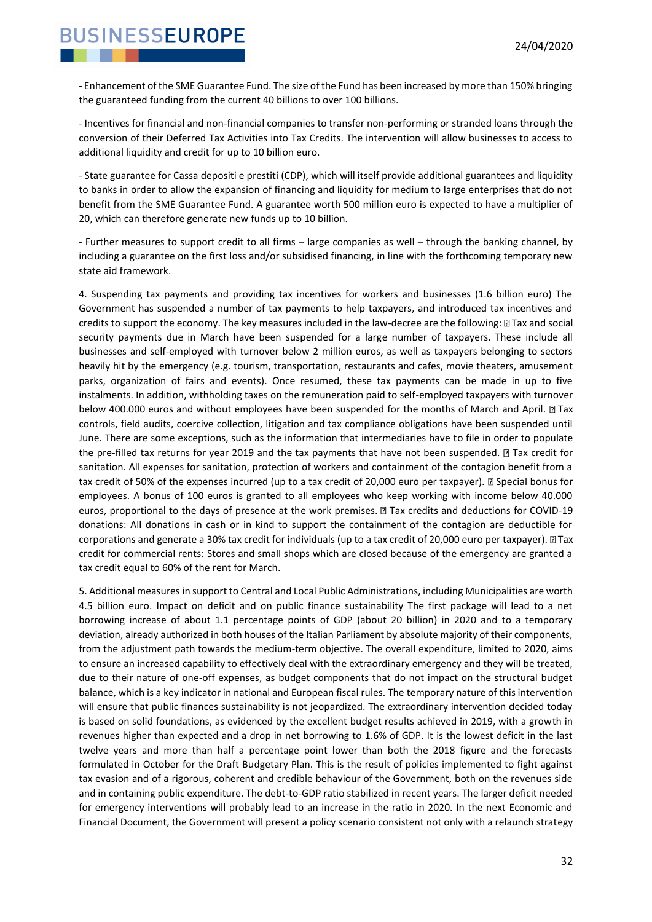- Enhancement of the SME Guarantee Fund. The size of the Fund has been increased by more than 150% bringing the guaranteed funding from the current 40 billions to over 100 billions.

- Incentives for financial and non-financial companies to transfer non-performing or stranded loans through the conversion of their Deferred Tax Activities into Tax Credits. The intervention will allow businesses to access to additional liquidity and credit for up to 10 billion euro.

- State guarantee for Cassa depositi e prestiti (CDP), which will itself provide additional guarantees and liquidity to banks in order to allow the expansion of financing and liquidity for medium to large enterprises that do not benefit from the SME Guarantee Fund. A guarantee worth 500 million euro is expected to have a multiplier of 20, which can therefore generate new funds up to 10 billion.

- Further measures to support credit to all firms – large companies as well – through the banking channel, by including a guarantee on the first loss and/or subsidised financing, in line with the forthcoming temporary new state aid framework.

4. Suspending tax payments and providing tax incentives for workers and businesses (1.6 billion euro) The Government has suspended a number of tax payments to help taxpayers, and introduced tax incentives and credits to support the economy. The key measures included in the law-decree are the following: [2] Tax and social security payments due in March have been suspended for a large number of taxpayers. These include all businesses and self-employed with turnover below 2 million euros, as well as taxpayers belonging to sectors heavily hit by the emergency (e.g. tourism, transportation, restaurants and cafes, movie theaters, amusement parks, organization of fairs and events). Once resumed, these tax payments can be made in up to five instalments. In addition, withholding taxes on the remuneration paid to self-employed taxpayers with turnover below 400.000 euros and without employees have been suspended for the months of March and April. and controls, field audits, coercive collection, litigation and tax compliance obligations have been suspended until June. There are some exceptions, such as the information that intermediaries have to file in order to populate the pre-filled tax returns for year 2019 and the tax payments that have not been suspended. I Tax credit for sanitation. All expenses for sanitation, protection of workers and containment of the contagion benefit from a tax credit of 50% of the expenses incurred (up to a tax credit of 20,000 euro per taxpayer). *D* Special bonus for employees. A bonus of 100 euros is granted to all employees who keep working with income below 40.000 euros, proportional to the days of presence at the work premises. I Tax credits and deductions for COVID-19 donations: All donations in cash or in kind to support the containment of the contagion are deductible for corporations and generate a 30% tax credit for individuals (up to a tax credit of 20,000 euro per taxpayer).  $\Box$  Tax credit for commercial rents: Stores and small shops which are closed because of the emergency are granted a tax credit equal to 60% of the rent for March.

5. Additional measures in support to Central and Local Public Administrations, including Municipalities are worth 4.5 billion euro. Impact on deficit and on public finance sustainability The first package will lead to a net borrowing increase of about 1.1 percentage points of GDP (about 20 billion) in 2020 and to a temporary deviation, already authorized in both houses of the Italian Parliament by absolute majority of their components, from the adjustment path towards the medium-term objective. The overall expenditure, limited to 2020, aims to ensure an increased capability to effectively deal with the extraordinary emergency and they will be treated, due to their nature of one-off expenses, as budget components that do not impact on the structural budget balance, which is a key indicator in national and European fiscal rules. The temporary nature of this intervention will ensure that public finances sustainability is not jeopardized. The extraordinary intervention decided today is based on solid foundations, as evidenced by the excellent budget results achieved in 2019, with a growth in revenues higher than expected and a drop in net borrowing to 1.6% of GDP. It is the lowest deficit in the last twelve years and more than half a percentage point lower than both the 2018 figure and the forecasts formulated in October for the Draft Budgetary Plan. This is the result of policies implemented to fight against tax evasion and of a rigorous, coherent and credible behaviour of the Government, both on the revenues side and in containing public expenditure. The debt-to-GDP ratio stabilized in recent years. The larger deficit needed for emergency interventions will probably lead to an increase in the ratio in 2020. In the next Economic and Financial Document, the Government will present a policy scenario consistent not only with a relaunch strategy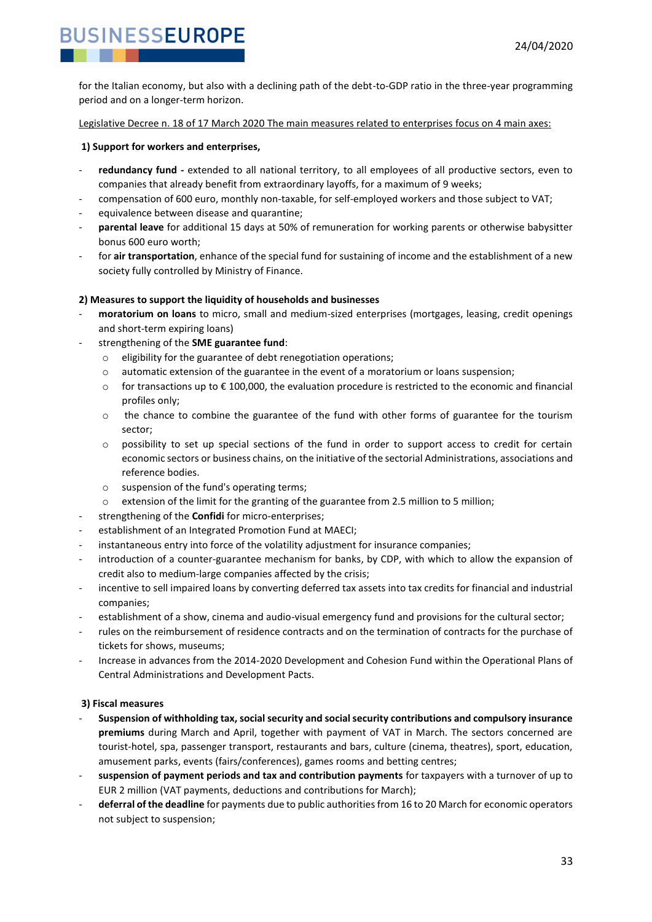for the Italian economy, but also with a declining path of the debt-to-GDP ratio in the three-year programming period and on a longer-term horizon.

Legislative Decree n. 18 of 17 March 2020 The main measures related to enterprises focus on 4 main axes:

#### **1) Support for workers and enterprises,**

- redundancy fund extended to all national territory, to all employees of all productive sectors, even to companies that already benefit from extraordinary layoffs, for a maximum of 9 weeks;
- compensation of 600 euro, monthly non-taxable, for self-employed workers and those subject to VAT;
- equivalence between disease and quarantine;
- **parental leave** for additional 15 days at 50% of remuneration for working parents or otherwise babysitter bonus 600 euro worth;
- for **air transportation**, enhance of the special fund for sustaining of income and the establishment of a new society fully controlled by Ministry of Finance.

#### **2) Measures to support the liquidity of households and businesses**

- **moratorium on loans** to micro, small and medium-sized enterprises (mortgages, leasing, credit openings and short-term expiring loans)
- strengthening of the **SME guarantee fund**:
	- o eligibility for the guarantee of debt renegotiation operations;
	- $\circ$  automatic extension of the guarantee in the event of a moratorium or loans suspension;
	- o for transactions up to  $\epsilon$  100,000, the evaluation procedure is restricted to the economic and financial profiles only;
	- $\circ$  the chance to combine the guarantee of the fund with other forms of guarantee for the tourism sector;
	- o possibility to set up special sections of the fund in order to support access to credit for certain economic sectors or business chains, on the initiative of the sectorial Administrations, associations and reference bodies.
	- o suspension of the fund's operating terms;
	- $\circ$  extension of the limit for the granting of the guarantee from 2.5 million to 5 million;
- strengthening of the **Confidi** for micro-enterprises;
- establishment of an Integrated Promotion Fund at MAECI;
- instantaneous entry into force of the volatility adjustment for insurance companies;
- introduction of a counter-guarantee mechanism for banks, by CDP, with which to allow the expansion of credit also to medium-large companies affected by the crisis;
- incentive to sell impaired loans by converting deferred tax assets into tax credits for financial and industrial companies;
- establishment of a show, cinema and audio-visual emergency fund and provisions for the cultural sector;
- rules on the reimbursement of residence contracts and on the termination of contracts for the purchase of tickets for shows, museums;
- Increase in advances from the 2014-2020 Development and Cohesion Fund within the Operational Plans of Central Administrations and Development Pacts.

#### **3) Fiscal measures**

- **Suspension of withholding tax, social security and social security contributions and compulsory insurance premiums** during March and April, together with payment of VAT in March. The sectors concerned are tourist-hotel, spa, passenger transport, restaurants and bars, culture (cinema, theatres), sport, education, amusement parks, events (fairs/conferences), games rooms and betting centres;
- **suspension of payment periods and tax and contribution payments** for taxpayers with a turnover of up to EUR 2 million (VAT payments, deductions and contributions for March);
- **deferral of the deadline** for payments due to public authorities from 16 to 20 March for economic operators not subject to suspension;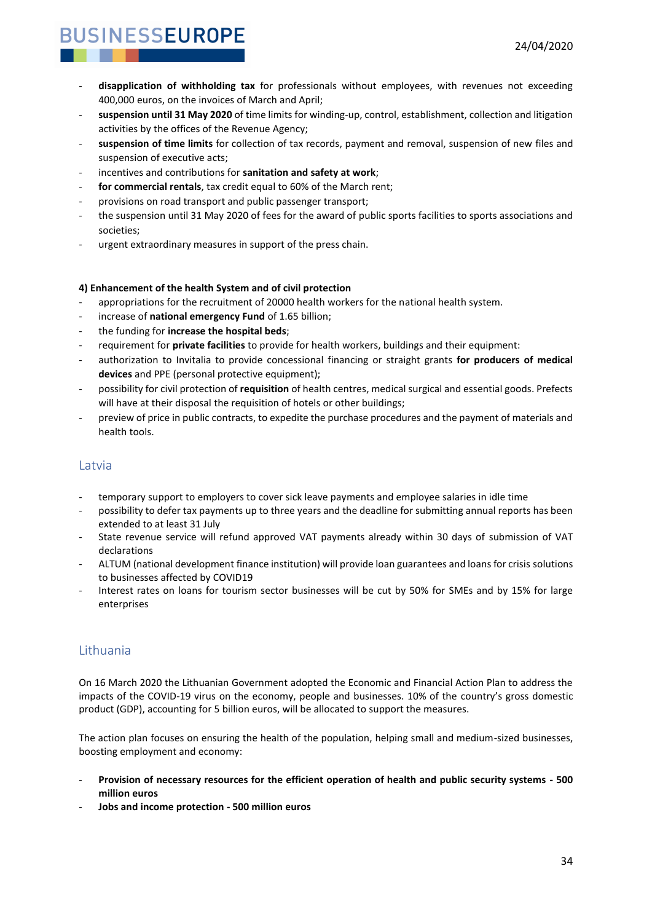- **disapplication of withholding tax** for professionals without employees, with revenues not exceeding 400,000 euros, on the invoices of March and April;
- **suspension until 31 May 2020** of time limits for winding-up, control, establishment, collection and litigation activities by the offices of the Revenue Agency;
- **suspension of time limits** for collection of tax records, payment and removal, suspension of new files and suspension of executive acts;
- incentives and contributions for **sanitation and safety at work**;
- for commercial rentals, tax credit equal to 60% of the March rent;
- provisions on road transport and public passenger transport;
- the suspension until 31 May 2020 of fees for the award of public sports facilities to sports associations and societies;
- urgent extraordinary measures in support of the press chain.

#### **4) Enhancement of the health System and of civil protection**

- appropriations for the recruitment of 20000 health workers for the national health system.
- increase of national emergency Fund of 1.65 billion;
- the funding for **increase the hospital beds**;
- requirement for **private facilities** to provide for health workers, buildings and their equipment:
- authorization to Invitalia to provide concessional financing or straight grants **for producers of medical devices** and PPE (personal protective equipment);
- possibility for civil protection of **requisition** of health centres, medical surgical and essential goods. Prefects will have at their disposal the requisition of hotels or other buildings:
- preview of price in public contracts, to expedite the purchase procedures and the payment of materials and health tools.

#### <span id="page-33-0"></span>**Latvia**

- temporary support to employers to cover sick leave payments and employee salaries in idle time
- possibility to defer tax payments up to three years and the deadline for submitting annual reports has been extended to at least 31 July
- State revenue service will refund approved VAT payments already within 30 days of submission of VAT declarations
- ALTUM (national development finance institution) will provide loan guarantees and loans for crisis solutions to businesses affected by COVID19
- Interest rates on loans for tourism sector businesses will be cut by 50% for SMEs and by 15% for large enterprises

### <span id="page-33-1"></span>Lithuania

On 16 March 2020 the Lithuanian Government adopted the Economic and Financial Action Plan to address the impacts of the COVID-19 virus on the economy, people and businesses. 10% of the country's gross domestic product (GDP), accounting for 5 billion euros, will be allocated to support the measures.

The action plan focuses on ensuring the health of the population, helping small and medium-sized businesses, boosting employment and economy:

- **Provision of necessary resources for the efficient operation of health and public security systems - 500 million euros**
- **Jobs and income protection - 500 million euros**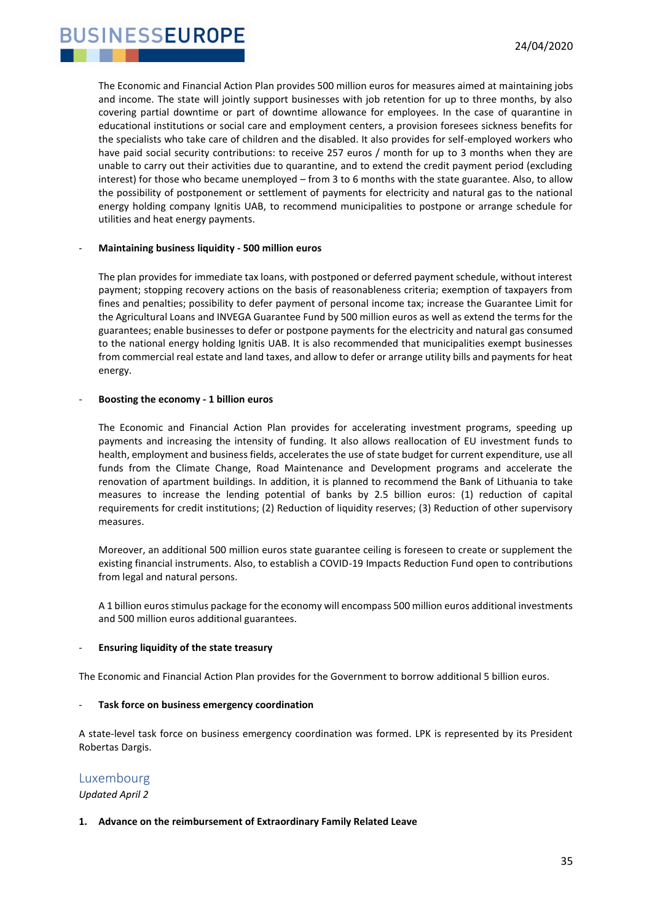**JSINESSEUROPE** 

The Economic and Financial Action Plan provides 500 million euros for measures aimed at maintaining jobs and income. The state will jointly support businesses with job retention for up to three months, by also covering partial downtime or part of downtime allowance for employees. In the case of quarantine in educational institutions or social care and employment centers, a provision foresees sickness benefits for the specialists who take care of children and the disabled. It also provides for self-employed workers who have paid social security contributions: to receive 257 euros / month for up to 3 months when they are unable to carry out their activities due to quarantine, and to extend the credit payment period (excluding interest) for those who became unemployed – from 3 to 6 months with the state guarantee. Also, to allow the possibility of postponement or settlement of payments for electricity and natural gas to the national energy holding company Ignitis UAB, to recommend municipalities to postpone or arrange schedule for utilities and heat energy payments.

#### - **Maintaining business liquidity - 500 million euros**

The plan provides for immediate tax loans, with postponed or deferred payment schedule, without interest payment; stopping recovery actions on the basis of reasonableness criteria; exemption of taxpayers from fines and penalties; possibility to defer payment of personal income tax; increase the Guarantee Limit for the Agricultural Loans and INVEGA Guarantee Fund by 500 million euros as well as extend the terms for the guarantees; enable businesses to defer or postpone payments for the electricity and natural gas consumed to the national energy holding Ignitis UAB. It is also recommended that municipalities exempt businesses from commercial real estate and land taxes, and allow to defer or arrange utility bills and payments for heat energy.

#### - **Boosting the economy - 1 billion euros**

The Economic and Financial Action Plan provides for accelerating investment programs, speeding up payments and increasing the intensity of funding. It also allows reallocation of EU investment funds to health, employment and business fields, accelerates the use of state budget for current expenditure, use all funds from the Climate Change, Road Maintenance and Development programs and accelerate the renovation of apartment buildings. In addition, it is planned to recommend the Bank of Lithuania to take measures to increase the lending potential of banks by 2.5 billion euros: (1) reduction of capital requirements for credit institutions; (2) Reduction of liquidity reserves; (3) Reduction of other supervisory measures.

Moreover, an additional 500 million euros state guarantee ceiling is foreseen to create or supplement the existing financial instruments. Also, to establish a COVID-19 Impacts Reduction Fund open to contributions from legal and natural persons.

A 1 billion euros stimulus package for the economy will encompass 500 million euros additional investments and 500 million euros additional guarantees.

#### - **Ensuring liquidity of the state treasury**

The Economic and Financial Action Plan provides for the Government to borrow additional 5 billion euros.

#### - **Task force on business emergency coordination**

A state-level task force on business emergency coordination was formed. LPK is represented by its President Robertas Dargis.

#### <span id="page-34-0"></span>Luxembourg

*Updated April 2*

#### **1. Advance on the reimbursement of Extraordinary Family Related Leave**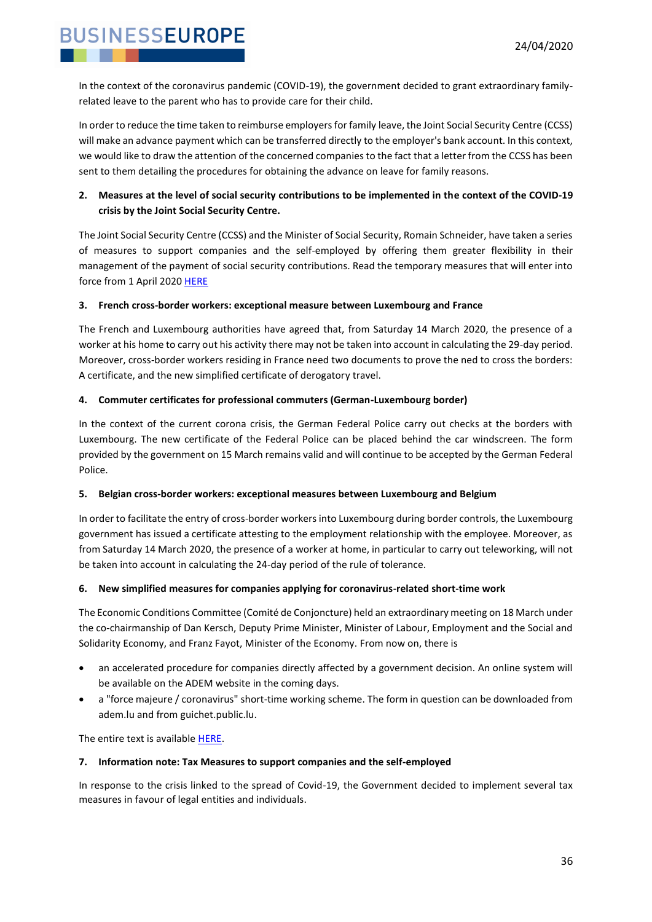In the context of the coronavirus pandemic (COVID-19), the government decided to grant extraordinary familyrelated leave to the parent who has to provide care for their child.

In order to reduce the time taken to reimburse employers for family leave, the Joint Social Security Centre (CCSS) will make an advance payment which can be transferred directly to the employer's bank account. In this context, we would like to draw the attention of the concerned companies to the fact that a letter from the CCSS has been sent to them detailing the procedures for obtaining the advance on leave for family reasons.

#### **2. Measures at the level of social security contributions to be implemented in the context of the COVID-19 crisis by the Joint Social Security Centre.**

The Joint Social Security Centre (CCSS) and the Minister of Social Security, Romain Schneider, have taken a series of measures to support companies and the self-employed by offering them greater flexibility in their management of the payment of social security contributions. Read the temporary measures that will enter into force from 1 April 202[0 HERE](https://gouvernement.lu/en/actualites/toutes_actualites/communiques/2020/03-mars/19-cotisations-sociales.html)

#### **3. French cross-border workers: exceptional measure between Luxembourg and France**

The French and Luxembourg authorities have agreed that, from Saturday 14 March 2020, the presence of a worker at his home to carry out his activity there may not be taken into account in calculating the 29-day period. Moreover, cross-border workers residing in France need two documents to prove the ned to cross the borders: A certificate, and the new simplified certificate of derogatory travel.

#### **4. Commuter certificates for professional commuters (German-Luxembourg border)**

In the context of the current corona crisis, the German Federal Police carry out checks at the borders with Luxembourg. The new certificate of the Federal Police can be placed behind the car windscreen. The form provided by the government on 15 March remains valid and will continue to be accepted by the German Federal Police.

#### **5. Belgian cross-border workers: exceptional measures between Luxembourg and Belgium**

In order to facilitate the entry of cross-border workers into Luxembourg during border controls, the Luxembourg government has issued a certificate attesting to the employment relationship with the employee. Moreover, as from Saturday 14 March 2020, the presence of a worker at home, in particular to carry out teleworking, will not be taken into account in calculating the 24-day period of the rule of tolerance.

#### **6. New simplified measures for companies applying for coronavirus-related short-time work**

The Economic Conditions Committee (Comité de Conjoncture) held an extraordinary meeting on 18 March under the co-chairmanship of Dan Kersch, Deputy Prime Minister, Minister of Labour, Employment and the Social and Solidarity Economy, and Franz Fayot, Minister of the Economy. From now on, there is

- an accelerated procedure for companies directly affected by a government decision. An online system will be available on the ADEM website in the coming days.
- a "force majeure / coronavirus" short-time working scheme. The form in question can be downloaded from adem.lu and from guichet.public.lu.

The entire text is available [HERE.](https://gouvernement.lu/fr/actualites/toutes_actualites/communiques/2020/03-mars/18-aides-entreprises-chomage.html?_cldee=YW5nZWxhLmxvbWF1cm9AZmVkaWwubHU%3d&recipientid=contact-3a5b9338ebfee811a96b000d3a39c345-f3b3963b596142ac9c640650d1146b2f&esid=e79750b6-196d-ea11-a811-000d3aa874dc)

#### **7. Information note: Tax Measures to support companies and the self-employed**

In response to the crisis linked to the spread of Covid-19, the Government decided to implement several tax measures in favour of legal entities and individuals.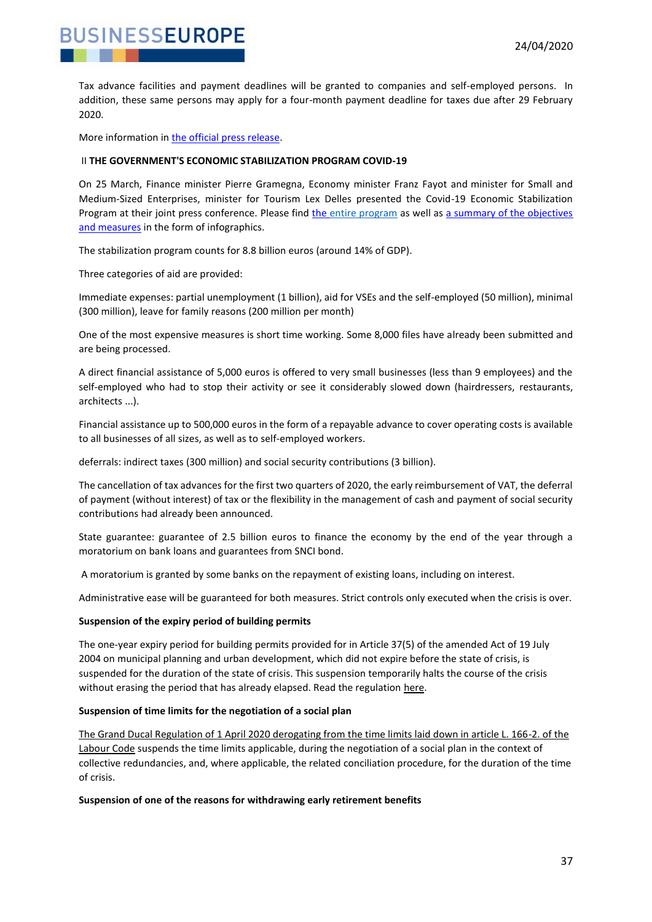

Tax advance facilities and payment deadlines will be granted to companies and self-employed persons. In addition, these same persons may apply for a four-month payment deadline for taxes due after 29 February 2020.

More information in [the official press release.](https://gouvernement.lu/en/actualites/toutes_actualites/communiques/2020/03-mars/17-mesures-fiscales-covid19.html)

**BUSINESSEUROPE** 

#### II **THE GOVERNMENT'S ECONOMIC STABILIZATION PROGRAM COVID-19**

On 25 March, Finance minister Pierre Gramegna, Economy minister Franz Fayot and minister for Small and Medium-Sized Enterprises, minister for Tourism Lex Delles presented the Covid-19 Economic Stabilization Program at their joint press conference. Please find [the entire program](https://elinkeu.clickdimensions.com/c/6/?T=MTQwMjQ2NDY%3AcDEtYjIwMDg1LWI4NTU5OTZiMzI1YzRmMDlhNDE5NzEzYTVkY2IwNjQy%3AYW5nZWxhLmxvbWF1cm9AZmVkaWwubHU%3AY29udGFjdC0zYTViOTMzOGViZmVlODExYTk2YjAwMGQzYTM5YzM0NS04M2NhN2NlZGNlZmI0NmI2OTJkN2YyYWZlYzhhYmIwYg%3AZmFsc2U%3AMg%3A%3AaHR0cHM6Ly93d3cuZmVkaWwubHUvd3AtY29udGVudC91cGxvYWRzLzIwMjAvMDMvMDk3ODBfTUZJTl9Db3ZpZDE5X1RhYmxlYXVfc3RhYmlsaXNhdGlvbi5wZGY_X2NsZGVlPVlXNW5aV3hoTG14dmJXRjFjbTlBWm1Wa2FXd3ViSFUlM2QmcmVjaXBpZW50aWQ9Y29udGFjdC0zYTViOTMzOGViZmVlODExYTk2YjAwMGQzYTM5YzM0NS04M2NhN2NlZGNlZmI0NmI2OTJkN2YyYWZlYzhhYmIwYiZlc2lkPWYzN2I1MzQ1LWNlNmUtZWExMS1hODExLTAwMGQzYTIzM2JiMQ&K=3rx3BWQERzxuSPoATqb1Ig) as well as a summary of the objectives [and measures](https://elinkeu.clickdimensions.com/c/6/?T=MTQwMjQ2NDY%3AcDEtYjIwMDg1LWI4NTU5OTZiMzI1YzRmMDlhNDE5NzEzYTVkY2IwNjQy%3AYW5nZWxhLmxvbWF1cm9AZmVkaWwubHU%3AY29udGFjdC0zYTViOTMzOGViZmVlODExYTk2YjAwMGQzYTM5YzM0NS04M2NhN2NlZGNlZmI0NmI2OTJkN2YyYWZlYzhhYmIwYg%3AZmFsc2U%3AMw%3A%3AaHR0cHM6Ly93d3cuZmVkaWwubHUvd3AtY29udGVudC91cGxvYWRzLzIwMjAvMDMvMDk3ODBfTUZJTl9Db3ZpZDE5X0ZpY2hlc0FpZGVzLnBkZj9fY2xkZWU9WVc1blpXeGhMbXh2YldGMWNtOUFabVZrYVd3dWJIVSUzZCZyZWNpcGllbnRpZD1jb250YWN0LTNhNWI5MzM4ZWJmZWU4MTFhOTZiMDAwZDNhMzljMzQ1LTgzY2E3Y2VkY2VmYjQ2YjY5MmQ3ZjJhZmVjOGFiYjBiJmVzaWQ9ZjM3YjUzNDUtY2U2ZS1lYTExLWE4MTEtMDAwZDNhMjMzYmIx&K=mY2HWCHtcCh7TOmf6WK9wA) in the form of infographics.

The stabilization program counts for 8.8 billion euros (around 14% of GDP).

Three categories of aid are provided:

Immediate expenses: partial unemployment (1 billion), aid for VSEs and the self-employed (50 million), minimal (300 million), leave for family reasons (200 million per month)

One of the most expensive measures is short time working. Some 8,000 files have already been submitted and are being processed.

A direct financial assistance of 5,000 euros is offered to very small businesses (less than 9 employees) and the self-employed who had to stop their activity or see it considerably slowed down (hairdressers, restaurants, architects ...).

Financial assistance up to 500,000 euros in the form of a repayable advance to cover operating costs is available to all businesses of all sizes, as well as to self-employed workers.

deferrals: indirect taxes (300 million) and social security contributions (3 billion).

The cancellation of tax advances for the first two quarters of 2020, the early reimbursement of VAT, the deferral of payment (without interest) of tax or the flexibility in the management of cash and payment of social security contributions had already been announced.

State guarantee: guarantee of 2.5 billion euros to finance the economy by the end of the year through a moratorium on bank loans and guarantees from SNCI bond.

A moratorium is granted by some banks on the repayment of existing loans, including on interest.

Administrative ease will be guaranteed for both measures. Strict controls only executed when the crisis is over.

#### **Suspension of the expiry period of building permits**

The one-year expiry period for building permits provided for in Article 37(5) of the amended Act of 19 July 2004 on municipal planning and urban development, which did not expire before the state of crisis, is suspended for the duration of the state of crisis. This suspension temporarily halts the course of the crisis without erasing the period that has already elapsed. Read the regulation [here.](https://elinkeu.clickdimensions.com/c/6/?T=MTQwMjQ2NDY%3AcDEtYjIwMDkzLWY4ZjBmNDE2OTVjNzQ2MDI4MzU3MzE5N2IyYTY3ZmEx%3AYW5nZWxhLmxvbWF1cm9AZmVkaWwubHU%3AY29udGFjdC0zYTViOTMzOGViZmVlODExYTk2YjAwMGQzYTM5YzM0NS05ZTY0MjdiMzU1YTE0MzdjYjI4MzkzNGNjNDhlZGE3NA%3AZmFsc2U%3ANw%3A%3AaHR0cDovL2xlZ2lsdXgucHVibGljLmx1L2VsaS9ldGF0L2xlZy9yZ2QvMjAyMC8wNC8wMS9hMjIxL2pvP19jbGRlZT1ZVzVuWld4aExteHZiV0YxY205QVptVmthV3d1YkhVJTNkJnJlY2lwaWVudGlkPWNvbnRhY3QtM2E1YjkzMzhlYmZlZTgxMWE5NmIwMDBkM2EzOWMzNDUtOWU2NDI3YjM1NWExNDM3Y2IyODM5MzRjYzQ4ZWRhNzQmZXNpZD1lNmE1ODY4OS1jNzc0LWVhMTEtYTgxMS0wMDBkM2FhODdiZDI&K=7cXLRsV9IRhSn5ibwc-qqQ)

#### **Suspension of time limits for the negotiation of a social plan**

[The Grand Ducal Regulation of 1 April 2020 derogating from the time limits laid down in article L. 166-2. of](https://elinkeu.clickdimensions.com/c/6/?T=MTQwMjQ2NDY%3AcDEtYjIwMDkzLWY4ZjBmNDE2OTVjNzQ2MDI4MzU3MzE5N2IyYTY3ZmEx%3AYW5nZWxhLmxvbWF1cm9AZmVkaWwubHU%3AY29udGFjdC0zYTViOTMzOGViZmVlODExYTk2YjAwMGQzYTM5YzM0NS05ZTY0MjdiMzU1YTE0MzdjYjI4MzkzNGNjNDhlZGE3NA%3AZmFsc2U%3AOA%3A%3AaHR0cDovL3d3dy5sZWdpbHV4Lmx1L2VsaS9ldGF0L2xlZy9yZ2QvMjAyMC8wNC8wMS9hMjI2L2pvP19jbGRlZT1ZVzVuWld4aExteHZiV0YxY205QVptVmthV3d1YkhVJTNkJnJlY2lwaWVudGlkPWNvbnRhY3QtM2E1YjkzMzhlYmZlZTgxMWE5NmIwMDBkM2EzOWMzNDUtOWU2NDI3YjM1NWExNDM3Y2IyODM5MzRjYzQ4ZWRhNzQmZXNpZD1lNmE1ODY4OS1jNzc0LWVhMTEtYTgxMS0wMDBkM2FhODdiZDI&K=QTm3hb4P57MuK7RTi-i7rA) the [Labour Code](https://elinkeu.clickdimensions.com/c/6/?T=MTQwMjQ2NDY%3AcDEtYjIwMDkzLWY4ZjBmNDE2OTVjNzQ2MDI4MzU3MzE5N2IyYTY3ZmEx%3AYW5nZWxhLmxvbWF1cm9AZmVkaWwubHU%3AY29udGFjdC0zYTViOTMzOGViZmVlODExYTk2YjAwMGQzYTM5YzM0NS05ZTY0MjdiMzU1YTE0MzdjYjI4MzkzNGNjNDhlZGE3NA%3AZmFsc2U%3AOA%3A%3AaHR0cDovL3d3dy5sZWdpbHV4Lmx1L2VsaS9ldGF0L2xlZy9yZ2QvMjAyMC8wNC8wMS9hMjI2L2pvP19jbGRlZT1ZVzVuWld4aExteHZiV0YxY205QVptVmthV3d1YkhVJTNkJnJlY2lwaWVudGlkPWNvbnRhY3QtM2E1YjkzMzhlYmZlZTgxMWE5NmIwMDBkM2EzOWMzNDUtOWU2NDI3YjM1NWExNDM3Y2IyODM5MzRjYzQ4ZWRhNzQmZXNpZD1lNmE1ODY4OS1jNzc0LWVhMTEtYTgxMS0wMDBkM2FhODdiZDI&K=QTm3hb4P57MuK7RTi-i7rA) suspends the time limits applicable, during the negotiation of a social plan in the context of collective redundancies, and, where applicable, the related conciliation procedure, for the duration of the time of crisis.

**Suspension of one of the reasons for withdrawing early retirement benefits**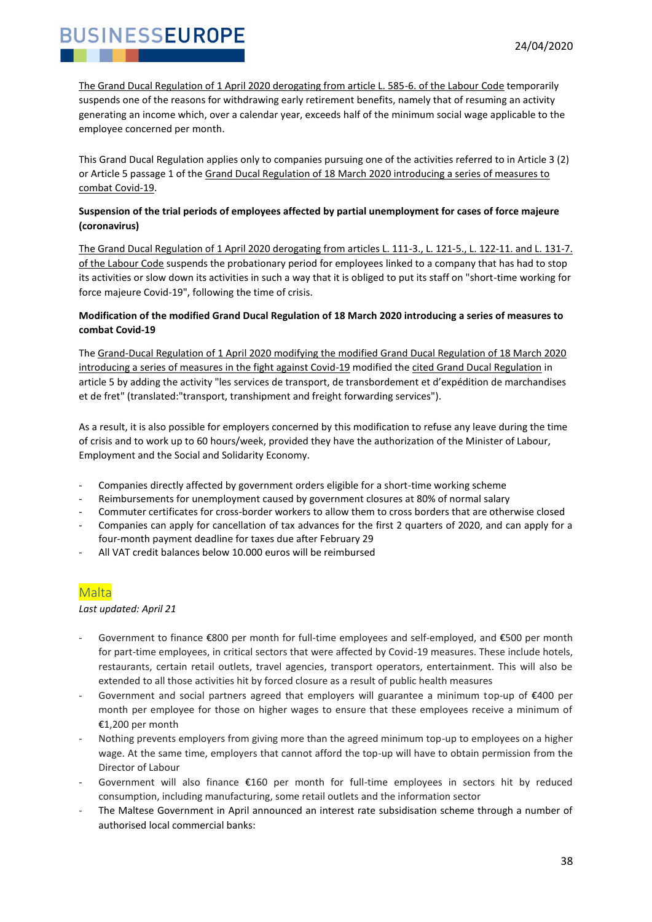[The Grand Ducal Regulation of 1 April 2020 derogating from article L. 585-6. of the Labour Code](https://elinkeu.clickdimensions.com/c/6/?T=MTQwMjQ2NDY%3AcDEtYjIwMDkzLWY4ZjBmNDE2OTVjNzQ2MDI4MzU3MzE5N2IyYTY3ZmEx%3AYW5nZWxhLmxvbWF1cm9AZmVkaWwubHU%3AY29udGFjdC0zYTViOTMzOGViZmVlODExYTk2YjAwMGQzYTM5YzM0NS05ZTY0MjdiMzU1YTE0MzdjYjI4MzkzNGNjNDhlZGE3NA%3AZmFsc2U%3AOQ%3A%3AaHR0cDovL3d3dy5sZWdpbHV4Lmx1L2VsaS9ldGF0L2xlZy9yZ2QvMjAyMC8wNC8wMS9hMjI1L2pvP19jbGRlZT1ZVzVuWld4aExteHZiV0YxY205QVptVmthV3d1YkhVJTNkJnJlY2lwaWVudGlkPWNvbnRhY3QtM2E1YjkzMzhlYmZlZTgxMWE5NmIwMDBkM2EzOWMzNDUtOWU2NDI3YjM1NWExNDM3Y2IyODM5MzRjYzQ4ZWRhNzQmZXNpZD1lNmE1ODY4OS1jNzc0LWVhMTEtYTgxMS0wMDBkM2FhODdiZDI&K=xK1_96ruifI2awAcIo4DDg) temporarily suspends one of the reasons for withdrawing early retirement benefits, namely that of resuming an activity generating an income which, over a calendar year, exceeds half of the minimum social wage applicable to the employee concerned per month.

This Grand Ducal Regulation applies only to companies pursuing one of the activities referred to in Article 3 (2) or Article 5 passage 1 of the Grand Ducal Regulation of 18 March 2020 introducing a series of measures to [combat Covid-19.](https://elinkeu.clickdimensions.com/c/6/?T=MTQwMjQ2NDY%3AcDEtYjIwMDkzLWY4ZjBmNDE2OTVjNzQ2MDI4MzU3MzE5N2IyYTY3ZmEx%3AYW5nZWxhLmxvbWF1cm9AZmVkaWwubHU%3AY29udGFjdC0zYTViOTMzOGViZmVlODExYTk2YjAwMGQzYTM5YzM0NS05ZTY0MjdiMzU1YTE0MzdjYjI4MzkzNGNjNDhlZGE3NA%3AZmFsc2U%3AMTA%3A%3AaHR0cDovL3d3dy5sZWdpbHV4Lmx1L2VsaS9ldGF0L2xlZy9yZ2QvMjAyMC8wMy8xOC9hMTY1L2pvP19jbGRlZT1ZVzVuWld4aExteHZiV0YxY205QVptVmthV3d1YkhVJTNkJnJlY2lwaWVudGlkPWNvbnRhY3QtM2E1YjkzMzhlYmZlZTgxMWE5NmIwMDBkM2EzOWMzNDUtOWU2NDI3YjM1NWExNDM3Y2IyODM5MzRjYzQ4ZWRhNzQmZXNpZD1lNmE1ODY4OS1jNzc0LWVhMTEtYTgxMS0wMDBkM2FhODdiZDI&K=Hmi6MvpvIytx7KJIGPR0oQ)

#### **Suspension of the trial periods of employees affected by partial unemployment for cases of force majeure (coronavirus)**

[The Grand Ducal Regulation of 1 April 2020 derogating from articles L. 111-3., L. 121-5., L. 122-11. and L. 131-7.](https://elinkeu.clickdimensions.com/c/6/?T=MTQwMjQ2NDY%3AcDEtYjIwMDkzLWY4ZjBmNDE2OTVjNzQ2MDI4MzU3MzE5N2IyYTY3ZmEx%3AYW5nZWxhLmxvbWF1cm9AZmVkaWwubHU%3AY29udGFjdC0zYTViOTMzOGViZmVlODExYTk2YjAwMGQzYTM5YzM0NS05ZTY0MjdiMzU1YTE0MzdjYjI4MzkzNGNjNDhlZGE3NA%3AZmFsc2U%3AMTE%3A%3AaHR0cDovL3d3dy5sZWdpbHV4Lmx1L2VsaS9ldGF0L2xlZy9yZ2QvMjAyMC8wNC8wMS9hMjIzL2pvP19jbGRlZT1ZVzVuWld4aExteHZiV0YxY205QVptVmthV3d1YkhVJTNkJnJlY2lwaWVudGlkPWNvbnRhY3QtM2E1YjkzMzhlYmZlZTgxMWE5NmIwMDBkM2EzOWMzNDUtOWU2NDI3YjM1NWExNDM3Y2IyODM5MzRjYzQ4ZWRhNzQmZXNpZD1lNmE1ODY4OS1jNzc0LWVhMTEtYTgxMS0wMDBkM2FhODdiZDI&K=GtazXYr8UxNJoi0OBv2Jmw)  [of the Labour Code](https://elinkeu.clickdimensions.com/c/6/?T=MTQwMjQ2NDY%3AcDEtYjIwMDkzLWY4ZjBmNDE2OTVjNzQ2MDI4MzU3MzE5N2IyYTY3ZmEx%3AYW5nZWxhLmxvbWF1cm9AZmVkaWwubHU%3AY29udGFjdC0zYTViOTMzOGViZmVlODExYTk2YjAwMGQzYTM5YzM0NS05ZTY0MjdiMzU1YTE0MzdjYjI4MzkzNGNjNDhlZGE3NA%3AZmFsc2U%3AMTE%3A%3AaHR0cDovL3d3dy5sZWdpbHV4Lmx1L2VsaS9ldGF0L2xlZy9yZ2QvMjAyMC8wNC8wMS9hMjIzL2pvP19jbGRlZT1ZVzVuWld4aExteHZiV0YxY205QVptVmthV3d1YkhVJTNkJnJlY2lwaWVudGlkPWNvbnRhY3QtM2E1YjkzMzhlYmZlZTgxMWE5NmIwMDBkM2EzOWMzNDUtOWU2NDI3YjM1NWExNDM3Y2IyODM5MzRjYzQ4ZWRhNzQmZXNpZD1lNmE1ODY4OS1jNzc0LWVhMTEtYTgxMS0wMDBkM2FhODdiZDI&K=GtazXYr8UxNJoi0OBv2Jmw) suspends the probationary period for employees linked to a company that has had to stop its activities or slow down its activities in such a way that it is obliged to put its staff on "short-time working for force majeure Covid-19", following the time of crisis.

#### **Modification of the modified Grand Ducal Regulation of 18 March 2020 introducing a series of measures to combat Covid-19**

Th[e Grand-Ducal Regulation of 1 April 2020 modifying the modified Grand Ducal Regulation of 18 March 2020](https://elinkeu.clickdimensions.com/c/6/?T=MTQwMjQ2NDY%3AcDEtYjIwMDkzLWY4ZjBmNDE2OTVjNzQ2MDI4MzU3MzE5N2IyYTY3ZmEx%3AYW5nZWxhLmxvbWF1cm9AZmVkaWwubHU%3AY29udGFjdC0zYTViOTMzOGViZmVlODExYTk2YjAwMGQzYTM5YzM0NS05ZTY0MjdiMzU1YTE0MzdjYjI4MzkzNGNjNDhlZGE3NA%3AZmFsc2U%3AMTI%3A%3AaHR0cDovL2xlZ2lsdXgucHVibGljLmx1L2VsaS9ldGF0L2xlZy9yZ2QvMjAyMC8wNC8wMS9hMjIwL2pvP19jbGRlZT1ZVzVuWld4aExteHZiV0YxY205QVptVmthV3d1YkhVJTNkJnJlY2lwaWVudGlkPWNvbnRhY3QtM2E1YjkzMzhlYmZlZTgxMWE5NmIwMDBkM2EzOWMzNDUtOWU2NDI3YjM1NWExNDM3Y2IyODM5MzRjYzQ4ZWRhNzQmZXNpZD1lNmE1ODY4OS1jNzc0LWVhMTEtYTgxMS0wMDBkM2FhODdiZDI&K=Vux3t1Ga8Ymm3TutMlHxRw)  [introducing a series of measures in the fight against Covid-19](https://elinkeu.clickdimensions.com/c/6/?T=MTQwMjQ2NDY%3AcDEtYjIwMDkzLWY4ZjBmNDE2OTVjNzQ2MDI4MzU3MzE5N2IyYTY3ZmEx%3AYW5nZWxhLmxvbWF1cm9AZmVkaWwubHU%3AY29udGFjdC0zYTViOTMzOGViZmVlODExYTk2YjAwMGQzYTM5YzM0NS05ZTY0MjdiMzU1YTE0MzdjYjI4MzkzNGNjNDhlZGE3NA%3AZmFsc2U%3AMTI%3A%3AaHR0cDovL2xlZ2lsdXgucHVibGljLmx1L2VsaS9ldGF0L2xlZy9yZ2QvMjAyMC8wNC8wMS9hMjIwL2pvP19jbGRlZT1ZVzVuWld4aExteHZiV0YxY205QVptVmthV3d1YkhVJTNkJnJlY2lwaWVudGlkPWNvbnRhY3QtM2E1YjkzMzhlYmZlZTgxMWE5NmIwMDBkM2EzOWMzNDUtOWU2NDI3YjM1NWExNDM3Y2IyODM5MzRjYzQ4ZWRhNzQmZXNpZD1lNmE1ODY4OS1jNzc0LWVhMTEtYTgxMS0wMDBkM2FhODdiZDI&K=Vux3t1Ga8Ymm3TutMlHxRw) modified th[e cited Grand Ducal Regulation](https://elinkeu.clickdimensions.com/c/6/?T=MTQwMjQ2NDY%3AcDEtYjIwMDkzLWY4ZjBmNDE2OTVjNzQ2MDI4MzU3MzE5N2IyYTY3ZmEx%3AYW5nZWxhLmxvbWF1cm9AZmVkaWwubHU%3AY29udGFjdC0zYTViOTMzOGViZmVlODExYTk2YjAwMGQzYTM5YzM0NS05ZTY0MjdiMzU1YTE0MzdjYjI4MzkzNGNjNDhlZGE3NA%3AZmFsc2U%3AMTM%3A%3AaHR0cDovL2xlZ2lsdXgucHVibGljLmx1L2VsaS9ldGF0L2xlZy9yZ2QvMjAyMC8wMy8xOC9hMTY1L2pvP19jbGRlZT1ZVzVuWld4aExteHZiV0YxY205QVptVmthV3d1YkhVJTNkJnJlY2lwaWVudGlkPWNvbnRhY3QtM2E1YjkzMzhlYmZlZTgxMWE5NmIwMDBkM2EzOWMzNDUtOWU2NDI3YjM1NWExNDM3Y2IyODM5MzRjYzQ4ZWRhNzQmZXNpZD1lNmE1ODY4OS1jNzc0LWVhMTEtYTgxMS0wMDBkM2FhODdiZDI&K=Ad0fGUET5Gxsu6H0LELgGw) in article 5 by adding the activity "les services de transport, de transbordement et d'expédition de marchandises et de fret" (translated:"transport, transhipment and freight forwarding services").

As a result, it is also possible for employers concerned by this modification to refuse any leave during the time of crisis and to work up to 60 hours/week, provided they have the authorization of the Minister of Labour, Employment and the Social and Solidarity Economy.

- Companies directly affected by government orders eligible for a short-time working scheme
- Reimbursements for unemployment caused by government closures at 80% of normal salary
- Commuter certificates for cross-border workers to allow them to cross borders that are otherwise closed
- Companies can apply for cancellation of tax advances for the first 2 quarters of 2020, and can apply for a four-month payment deadline for taxes due after February 29
- All VAT credit balances below 10.000 euros will be reimbursed

### <span id="page-37-0"></span>**Malta**

#### *Last updated: April 21*

- Government to finance €800 per month for full-time employees and self-employed, and €500 per month for part-time employees, in critical sectors that were affected by Covid-19 measures. These include hotels, restaurants, certain retail outlets, travel agencies, transport operators, entertainment. This will also be extended to all those activities hit by forced closure as a result of public health measures
- Government and social partners agreed that employers will guarantee a minimum top-up of €400 per month per employee for those on higher wages to ensure that these employees receive a minimum of €1,200 per month
- Nothing prevents employers from giving more than the agreed minimum top-up to employees on a higher wage. At the same time, employers that cannot afford the top-up will have to obtain permission from the Director of Labour
- Government will also finance €160 per month for full-time employees in sectors hit by reduced consumption, including manufacturing, some retail outlets and the information sector
- The Maltese Government in April announced an interest rate subsidisation scheme through a number of authorised local commercial banks: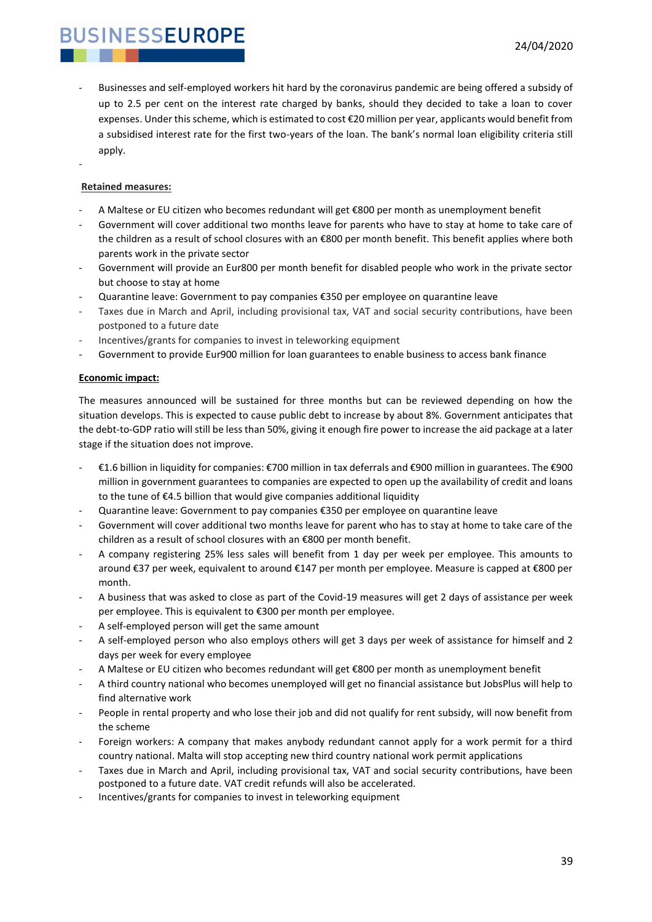- Businesses and self-employed workers hit hard by the coronavirus pandemic are being offered a subsidy of up to 2.5 per cent on the interest rate charged by banks, should they decided to take a loan to cover expenses. Under this scheme, which is estimated to cost €20 million per year, applicants would benefit from a subsidised interest rate for the first two-years of the loan. The bank's normal loan eligibility criteria still apply.
- **Retained measures:**

-

- A Maltese or EU citizen who becomes redundant will get €800 per month as unemployment benefit
- Government will cover additional two months leave for parents who have to stay at home to take care of the children as a result of school closures with an €800 per month benefit. This benefit applies where both parents work in the private sector
- Government will provide an Eur800 per month benefit for disabled people who work in the private sector but choose to stay at home
- Quarantine leave: Government to pay companies €350 per employee on quarantine leave
- Taxes due in March and April, including provisional tax, VAT and social security contributions, have been postponed to a future date
- Incentives/grants for companies to invest in teleworking equipment
- Government to provide Eur900 million for loan guarantees to enable business to access bank finance

#### **Economic impact:**

The measures announced will be sustained for three months but can be reviewed depending on how the situation develops. This is expected to cause public debt to increase by about 8%. Government anticipates that the debt-to-GDP ratio will still be less than 50%, giving it enough fire power to increase the aid package at a later stage if the situation does not improve.

- €1.6 billion in liquidity for companies: €700 million in tax deferrals and €900 million in guarantees. The €900 million in government guarantees to companies are expected to open up the availability of credit and loans to the tune of €4.5 billion that would give companies additional liquidity
- Quarantine leave: Government to pay companies €350 per employee on quarantine leave
- Government will cover additional two months leave for parent who has to stay at home to take care of the children as a result of school closures with an €800 per month benefit.
- A company registering 25% less sales will benefit from 1 day per week per employee. This amounts to around €37 per week, equivalent to around €147 per month per employee. Measure is capped at €800 per month.
- A business that was asked to close as part of the Covid-19 measures will get 2 days of assistance per week per employee. This is equivalent to €300 per month per employee.
- A self-employed person will get the same amount
- A self-employed person who also employs others will get 3 days per week of assistance for himself and 2 days per week for every employee
- A Maltese or EU citizen who becomes redundant will get €800 per month as unemployment benefit
- A third country national who becomes unemployed will get no financial assistance but JobsPlus will help to find alternative work
- People in rental property and who lose their job and did not qualify for rent subsidy, will now benefit from the scheme
- Foreign workers: A company that makes anybody redundant cannot apply for a work permit for a third country national. Malta will stop accepting new third country national work permit applications
- Taxes due in March and April, including provisional tax, VAT and social security contributions, have been postponed to a future date. VAT credit refunds will also be accelerated.
- Incentives/grants for companies to invest in teleworking equipment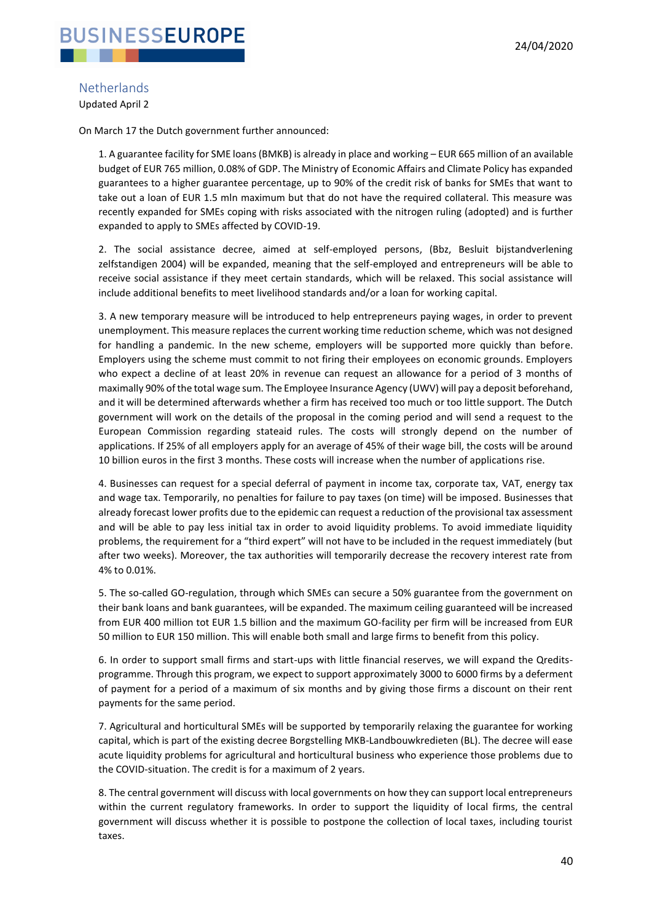

#### <span id="page-39-0"></span>**Netherlands**

Updated April 2

On March 17 the Dutch government further announced:

1. A guarantee facility for SME loans (BMKB) is already in place and working – EUR 665 million of an available budget of EUR 765 million, 0.08% of GDP. The Ministry of Economic Affairs and Climate Policy has expanded guarantees to a higher guarantee percentage, up to 90% of the credit risk of banks for SMEs that want to take out a loan of EUR 1.5 mln maximum but that do not have the required collateral. This measure was recently expanded for SMEs coping with risks associated with the nitrogen ruling (adopted) and is further expanded to apply to SMEs affected by COVID-19.

2. The social assistance decree, aimed at self-employed persons, (Bbz, Besluit bijstandverlening zelfstandigen 2004) will be expanded, meaning that the self-employed and entrepreneurs will be able to receive social assistance if they meet certain standards, which will be relaxed. This social assistance will include additional benefits to meet livelihood standards and/or a loan for working capital.

3. A new temporary measure will be introduced to help entrepreneurs paying wages, in order to prevent unemployment. This measure replaces the current working time reduction scheme, which was not designed for handling a pandemic. In the new scheme, employers will be supported more quickly than before. Employers using the scheme must commit to not firing their employees on economic grounds. Employers who expect a decline of at least 20% in revenue can request an allowance for a period of 3 months of maximally 90% of the total wage sum. The Employee Insurance Agency (UWV) will pay a deposit beforehand, and it will be determined afterwards whether a firm has received too much or too little support. The Dutch government will work on the details of the proposal in the coming period and will send a request to the European Commission regarding stateaid rules. The costs will strongly depend on the number of applications. If 25% of all employers apply for an average of 45% of their wage bill, the costs will be around 10 billion euros in the first 3 months. These costs will increase when the number of applications rise.

4. Businesses can request for a special deferral of payment in income tax, corporate tax, VAT, energy tax and wage tax. Temporarily, no penalties for failure to pay taxes (on time) will be imposed. Businesses that already forecast lower profits due to the epidemic can request a reduction of the provisional tax assessment and will be able to pay less initial tax in order to avoid liquidity problems. To avoid immediate liquidity problems, the requirement for a "third expert" will not have to be included in the request immediately (but after two weeks). Moreover, the tax authorities will temporarily decrease the recovery interest rate from 4% to 0.01%.

5. The so-called GO-regulation, through which SMEs can secure a 50% guarantee from the government on their bank loans and bank guarantees, will be expanded. The maximum ceiling guaranteed will be increased from EUR 400 million tot EUR 1.5 billion and the maximum GO-facility per firm will be increased from EUR 50 million to EUR 150 million. This will enable both small and large firms to benefit from this policy.

6. In order to support small firms and start-ups with little financial reserves, we will expand the Qreditsprogramme. Through this program, we expect to support approximately 3000 to 6000 firms by a deferment of payment for a period of a maximum of six months and by giving those firms a discount on their rent payments for the same period.

7. Agricultural and horticultural SMEs will be supported by temporarily relaxing the guarantee for working capital, which is part of the existing decree Borgstelling MKB-Landbouwkredieten (BL). The decree will ease acute liquidity problems for agricultural and horticultural business who experience those problems due to the COVID-situation. The credit is for a maximum of 2 years.

8. The central government will discuss with local governments on how they can support local entrepreneurs within the current regulatory frameworks. In order to support the liquidity of local firms, the central government will discuss whether it is possible to postpone the collection of local taxes, including tourist taxes.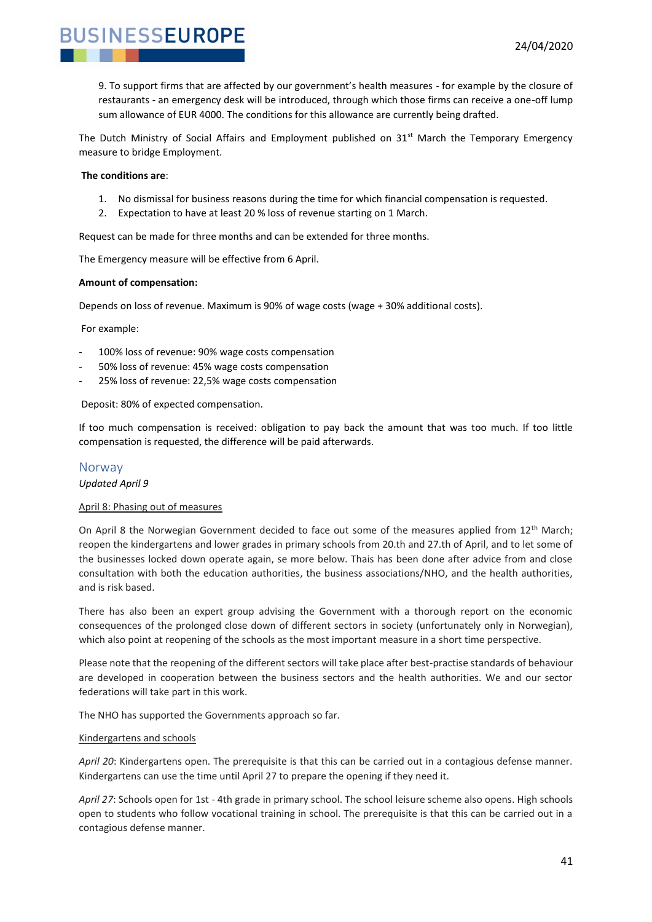9. To support firms that are affected by our government's health measures - for example by the closure of restaurants - an emergency desk will be introduced, through which those firms can receive a one-off lump sum allowance of EUR 4000. The conditions for this allowance are currently being drafted.

The Dutch Ministry of Social Affairs and Employment published on  $31<sup>st</sup>$  March the Temporary Emergency measure to bridge Employment.

#### **The conditions are**:

**BUSINESSEUROPE** 

- 1. No dismissal for business reasons during the time for which financial compensation is requested.
- 2. Expectation to have at least 20 % loss of revenue starting on 1 March.

Request can be made for three months and can be extended for three months.

The Emergency measure will be effective from 6 April.

#### **Amount of compensation:**

Depends on loss of revenue. Maximum is 90% of wage costs (wage + 30% additional costs).

For example:

- 100% loss of revenue: 90% wage costs compensation
- 50% loss of revenue: 45% wage costs compensation
- 25% loss of revenue: 22,5% wage costs compensation

Deposit: 80% of expected compensation.

If too much compensation is received: obligation to pay back the amount that was too much. If too little compensation is requested, the difference will be paid afterwards.

#### <span id="page-40-0"></span>Norway

*Updated April 9*

#### April 8: Phasing out of measures

On April 8 the Norwegian Government decided to face out some of the measures applied from 12<sup>th</sup> March; reopen the kindergartens and lower grades in primary schools from 20.th and 27.th of April, and to let some of the businesses locked down operate again, se more below. Thais has been done after advice from and close consultation with both the education authorities, the business associations/NHO, and the health authorities, and is risk based.

There has also been an expert group advising the Government with a thorough report on the economic consequences of the prolonged close down of different sectors in society (unfortunately only in Norwegian), which also point at reopening of the schools as the most important measure in a short time perspective.

Please note that the reopening of the different sectors will take place after best-practise standards of behaviour are developed in cooperation between the business sectors and the health authorities. We and our sector federations will take part in this work.

The NHO has supported the Governments approach so far.

#### Kindergartens and schools

*April 20*: Kindergartens open. The prerequisite is that this can be carried out in a contagious defense manner. Kindergartens can use the time until April 27 to prepare the opening if they need it.

*April 27*: Schools open for 1st - 4th grade in primary school. The school leisure scheme also opens. High schools open to students who follow vocational training in school. The prerequisite is that this can be carried out in a contagious defense manner.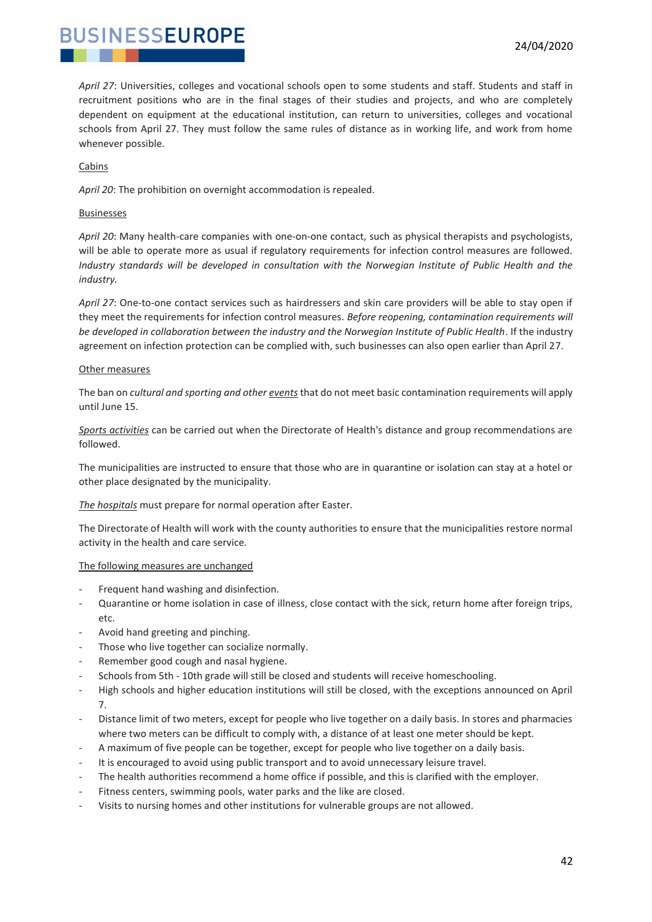*April 27*: Universities, colleges and vocational schools open to some students and staff. Students and staff in recruitment positions who are in the final stages of their studies and projects, and who are completely dependent on equipment at the educational institution, can return to universities, colleges and vocational schools from April 27. They must follow the same rules of distance as in working life, and work from home whenever possible.

#### Cabins

*April 20*: The prohibition on overnight accommodation is repealed.

#### Businesses

*April 20*: Many health-care companies with one-on-one contact, such as physical therapists and psychologists, will be able to operate more as usual if regulatory requirements for infection control measures are followed. *Industry standards will be developed in consultation with the Norwegian Institute of Public Health and the industry.*

*April 27*: One-to-one contact services such as hairdressers and skin care providers will be able to stay open if they meet the requirements for infection control measures. *Before reopening, contamination requirements will be developed in collaboration between the industry and the Norwegian Institute of Public Health*. If the industry agreement on infection protection can be complied with, such businesses can also open earlier than April 27.

#### Other measures

The ban on *cultural and sporting and other events*that do not meet basic contamination requirements will apply until June 15.

*Sports activities* can be carried out when the Directorate of Health's distance and group recommendations are followed.

The municipalities are instructed to ensure that those who are in quarantine or isolation can stay at a hotel or other place designated by the municipality.

#### *The hospitals* must prepare for normal operation after Easter.

The Directorate of Health will work with the county authorities to ensure that the municipalities restore normal activity in the health and care service.

#### The following measures are unchanged

- Frequent hand washing and disinfection.
- Quarantine or home isolation in case of illness, close contact with the sick, return home after foreign trips, etc.
- Avoid hand greeting and pinching.
- Those who live together can socialize normally.
- Remember good cough and nasal hygiene.
- Schools from 5th 10th grade will still be closed and students will receive homeschooling.
- High schools and higher education institutions will still be closed, with the exceptions announced on April 7.
- Distance limit of two meters, except for people who live together on a daily basis. In stores and pharmacies where two meters can be difficult to comply with, a distance of at least one meter should be kept.
- A maximum of five people can be together, except for people who live together on a daily basis.
- It is encouraged to avoid using public transport and to avoid unnecessary leisure travel.
- The health authorities recommend a home office if possible, and this is clarified with the employer.
- Fitness centers, swimming pools, water parks and the like are closed.
- Visits to nursing homes and other institutions for vulnerable groups are not allowed.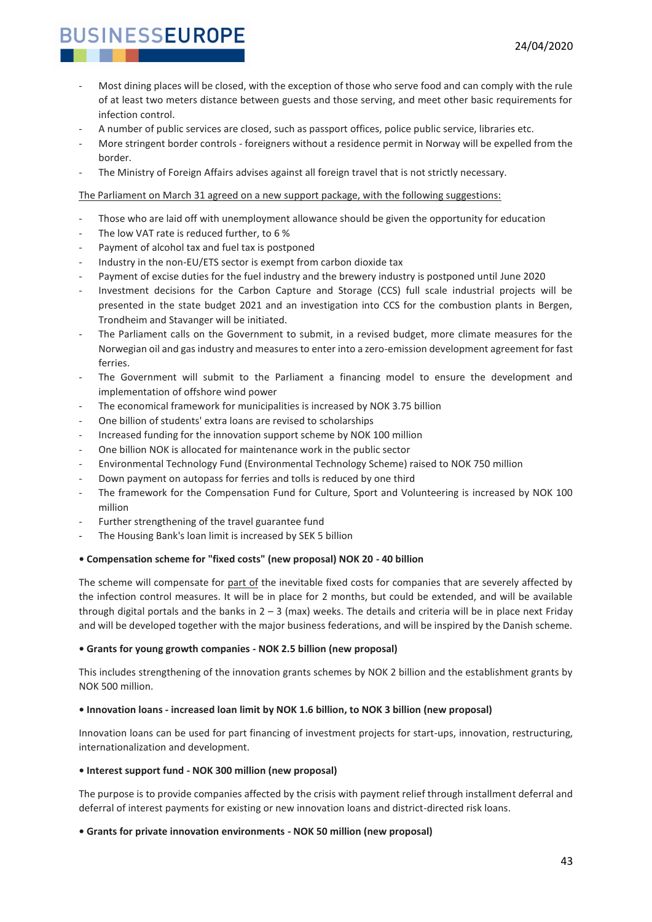- Most dining places will be closed, with the exception of those who serve food and can comply with the rule of at least two meters distance between guests and those serving, and meet other basic requirements for infection control.
- A number of public services are closed, such as passport offices, police public service, libraries etc.
- More stringent border controls foreigners without a residence permit in Norway will be expelled from the border.
- The Ministry of Foreign Affairs advises against all foreign travel that is not strictly necessary.

The Parliament on March 31 agreed on a new support package, with the following suggestions:

- Those who are laid off with unemployment allowance should be given the opportunity for education
- The low VAT rate is reduced further, to 6 %
- Payment of alcohol tax and fuel tax is postponed
- Industry in the non-EU/ETS sector is exempt from carbon dioxide tax
- Payment of excise duties for the fuel industry and the brewery industry is postponed until June 2020
- Investment decisions for the Carbon Capture and Storage (CCS) full scale industrial projects will be presented in the state budget 2021 and an investigation into CCS for the combustion plants in Bergen, Trondheim and Stavanger will be initiated.
- The Parliament calls on the Government to submit, in a revised budget, more climate measures for the Norwegian oil and gas industry and measures to enter into a zero-emission development agreement for fast ferries.
- The Government will submit to the Parliament a financing model to ensure the development and implementation of offshore wind power
- The economical framework for municipalities is increased by NOK 3.75 billion
- One billion of students' extra loans are revised to scholarships
- Increased funding for the innovation support scheme by NOK 100 million
- One billion NOK is allocated for maintenance work in the public sector
- Environmental Technology Fund (Environmental Technology Scheme) raised to NOK 750 million
- Down payment on autopass for ferries and tolls is reduced by one third
- The framework for the Compensation Fund for Culture, Sport and Volunteering is increased by NOK 100 million
- Further strengthening of the travel guarantee fund
- The Housing Bank's loan limit is increased by SEK 5 billion

#### **• Compensation scheme for "fixed costs" (new proposal) NOK 20 - 40 billion**

The scheme will compensate for part of the inevitable fixed costs for companies that are severely affected by the infection control measures. It will be in place for 2 months, but could be extended, and will be available through digital portals and the banks in  $2 - 3$  (max) weeks. The details and criteria will be in place next Friday and will be developed together with the major business federations, and will be inspired by the Danish scheme.

#### **• Grants for young growth companies - NOK 2.5 billion (new proposal)**

This includes strengthening of the innovation grants schemes by NOK 2 billion and the establishment grants by NOK 500 million.

#### **• Innovation loans - increased loan limit by NOK 1.6 billion, to NOK 3 billion (new proposal)**

Innovation loans can be used for part financing of investment projects for start-ups, innovation, restructuring, internationalization and development.

#### **• Interest support fund - NOK 300 million (new proposal)**

The purpose is to provide companies affected by the crisis with payment relief through installment deferral and deferral of interest payments for existing or new innovation loans and district-directed risk loans.

#### **• Grants for private innovation environments - NOK 50 million (new proposal)**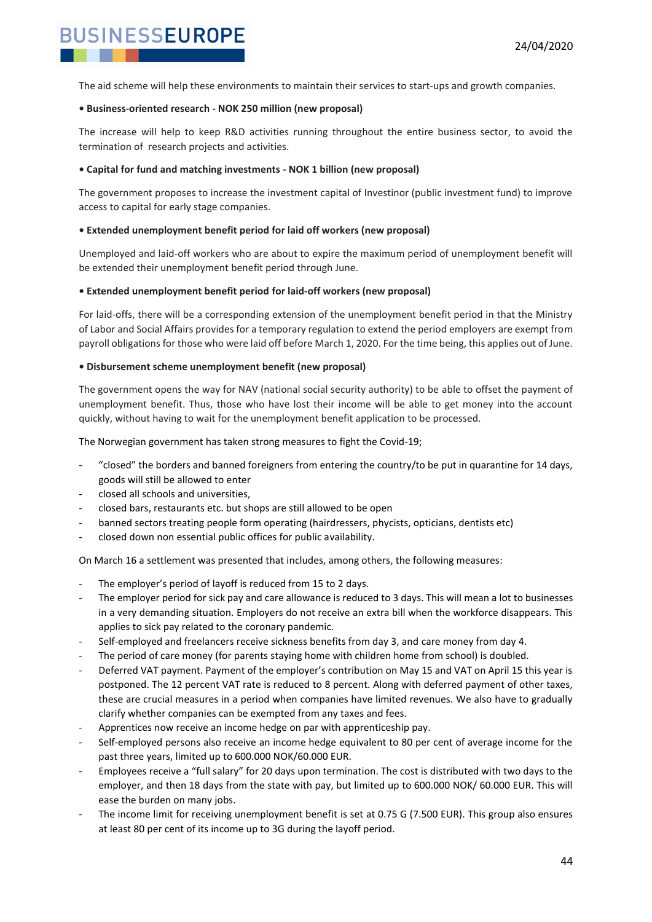The aid scheme will help these environments to maintain their services to start-ups and growth companies.

#### **• Business-oriented research - NOK 250 million (new proposal)**

The increase will help to keep R&D activities running throughout the entire business sector, to avoid the termination of research projects and activities.

#### **• Capital for fund and matching investments - NOK 1 billion (new proposal)**

The government proposes to increase the investment capital of Investinor (public investment fund) to improve access to capital for early stage companies.

#### **• Extended unemployment benefit period for laid off workers (new proposal)**

Unemployed and laid-off workers who are about to expire the maximum period of unemployment benefit will be extended their unemployment benefit period through June.

#### **• Extended unemployment benefit period for laid-off workers (new proposal)**

For laid-offs, there will be a corresponding extension of the unemployment benefit period in that the Ministry of Labor and Social Affairs provides for a temporary regulation to extend the period employers are exempt from payroll obligations for those who were laid off before March 1, 2020. For the time being, this applies out of June.

#### **• Disbursement scheme unemployment benefit (new proposal)**

The government opens the way for NAV (national social security authority) to be able to offset the payment of unemployment benefit. Thus, those who have lost their income will be able to get money into the account quickly, without having to wait for the unemployment benefit application to be processed.

The Norwegian government has taken strong measures to fight the Covid-19;

- "closed" the borders and banned foreigners from entering the country/to be put in quarantine for 14 days, goods will still be allowed to enter
- closed all schools and universities,
- closed bars, restaurants etc. but shops are still allowed to be open
- banned sectors treating people form operating (hairdressers, phycists, opticians, dentists etc)
- closed down non essential public offices for public availability.

On March 16 a settlement was presented that includes, among others, the following measures:

- The employer's period of layoff is reduced from 15 to 2 days.
- The employer period for sick pay and care allowance is reduced to 3 days. This will mean a lot to businesses in a very demanding situation. Employers do not receive an extra bill when the workforce disappears. This applies to sick pay related to the coronary pandemic.
- Self-employed and freelancers receive sickness benefits from day 3, and care money from day 4.
- The period of care money (for parents staying home with children home from school) is doubled.
- Deferred VAT payment. Payment of the employer's contribution on May 15 and VAT on April 15 this year is postponed. The 12 percent VAT rate is reduced to 8 percent. Along with deferred payment of other taxes, these are crucial measures in a period when companies have limited revenues. We also have to gradually clarify whether companies can be exempted from any taxes and fees.
- Apprentices now receive an income hedge on par with apprenticeship pay.
- Self-employed persons also receive an income hedge equivalent to 80 per cent of average income for the past three years, limited up to 600.000 NOK/60.000 EUR.
- Employees receive a "full salary" for 20 days upon termination. The cost is distributed with two days to the employer, and then 18 days from the state with pay, but limited up to 600.000 NOK/ 60.000 EUR. This will ease the burden on many jobs.
- The income limit for receiving unemployment benefit is set at 0.75 G (7.500 EUR). This group also ensures at least 80 per cent of its income up to 3G during the layoff period.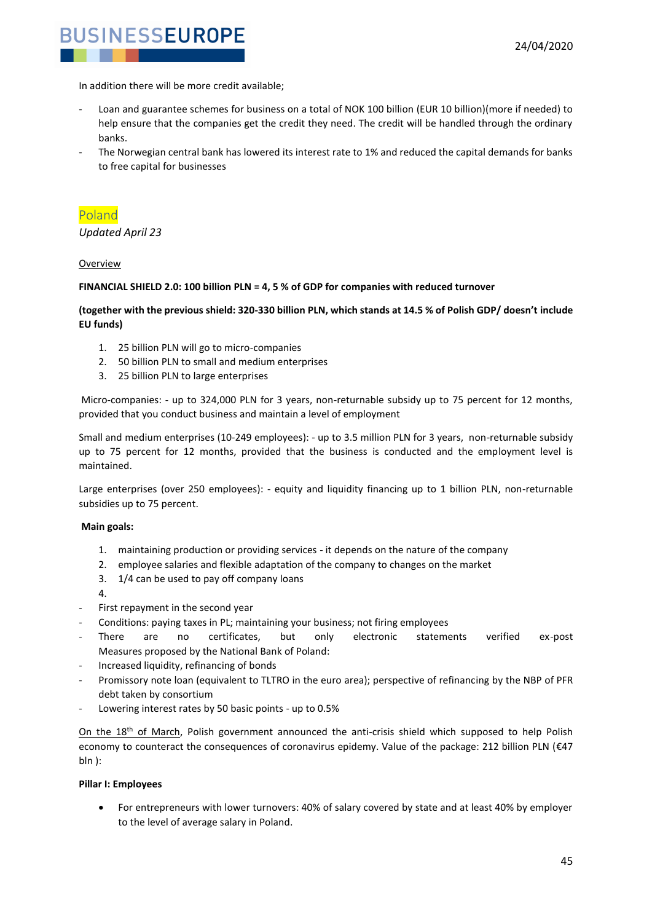

In addition there will be more credit available;

- Loan and guarantee schemes for business on a total of NOK 100 billion (EUR 10 billion)(more if needed) to help ensure that the companies get the credit they need. The credit will be handled through the ordinary banks.
- The Norwegian central bank has lowered its interest rate to 1% and reduced the capital demands for banks to free capital for businesses

#### <span id="page-44-0"></span>Poland

*Updated April 23*

#### Overview

#### **FINANCIAL SHIELD 2.0: 100 billion PLN = 4, 5 % of GDP for companies with reduced turnover**

#### **(together with the previous shield: 320-330 billion PLN, which stands at 14.5 % of Polish GDP/ doesn't include EU funds)**

- 1. 25 billion PLN will go to micro-companies
- 2. 50 billion PLN to small and medium enterprises
- 3. 25 billion PLN to large enterprises

Micro-companies: - up to 324,000 PLN for 3 years, non-returnable subsidy up to 75 percent for 12 months, provided that you conduct business and maintain a level of employment

Small and medium enterprises (10-249 employees): - up to 3.5 million PLN for 3 years, non-returnable subsidy up to 75 percent for 12 months, provided that the business is conducted and the employment level is maintained.

Large enterprises (over 250 employees): - equity and liquidity financing up to 1 billion PLN, non-returnable subsidies up to 75 percent.

#### **Main goals:**

- 1. maintaining production or providing services it depends on the nature of the company
- 2. employee salaries and flexible adaptation of the company to changes on the market
- 3. 1/4 can be used to pay off company loans
- 4.
- First repayment in the second year
- Conditions: paying taxes in PL; maintaining your business; not firing employees
- There are no certificates, but only electronic statements verified ex-post Measures proposed by the National Bank of Poland:
- Increased liquidity, refinancing of bonds
- Promissory note loan (equivalent to TLTRO in the euro area); perspective of refinancing by the NBP of PFR debt taken by consortium
- Lowering interest rates by 50 basic points up to 0.5%

On the 18<sup>th</sup> of March, Polish government announced the anti-crisis shield which supposed to help Polish economy to counteract the consequences of coronavirus epidemy. Value of the package: 212 billion PLN (€47 bln ):

#### **Pillar I: Employees**

• For entrepreneurs with lower turnovers: 40% of salary covered by state and at least 40% by employer to the level of average salary in Poland.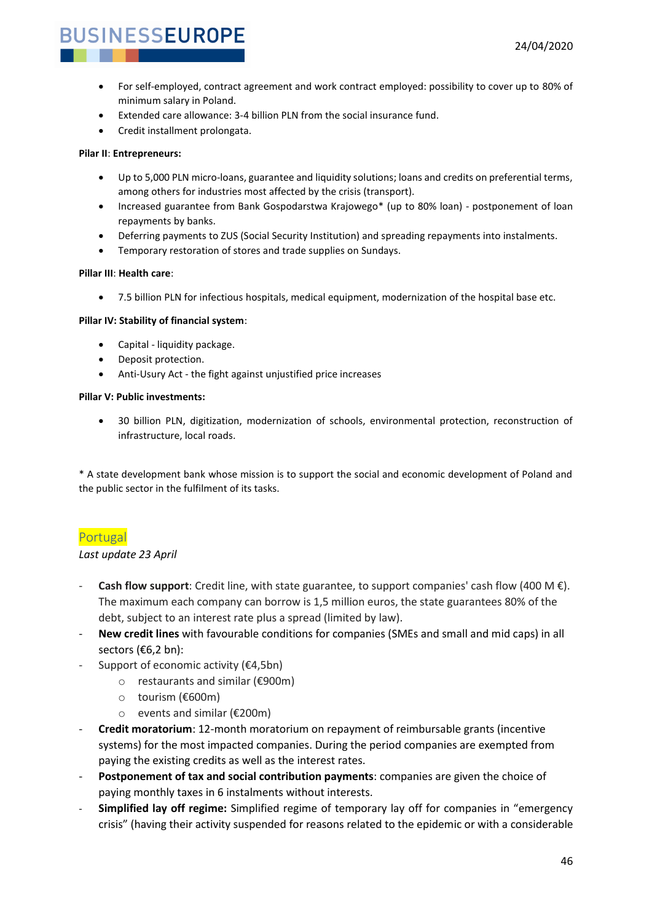- For self-employed, contract agreement and work contract employed: possibility to cover up to 80% of minimum salary in Poland.
- Extended care allowance: 3-4 billion PLN from the social insurance fund.
- Credit installment prolongata.

#### **Pilar II**: **Entrepreneurs:**

- Up to 5,000 PLN micro-loans, guarantee and liquidity solutions; loans and credits on preferential terms, among others for industries most affected by the crisis (transport).
- Increased guarantee from Bank Gospodarstwa Krajowego\* (up to 80% loan) postponement of loan repayments by banks.
- Deferring payments to ZUS (Social Security Institution) and spreading repayments into instalments.
- Temporary restoration of stores and trade supplies on Sundays.

#### **Pillar III**: **Health care**:

• 7.5 billion PLN for infectious hospitals, medical equipment, modernization of the hospital base etc.

#### **Pillar IV: Stability of financial system**:

- Capital liquidity package.
- Deposit protection.
- Anti-Usury Act the fight against unjustified price increases

#### **Pillar V: Public investments:**

• 30 billion PLN, digitization, modernization of schools, environmental protection, reconstruction of infrastructure, local roads.

\* A state development bank whose mission is to support the social and economic development of Poland and the public sector in the fulfilment of its tasks.

#### <span id="page-45-0"></span>Portugal

#### *Last update 23 April*

- **Cash flow support**: Credit line, with state guarantee, to support companies' cash flow (400 M  $\epsilon$ ). The maximum each company can borrow is 1,5 million euros, the state guarantees 80% of the debt, subject to an interest rate plus a spread (limited by law).
- **New credit lines** with favourable conditions for companies (SMEs and small and mid caps) in all sectors (€6,2 bn):
- Support of economic activity ( $\epsilon$ 4.5bn)
	- o restaurants and similar (€900m)
	- o tourism (€600m)
	- o events and similar (€200m)
- **Credit moratorium**: 12-month moratorium on repayment of reimbursable grants (incentive systems) for the most impacted companies. During the period companies are exempted from paying the existing credits as well as the interest rates.
- **Postponement of tax and social contribution payments**: companies are given the choice of paying monthly taxes in 6 instalments without interests.
- **Simplified lay off regime:** Simplified regime of temporary lay off for companies in "emergency crisis" (having their activity suspended for reasons related to the epidemic or with a considerable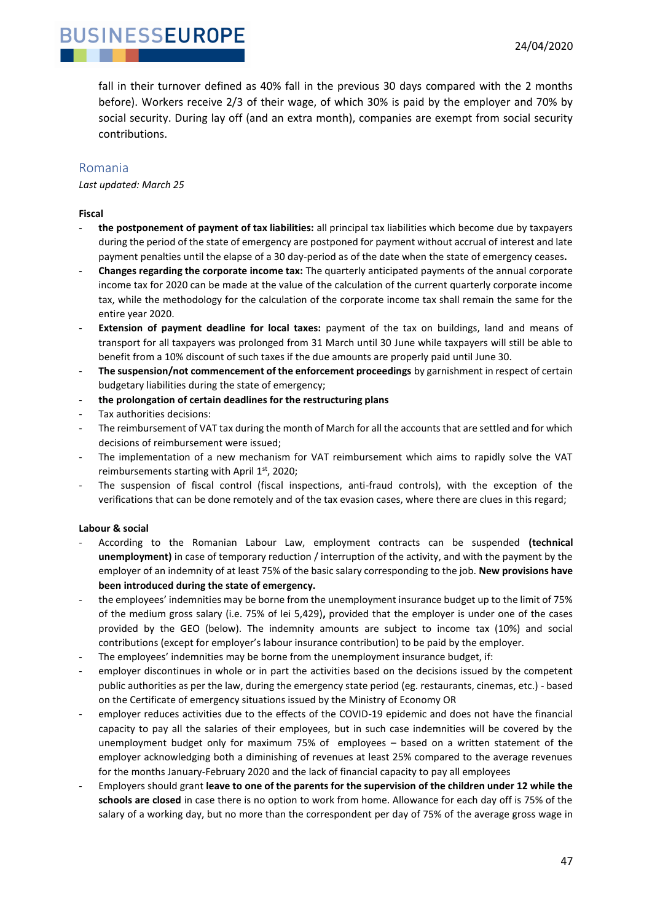fall in their turnover defined as 40% fall in the previous 30 days compared with the 2 months before). Workers receive 2/3 of their wage, of which 30% is paid by the employer and 70% by social security. During lay off (and an extra month), companies are exempt from social security contributions.

#### <span id="page-46-0"></span>Romania

*Last updated: March 25*

#### **Fiscal**

- **the postponement of payment of tax liabilities:** all principal tax liabilities which become due by taxpayers during the period of the state of emergency are postponed for payment without accrual of interest and late payment penalties until the elapse of a 30 day-period as of the date when the state of emergency ceases**.**
- **Changes regarding the corporate income tax:** The quarterly anticipated payments of the annual corporate income tax for 2020 can be made at the value of the calculation of the current quarterly corporate income tax, while the methodology for the calculation of the corporate income tax shall remain the same for the entire year 2020.
- **Extension of payment deadline for local taxes:** payment of the tax on buildings, land and means of transport for all taxpayers was prolonged from 31 March until 30 June while taxpayers will still be able to benefit from a 10% discount of such taxes if the due amounts are properly paid until June 30.
- The suspension/not commencement of the enforcement proceedings by garnishment in respect of certain budgetary liabilities during the state of emergency;
- **the prolongation of certain deadlines for the restructuring plans**
- Tax authorities decisions:
- The reimbursement of VAT tax during the month of March for all the accounts that are settled and for which decisions of reimbursement were issued;
- The implementation of a new mechanism for VAT reimbursement which aims to rapidly solve the VAT reimbursements starting with April 1st, 2020;
- The suspension of fiscal control (fiscal inspections, anti-fraud controls), with the exception of the verifications that can be done remotely and of the tax evasion cases, where there are clues in this regard;

#### **Labour & social**

- According to the Romanian Labour Law, employment contracts can be suspended **(technical unemployment)** in case of temporary reduction / interruption of the activity, and with the payment by the employer of an indemnity of at least 75% of the basic salary corresponding to the job. **New provisions have been introduced during the state of emergency.**
- the employees' indemnities may be borne from the unemployment insurance budget up to the limit of 75% of the medium gross salary (i.e. 75% of lei 5,429)**,** provided that the employer is under one of the cases provided by the GEO (below). The indemnity amounts are subject to income tax (10%) and social contributions (except for employer's labour insurance contribution) to be paid by the employer.
- The employees' indemnities may be borne from the unemployment insurance budget, if:
- employer discontinues in whole or in part the activities based on the decisions issued by the competent public authorities as per the law, during the emergency state period (eg. restaurants, cinemas, etc.) - based on the Certificate of emergency situations issued by the Ministry of Economy OR
- employer reduces activities due to the effects of the COVID-19 epidemic and does not have the financial capacity to pay all the salaries of their employees, but in such case indemnities will be covered by the unemployment budget only for maximum 75% of employees – based on a written statement of the employer acknowledging both a diminishing of revenues at least 25% compared to the average revenues for the months January-February 2020 and the lack of financial capacity to pay all employees
- Employers should grant **leave to one of the parents for the supervision of the children under 12 while the schools are closed** in case there is no option to work from home. Allowance for each day off is 75% of the salary of a working day, but no more than the correspondent per day of 75% of the average gross wage in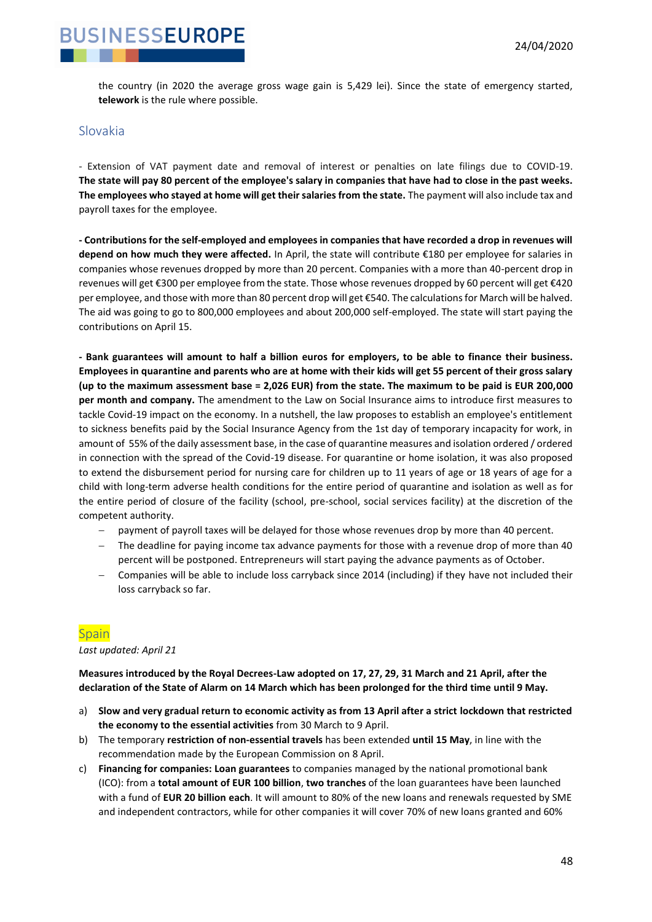

the country (in 2020 the average gross wage gain is 5,429 lei). Since the state of emergency started, **telework** is the rule where possible.

#### <span id="page-47-0"></span>Slovakia

- Extension of VAT payment date and removal of interest or penalties on late filings due to COVID-19. **The state will pay 80 percent of the employee's salary in companies that have had to close in the past weeks. The employees who stayed at home will get their salaries from the state.** The payment will also include tax and payroll taxes for the employee.

**- Contributions for the self-employed and employees in companies that have recorded a drop in revenues will depend on how much they were affected.** In April, the state will contribute €180 per employee for salaries in companies whose revenues dropped by more than 20 percent. Companies with a more than 40-percent drop in revenues will get €300 per employee from the state. Those whose revenues dropped by 60 percent will get €420 per employee, and those with more than 80 percent drop will get €540. The calculations for March will be halved. The aid was going to go to 800,000 employees and about 200,000 self-employed. The state will start paying the contributions on April 15.

**- Bank guarantees will amount to half a billion euros for employers, to be able to finance their business. Employees in quarantine and parents who are at home with their kids will get 55 percent of their gross salary (up to the maximum assessment base = 2,026 EUR) from the state. The maximum to be paid is EUR 200,000 per month and company.** The amendment to the Law on Social Insurance aims to introduce first measures to tackle Covid-19 impact on the economy. In a nutshell, the law proposes to establish an employee's entitlement to sickness benefits paid by the Social Insurance Agency from the 1st day of temporary incapacity for work, in amount of 55% of the daily assessment base, in the case of quarantine measures and isolation ordered / ordered in connection with the spread of the Covid-19 disease. For quarantine or home isolation, it was also proposed to extend the disbursement period for nursing care for children up to 11 years of age or 18 years of age for a child with long-term adverse health conditions for the entire period of quarantine and isolation as well as for the entire period of closure of the facility (school, pre-school, social services facility) at the discretion of the competent authority.

- − payment of payroll taxes will be delayed for those whose revenues drop by more than 40 percent.
- − The deadline for paying income tax advance payments for those with a revenue drop of more than 40 percent will be postponed. Entrepreneurs will start paying the advance payments as of October.
- − Companies will be able to include loss carryback since 2014 (including) if they have not included their loss carryback so far.

#### <span id="page-47-1"></span>**Spain**

*Last updated: April 21*

**Measures introduced by the Royal Decrees-Law adopted on 17, 27, 29, 31 March and 21 April, after the declaration of the State of Alarm on 14 March which has been prolonged for the third time until 9 May.** 

- a) **Slow and very gradual return to economic activity as from 13 April after a strict lockdown that restricted the economy to the essential activities** from 30 March to 9 April.
- b) The temporary **restriction of non-essential travels** has been extended **until 15 May**, in line with the recommendation made by the European Commission on 8 April.
- c) **Financing for companies: Loan guarantees** to companies managed by the national promotional bank (ICO): from a **total amount of EUR 100 billion**, **two tranches** of the loan guarantees have been launched with a fund of **EUR 20 billion each**. It will amount to 80% of the new loans and renewals requested by SME and independent contractors, while for other companies it will cover 70% of new loans granted and 60%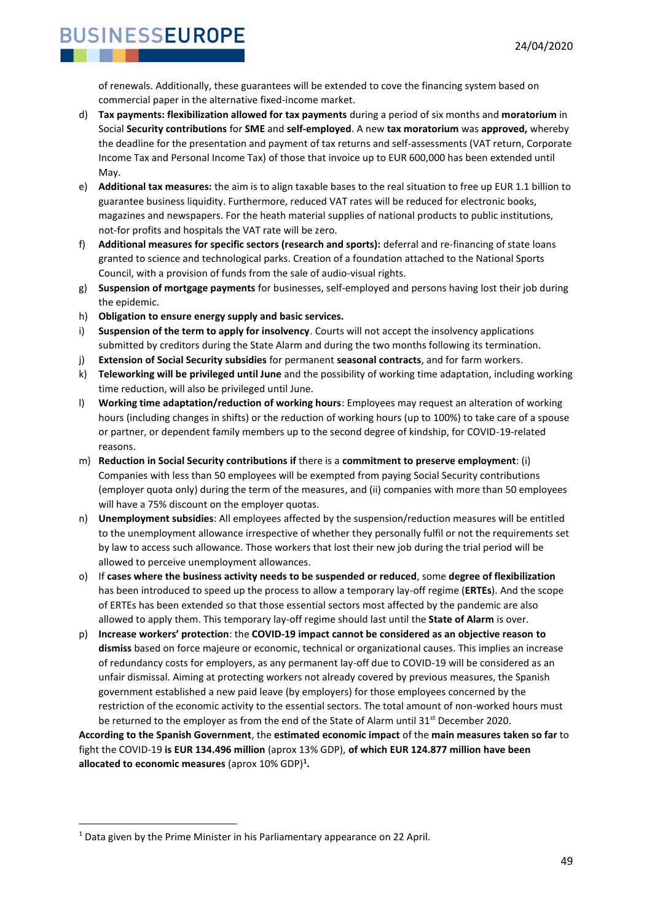of renewals. Additionally, these guarantees will be extended to cove the financing system based on commercial paper in the alternative fixed-income market.

- d) **Tax payments: flexibilization allowed for tax payments** during a period of six months and **moratorium** in Social **Security contributions** for **SME** and **self-employed**. A new **tax moratorium** was **approved,** whereby the deadline for the presentation and payment of tax returns and self-assessments (VAT return, Corporate Income Tax and Personal Income Tax) of those that invoice up to EUR 600,000 has been extended until May.
- e) **Additional tax measures:** the aim is to align taxable bases to the real situation to free up EUR 1.1 billion to guarantee business liquidity. Furthermore, reduced VAT rates will be reduced for electronic books, magazines and newspapers. For the heath material supplies of national products to public institutions, not-for profits and hospitals the VAT rate will be zero.
- f) **Additional measures for specific sectors (research and sports):** deferral and re-financing of state loans granted to science and technological parks. Creation of a foundation attached to the National Sports Council, with a provision of funds from the sale of audio-visual rights.
- g) **Suspension of mortgage payments** for businesses, self-employed and persons having lost their job during the epidemic.
- h) **Obligation to ensure energy supply and basic services.**
- i) **Suspension of the term to apply for insolvency**. Courts will not accept the insolvency applications submitted by creditors during the State Alarm and during the two months following its termination.
- j) **Extension of Social Security subsidies** for permanent **seasonal contracts**, and for farm workers.
- k) **Teleworking will be privileged until June** and the possibility of working time adaptation, including working time reduction, will also be privileged until June.
- l) **Working time adaptation/reduction of working hours**: Employees may request an alteration of working hours (including changes in shifts) or the reduction of working hours (up to 100%) to take care of a spouse or partner, or dependent family members up to the second degree of kindship, for COVID-19-related reasons.
- m) **Reduction in Social Security contributions if** there is a **commitment to preserve employment**: (i) Companies with less than 50 employees will be exempted from paying Social Security contributions (employer quota only) during the term of the measures, and (ii) companies with more than 50 employees will have a 75% discount on the employer quotas.
- n) **Unemployment subsidies**: All employees affected by the suspension/reduction measures will be entitled to the unemployment allowance irrespective of whether they personally fulfil or not the requirements set by law to access such allowance. Those workers that lost their new job during the trial period will be allowed to perceive unemployment allowances.
- o) If **cases where the business activity needs to be suspended or reduced**, some **degree of flexibilization** has been introduced to speed up the process to allow a temporary lay-off regime (**ERTEs**). And the scope of ERTEs has been extended so that those essential sectors most affected by the pandemic are also allowed to apply them. This temporary lay-off regime should last until the **State of Alarm** is over.
- p) **Increase workers' protection**: the **COVID-19 impact cannot be considered as an objective reason to dismiss** based on force majeure or economic, technical or organizational causes. This implies an increase of redundancy costs for employers, as any permanent lay-off due to COVID-19 will be considered as an unfair dismissal. Aiming at protecting workers not already covered by previous measures, the Spanish government established a new paid leave (by employers) for those employees concerned by the restriction of the economic activity to the essential sectors. The total amount of non-worked hours must be returned to the employer as from the end of the State of Alarm until 31<sup>st</sup> December 2020.

**According to the Spanish Government**, the **estimated economic impact** of the **main measures taken so far** to fight the COVID-19 **is EUR 134.496 million** (aprox 13% GDP), **of which EUR 124.877 million have been allocated to economic measures** (aprox 10% GDP)**<sup>1</sup> .**

<sup>&</sup>lt;sup>1</sup> Data given by the Prime Minister in his Parliamentary appearance on 22 April.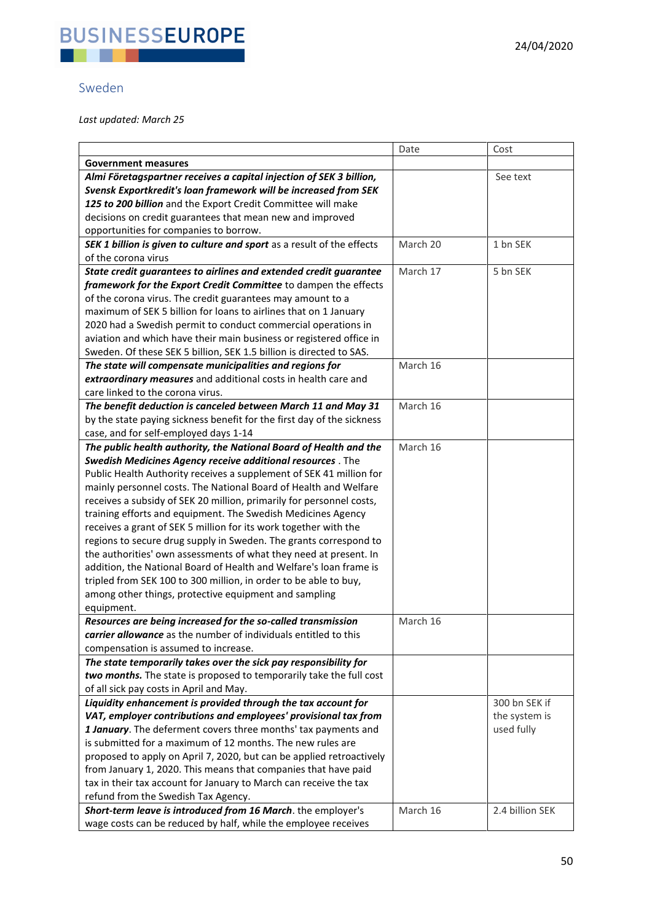

### <span id="page-49-0"></span>Sweden

*Last updated: March 25*

|                                                                        | Date     | Cost            |
|------------------------------------------------------------------------|----------|-----------------|
| <b>Government measures</b>                                             |          |                 |
| Almi Företagspartner receives a capital injection of SEK 3 billion,    |          | See text        |
| Svensk Exportkredit's loan framework will be increased from SEK        |          |                 |
| 125 to 200 billion and the Export Credit Committee will make           |          |                 |
| decisions on credit guarantees that mean new and improved              |          |                 |
| opportunities for companies to borrow.                                 |          |                 |
| SEK 1 billion is given to culture and sport as a result of the effects | March 20 | 1 bn SEK        |
| of the corona virus                                                    |          |                 |
| State credit guarantees to airlines and extended credit guarantee      | March 17 | 5 bn SEK        |
| framework for the Export Credit Committee to dampen the effects        |          |                 |
| of the corona virus. The credit guarantees may amount to a             |          |                 |
| maximum of SEK 5 billion for loans to airlines that on 1 January       |          |                 |
| 2020 had a Swedish permit to conduct commercial operations in          |          |                 |
| aviation and which have their main business or registered office in    |          |                 |
| Sweden. Of these SEK 5 billion, SEK 1.5 billion is directed to SAS.    |          |                 |
| The state will compensate municipalities and regions for               | March 16 |                 |
| extraordinary measures and additional costs in health care and         |          |                 |
| care linked to the corona virus.                                       |          |                 |
| The benefit deduction is canceled between March 11 and May 31          | March 16 |                 |
|                                                                        |          |                 |
| by the state paying sickness benefit for the first day of the sickness |          |                 |
| case, and for self-employed days 1-14                                  |          |                 |
| The public health authority, the National Board of Health and the      | March 16 |                 |
| Swedish Medicines Agency receive additional resources . The            |          |                 |
| Public Health Authority receives a supplement of SEK 41 million for    |          |                 |
| mainly personnel costs. The National Board of Health and Welfare       |          |                 |
| receives a subsidy of SEK 20 million, primarily for personnel costs,   |          |                 |
| training efforts and equipment. The Swedish Medicines Agency           |          |                 |
| receives a grant of SEK 5 million for its work together with the       |          |                 |
| regions to secure drug supply in Sweden. The grants correspond to      |          |                 |
| the authorities' own assessments of what they need at present. In      |          |                 |
| addition, the National Board of Health and Welfare's loan frame is     |          |                 |
| tripled from SEK 100 to 300 million, in order to be able to buy,       |          |                 |
| among other things, protective equipment and sampling                  |          |                 |
| equipment.                                                             |          |                 |
| Resources are being increased for the so-called transmission           | March 16 |                 |
| carrier allowance as the number of individuals entitled to this        |          |                 |
| compensation is assumed to increase.                                   |          |                 |
| The state temporarily takes over the sick pay responsibility for       |          |                 |
| two months. The state is proposed to temporarily take the full cost    |          |                 |
| of all sick pay costs in April and May.                                |          |                 |
| Liquidity enhancement is provided through the tax account for          |          | 300 bn SEK if   |
| VAT, employer contributions and employees' provisional tax from        |          | the system is   |
| 1 January. The deferment covers three months' tax payments and         |          | used fully      |
| is submitted for a maximum of 12 months. The new rules are             |          |                 |
| proposed to apply on April 7, 2020, but can be applied retroactively   |          |                 |
| from January 1, 2020. This means that companies that have paid         |          |                 |
| tax in their tax account for January to March can receive the tax      |          |                 |
| refund from the Swedish Tax Agency.                                    |          |                 |
| Short-term leave is introduced from 16 March. the employer's           | March 16 | 2.4 billion SEK |
| wage costs can be reduced by half, while the employee receives         |          |                 |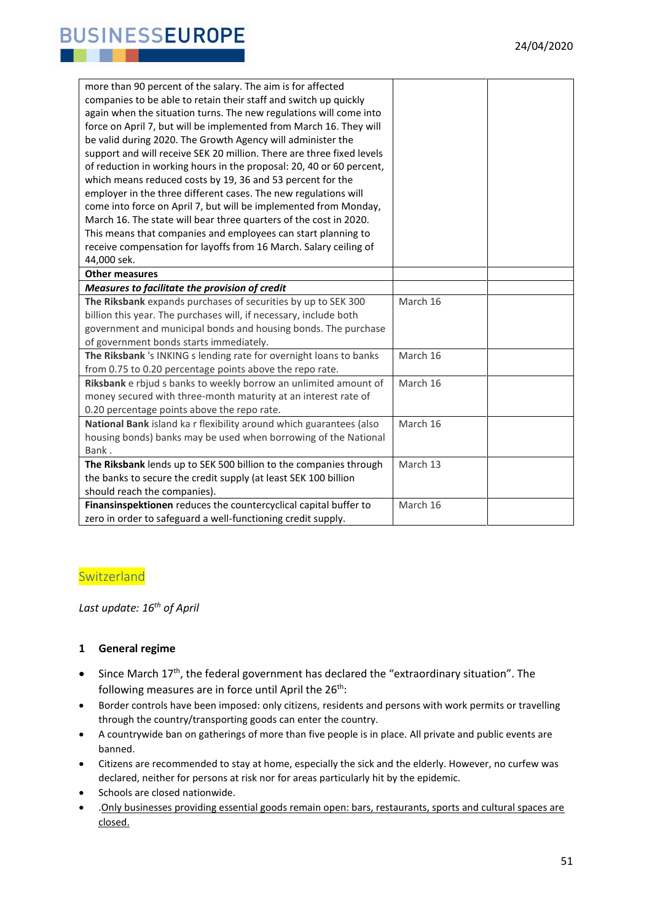| more than 90 percent of the salary. The aim is for affected           |          |  |
|-----------------------------------------------------------------------|----------|--|
| companies to be able to retain their staff and switch up quickly      |          |  |
| again when the situation turns. The new regulations will come into    |          |  |
| force on April 7, but will be implemented from March 16. They will    |          |  |
| be valid during 2020. The Growth Agency will administer the           |          |  |
| support and will receive SEK 20 million. There are three fixed levels |          |  |
| of reduction in working hours in the proposal: 20, 40 or 60 percent,  |          |  |
| which means reduced costs by 19, 36 and 53 percent for the            |          |  |
| employer in the three different cases. The new regulations will       |          |  |
| come into force on April 7, but will be implemented from Monday,      |          |  |
| March 16. The state will bear three quarters of the cost in 2020.     |          |  |
| This means that companies and employees can start planning to         |          |  |
| receive compensation for layoffs from 16 March. Salary ceiling of     |          |  |
| 44,000 sek.                                                           |          |  |
| <b>Other measures</b>                                                 |          |  |
| Measures to facilitate the provision of credit                        |          |  |
| The Riksbank expands purchases of securities by up to SEK 300         | March 16 |  |
| billion this year. The purchases will, if necessary, include both     |          |  |
| government and municipal bonds and housing bonds. The purchase        |          |  |
| of government bonds starts immediately.                               |          |  |
| The Riksbank 's INKING s lending rate for overnight loans to banks    | March 16 |  |
| from 0.75 to 0.20 percentage points above the repo rate.              |          |  |
| Riksbank e rbjud s banks to weekly borrow an unlimited amount of      | March 16 |  |
| money secured with three-month maturity at an interest rate of        |          |  |
| 0.20 percentage points above the repo rate.                           |          |  |
| National Bank island ka r flexibility around which guarantees (also   | March 16 |  |
| housing bonds) banks may be used when borrowing of the National       |          |  |
| Bank.                                                                 |          |  |
| The Riksbank lends up to SEK 500 billion to the companies through     | March 13 |  |
| the banks to secure the credit supply (at least SEK 100 billion       |          |  |
| should reach the companies).                                          |          |  |
| Finansinspektionen reduces the countercyclical capital buffer to      | March 16 |  |
| zero in order to safeguard a well-functioning credit supply.          |          |  |

#### <span id="page-50-0"></span>**Switzerland**

*Last update: 16th of April*

#### **1 General regime**

- Since March 17<sup>th</sup>, the federal government has declared the "extraordinary situation". The following measures are in force until April the  $26<sup>th</sup>$ :
- Border controls have been imposed: only citizens, residents and persons with work permits or travelling through the country/transporting goods can enter the country.
- A countrywide ban on gatherings of more than five people is in place. All private and public events are banned.
- Citizens are recommended to stay at home, especially the sick and the elderly. However, no curfew was declared, neither for persons at risk nor for areas particularly hit by the epidemic.
- Schools are closed nationwide.
- .Only businesses providing essential goods remain open: bars, restaurants, sports and cultural spaces are closed.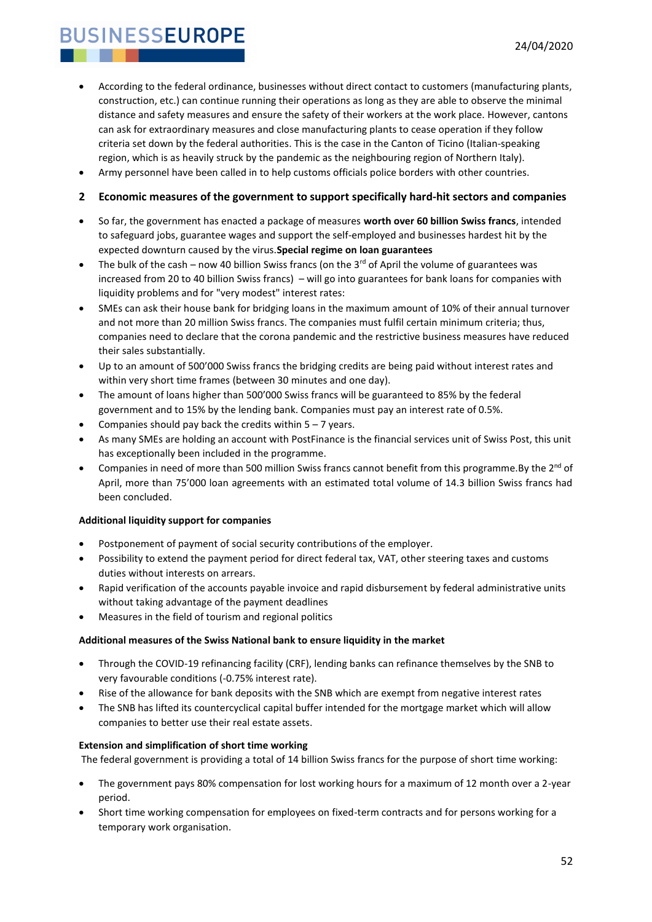- According to the federal ordinance, businesses without direct contact to customers (manufacturing plants, construction, etc.) can continue running their operations as long as they are able to observe the minimal distance and safety measures and ensure the safety of their workers at the work place. However, cantons can ask for extraordinary measures and close manufacturing plants to cease operation if they follow criteria set down by the federal authorities. This is the case in the Canton of Ticino (Italian-speaking region, which is as heavily struck by the pandemic as the neighbouring region of Northern Italy).
- Army personnel have been called in to help customs officials police borders with other countries.

#### **2 Economic measures of the government to support specifically hard-hit sectors and companies**

- So far, the government has enacted a package of measures **worth over 60 billion Swiss francs**, intended to safeguard jobs, guarantee wages and support the self-employed and businesses hardest hit by the expected downturn caused by the virus.**Special regime on loan guarantees**
- The bulk of the cash now 40 billion Swiss francs (on the  $3<sup>rd</sup>$  of April the volume of guarantees was increased from 20 to 40 billion Swiss francs) – will go into guarantees for bank loans for companies with liquidity problems and for "very modest" interest rates:
- SMEs can ask their house bank for bridging loans in the maximum amount of 10% of their annual turnover and not more than 20 million Swiss francs. The companies must fulfil certain minimum criteria; thus, companies need to declare that the corona pandemic and the restrictive business measures have reduced their sales substantially.
- Up to an amount of 500'000 Swiss francs the bridging credits are being paid without interest rates and within very short time frames (between 30 minutes and one day).
- The amount of loans higher than 500'000 Swiss francs will be guaranteed to 85% by the federal government and to 15% by the lending bank. Companies must pay an interest rate of 0.5%.
- Companies should pay back the credits within  $5 7$  years.
- As many SMEs are holding an account with PostFinance is the financial services unit of Swiss Post, this unit has exceptionally been included in the programme.
- Companies in need of more than 500 million Swiss francs cannot benefit from this programme.By the 2<sup>nd</sup> of April, more than 75'000 loan agreements with an estimated total volume of 14.3 billion Swiss francs had been concluded.

#### **Additional liquidity support for companies**

- Postponement of payment of social security contributions of the employer.
- Possibility to extend the payment period for direct federal tax, VAT, other steering taxes and customs duties without interests on arrears.
- Rapid verification of the accounts payable invoice and rapid disbursement by federal administrative units without taking advantage of the payment deadlines
- Measures in the field of tourism and regional politics

#### **Additional measures of the Swiss National bank to ensure liquidity in the market**

- Through the COVID-19 refinancing facility (CRF), lending banks can refinance themselves by the SNB to very favourable conditions (-0.75% interest rate).
- Rise of the allowance for bank deposits with the SNB which are exempt from negative interest rates
- The SNB has lifted its countercyclical capital buffer intended for the mortgage market which will allow companies to better use their real estate assets.

#### **Extension and simplification of short time working**

The federal government is providing a total of 14 billion Swiss francs for the purpose of short time working:

- The government pays 80% compensation for lost working hours for a maximum of 12 month over a 2-year period.
- Short time working compensation for employees on fixed-term contracts and for persons working for a temporary work organisation.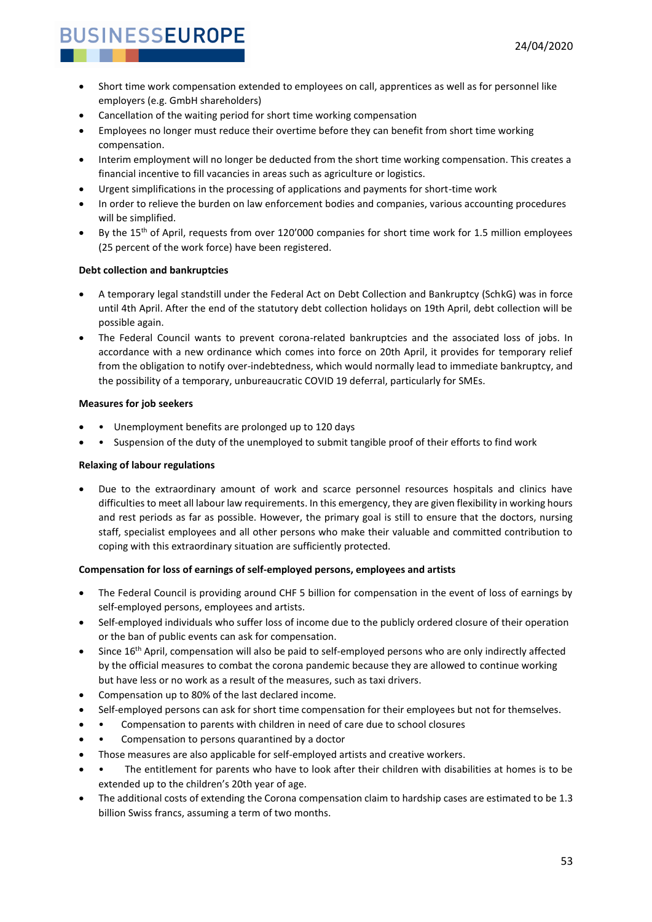- Short time work compensation extended to employees on call, apprentices as well as for personnel like employers (e.g. GmbH shareholders)
- Cancellation of the waiting period for short time working compensation
- Employees no longer must reduce their overtime before they can benefit from short time working compensation.
- Interim employment will no longer be deducted from the short time working compensation. This creates a financial incentive to fill vacancies in areas such as agriculture or logistics.
- Urgent simplifications in the processing of applications and payments for short-time work
- In order to relieve the burden on law enforcement bodies and companies, various accounting procedures will be simplified.
- By the 15th of April, requests from over 120'000 companies for short time work for 1.5 million employees (25 percent of the work force) have been registered.

#### **Debt collection and bankruptcies**

- A temporary legal standstill under the Federal Act on Debt Collection and Bankruptcy (SchkG) was in force until 4th April. After the end of the statutory debt collection holidays on 19th April, debt collection will be possible again.
- The Federal Council wants to prevent corona-related bankruptcies and the associated loss of jobs. In accordance with a new ordinance which comes into force on 20th April, it provides for temporary relief from the obligation to notify over-indebtedness, which would normally lead to immediate bankruptcy, and the possibility of a temporary, unbureaucratic COVID 19 deferral, particularly for SMEs.

#### **Measures for job seekers**

- Unemployment benefits are prolonged up to 120 days
- • Suspension of the duty of the unemployed to submit tangible proof of their efforts to find work

#### **Relaxing of labour regulations**

• Due to the extraordinary amount of work and scarce personnel resources hospitals and clinics have difficulties to meet all labour law requirements. In this emergency, they are given flexibility in working hours and rest periods as far as possible. However, the primary goal is still to ensure that the doctors, nursing staff, specialist employees and all other persons who make their valuable and committed contribution to coping with this extraordinary situation are sufficiently protected.

#### **Compensation for loss of earnings of self-employed persons, employees and artists**

- The Federal Council is providing around CHF 5 billion for compensation in the event of loss of earnings by self-employed persons, employees and artists.
- Self-employed individuals who suffer loss of income due to the publicly ordered closure of their operation or the ban of public events can ask for compensation.
- Since 16<sup>th</sup> April, compensation will also be paid to self-employed persons who are only indirectly affected by the official measures to combat the corona pandemic because they are allowed to continue working but have less or no work as a result of the measures, such as taxi drivers.
- Compensation up to 80% of the last declared income.
- Self-employed persons can ask for short time compensation for their employees but not for themselves.
- Compensation to parents with children in need of care due to school closures
- Compensation to persons quarantined by a doctor
- Those measures are also applicable for self-employed artists and creative workers.
- The entitlement for parents who have to look after their children with disabilities at homes is to be extended up to the children's 20th year of age.
- The additional costs of extending the Corona compensation claim to hardship cases are estimated to be 1.3 billion Swiss francs, assuming a term of two months.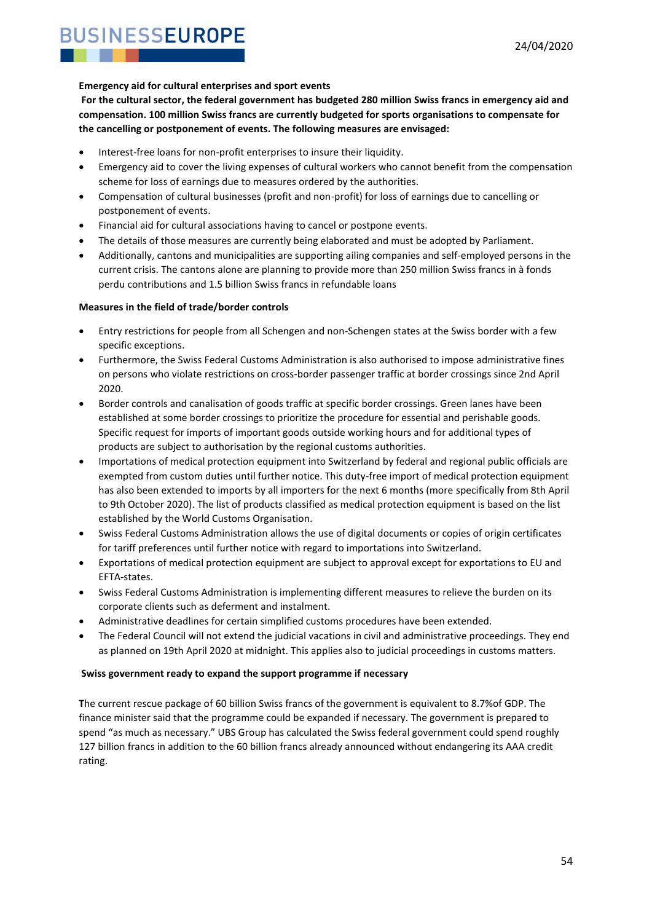#### **Emergency aid for cultural enterprises and sport events**

**For the cultural sector, the federal government has budgeted 280 million Swiss francs in emergency aid and compensation. 100 million Swiss francs are currently budgeted for sports organisations to compensate for the cancelling or postponement of events. The following measures are envisaged:**

- Interest-free loans for non-profit enterprises to insure their liquidity.
- Emergency aid to cover the living expenses of cultural workers who cannot benefit from the compensation scheme for loss of earnings due to measures ordered by the authorities.
- Compensation of cultural businesses (profit and non-profit) for loss of earnings due to cancelling or postponement of events.
- Financial aid for cultural associations having to cancel or postpone events.
- The details of those measures are currently being elaborated and must be adopted by Parliament.
- Additionally, cantons and municipalities are supporting ailing companies and self-employed persons in the current crisis. The cantons alone are planning to provide more than 250 million Swiss francs in à fonds perdu contributions and 1.5 billion Swiss francs in refundable loans

#### **Measures in the field of trade/border controls**

- Entry restrictions for people from all Schengen and non-Schengen states at the Swiss border with a few specific exceptions.
- Furthermore, the Swiss Federal Customs Administration is also authorised to impose administrative fines on persons who violate restrictions on cross-border passenger traffic at border crossings since 2nd April 2020.
- Border controls and canalisation of goods traffic at specific border crossings. Green lanes have been established at some border crossings to prioritize the procedure for essential and perishable goods. Specific request for imports of important goods outside working hours and for additional types of products are subject to authorisation by the regional customs authorities.
- Importations of medical protection equipment into Switzerland by federal and regional public officials are exempted from custom duties until further notice. This duty-free import of medical protection equipment has also been extended to imports by all importers for the next 6 months (more specifically from 8th April to 9th October 2020). The list of products classified as medical protection equipment is based on the list established by the World Customs Organisation.
- Swiss Federal Customs Administration allows the use of digital documents or copies of origin certificates for tariff preferences until further notice with regard to importations into Switzerland.
- Exportations of medical protection equipment are subject to approval except for exportations to EU and EFTA-states.
- Swiss Federal Customs Administration is implementing different measures to relieve the burden on its corporate clients such as deferment and instalment.
- Administrative deadlines for certain simplified customs procedures have been extended.
- The Federal Council will not extend the judicial vacations in civil and administrative proceedings. They end as planned on 19th April 2020 at midnight. This applies also to judicial proceedings in customs matters.

#### **Swiss government ready to expand the support programme if necessary**

**T**he current rescue package of 60 billion Swiss francs of the government is equivalent to 8.7%of GDP. The finance minister said that the programme could be expanded if necessary. The government is prepared to spend "as much as necessary." UBS Group has calculated the Swiss federal government could spend roughly 127 billion francs in addition to the 60 billion francs already announced without endangering its AAA credit rating.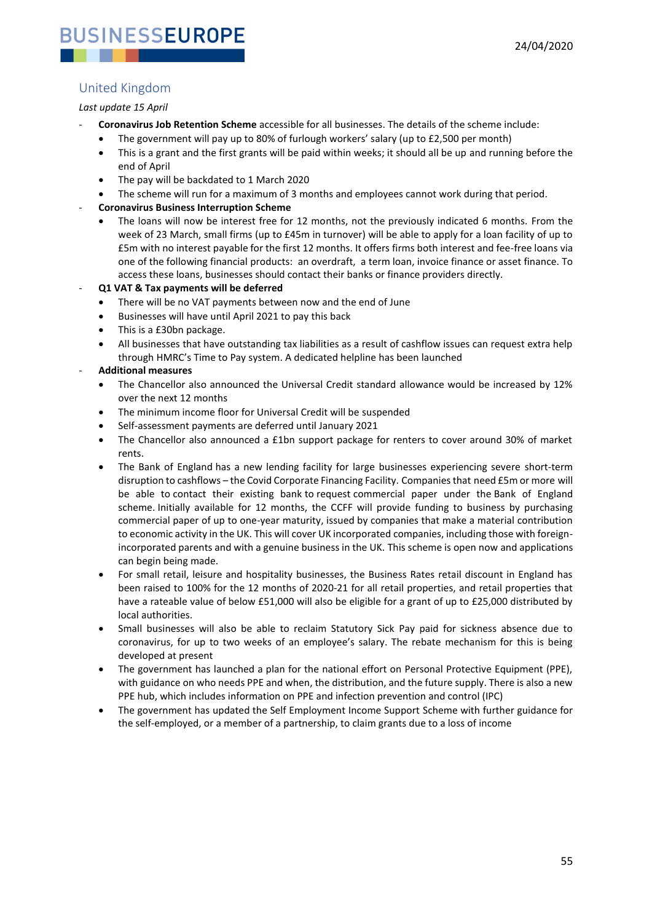### <span id="page-54-0"></span>United Kingdom

#### *Last update 15 April*

- **Coronavirus Job Retention Scheme** accessible for all businesses. The details of the scheme include:
	- The government will pay up to 80% of furlough workers' salary (up to £2,500 per month)
	- This is a grant and the first grants will be paid within weeks; it should all be up and running before the end of April
	- The pay will be backdated to 1 March 2020
	- The scheme will run for a maximum of 3 months and employees cannot work during that period.

#### - **Coronavirus Business Interruption Scheme**

The loans will now be interest free for 12 months, not the previously indicated 6 months. From the week of 23 March, small firms (up to £45m in turnover) will be able to apply for a loan facility of up to £5m with no interest payable for the first 12 months. It offers firms both interest and fee-free loans via one of the following financial products: an overdraft, a term loan, invoice finance or asset finance. To access these loans, businesses should contact their banks or finance providers directly.

#### - **Q1 VAT & Tax payments will be deferred**

- There will be no VAT payments between now and the end of June
- Businesses will have until April 2021 to pay this back
- This is a £30bn package.
- All businesses that have outstanding tax liabilities as a result of cashflow issues can request extra help through HMRC's Time to Pay system. A dedicated helpline has been launched

#### - **Additional measures**

- The Chancellor also announced the Universal Credit standard allowance would be increased by 12% over the next 12 months
- The minimum income floor for Universal Credit will be suspended
- Self-assessment payments are deferred until January 2021
- The Chancellor also announced a £1bn support package for renters to cover around 30% of market rents.
- The Bank of England has a new lending facility for large businesses experiencing severe short-term disruption to cashflows – the Covid Corporate Financing Facility. Companies that need £5m or more will be able to contact their existing bank to request commercial paper under the Bank of England scheme. Initially available for 12 months, the CCFF will provide funding to business by purchasing commercial paper of up to one-year maturity, issued by companies that make a material contribution to economic activity in the UK. This will cover UK incorporated companies, including those with foreignincorporated parents and with a genuine business in the UK. This scheme is open now and applications can begin being made.
- For small retail, leisure and hospitality businesses, the Business Rates retail discount in England has been raised to 100% for the 12 months of 2020-21 for all retail properties, and retail properties that have a rateable value of below £51,000 will also be eligible for a grant of up to £25,000 distributed by local authorities.
- Small businesses will also be able to reclaim Statutory Sick Pay paid for sickness absence due to coronavirus, for up to two weeks of an employee's salary. The rebate mechanism for this is being developed at present
- The government has launched a plan for the national effort on Personal Protective Equipment (PPE), with guidance on who needs PPE and when, the distribution, and the future supply. There is also a new PPE hub, which includes information on PPE and infection prevention and control (IPC)
- The government has updated the Self Employment Income Support Scheme with further guidance for the self-employed, or a member of a partnership, to claim grants due to a loss of income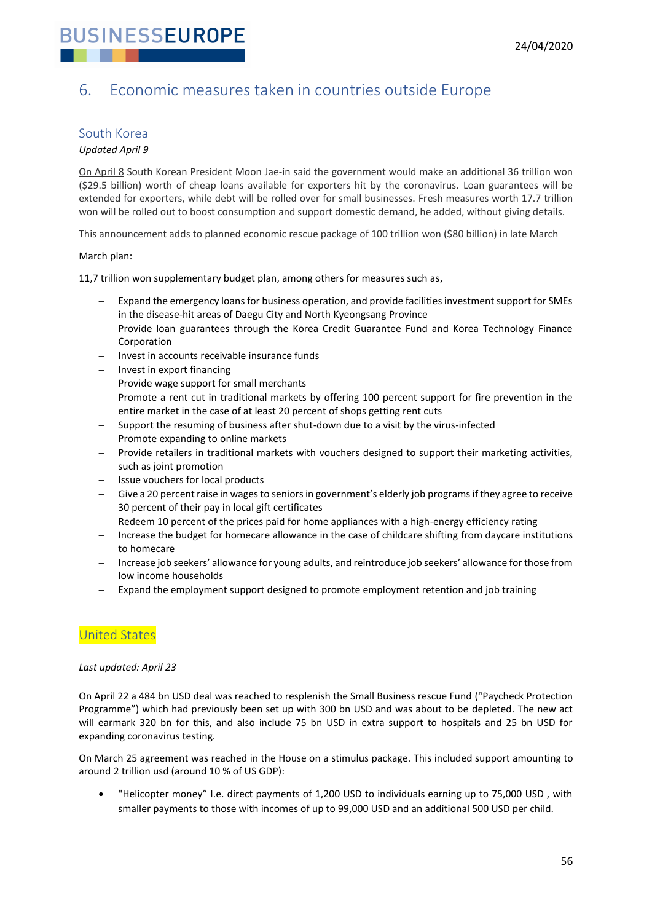

## <span id="page-55-0"></span>6. Economic measures taken in countries outside Europe

#### <span id="page-55-1"></span>South Korea

#### *Updated April 9*

On April 8 South Korean President Moon Jae-in said the government would make an additional 36 trillion won (\$29.5 billion) worth of cheap loans available for exporters hit by the coronavirus. Loan guarantees will be extended for exporters, while debt will be rolled over for small businesses. Fresh measures worth 17.7 trillion won will be rolled out to boost consumption and support domestic demand, he added, without giving details.

This announcement adds to planned economic rescue package of 100 trillion won (\$80 billion) in late March

#### March plan:

11,7 trillion won supplementary budget plan, among others for measures such as,

- Expand the emergency loans for business operation, and provide facilities investment support for SMEs in the disease-hit areas of Daegu City and North Kyeongsang Province
- Provide loan guarantees through the Korea Credit Guarantee Fund and Korea Technology Finance Corporation
- Invest in accounts receivable insurance funds
- Invest in export financing
- Provide wage support for small merchants
- Promote a rent cut in traditional markets by offering 100 percent support for fire prevention in the entire market in the case of at least 20 percent of shops getting rent cuts
- − Support the resuming of business after shut-down due to a visit by the virus-infected
- − Promote expanding to online markets
- Provide retailers in traditional markets with vouchers designed to support their marketing activities, such as joint promotion
- − Issue vouchers for local products
- Give a 20 percent raise in wages to seniors in government's elderly job programs if they agree to receive 30 percent of their pay in local gift certificates
- Redeem 10 percent of the prices paid for home appliances with a high-energy efficiency rating
- Increase the budget for homecare allowance in the case of childcare shifting from daycare institutions to homecare
- Increase job seekers' allowance for young adults, and reintroduce job seekers' allowance for those from low income households
- Expand the employment support designed to promote employment retention and job training

#### <span id="page-55-2"></span>United States

#### *Last updated: April 23*

On April 22 a 484 bn USD deal was reached to resplenish the Small Business rescue Fund ("Paycheck Protection Programme") which had previously been set up with 300 bn USD and was about to be depleted. The new act will earmark 320 bn for this, and also include 75 bn USD in extra support to hospitals and 25 bn USD for expanding coronavirus testing.

On March 25 agreement was reached in the House on a stimulus package. This included support amounting to around 2 trillion usd (around 10 % of US GDP):

• "Helicopter money" I.e. direct payments of 1,200 USD to individuals earning up to 75,000 USD , with smaller payments to those with incomes of up to 99,000 USD and an additional 500 USD per child.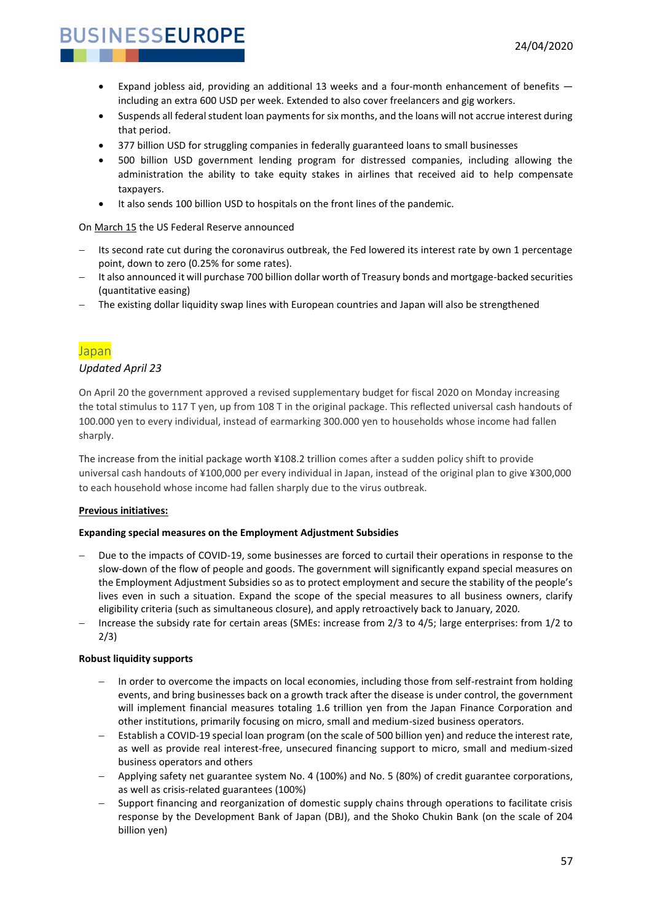- Expand jobless aid, providing an additional 13 weeks and a four-month enhancement of benefits including an extra 600 USD per week. Extended to also cover freelancers and gig workers.
- Suspends all federal student loan payments for six months, and the loans will not accrue interest during that period.
- 377 billion USD for struggling companies in federally guaranteed loans to small businesses
- 500 billion USD government lending program for distressed companies, including allowing the administration the ability to take equity stakes in airlines that received aid to help compensate taxpayers.
- It also sends 100 billion USD to hospitals on the front lines of the pandemic.

#### On March 15 the US Federal Reserve announced

- Its second rate cut during the coronavirus outbreak, the Fed lowered its interest rate by own 1 percentage point, down to zero (0.25% for some rates).
- − It also announced it will purchase 700 billion dollar worth of Treasury bonds and mortgage-backed securities (quantitative easing)
- The existing dollar liquidity swap lines with European countries and Japan will also be strengthened

#### <span id="page-56-0"></span>Japan

#### *Updated April 23*

On April 20 the government approved a revised supplementary budget for fiscal 2020 on Monday increasing the total stimulus to 117 T yen, up from 108 T in the original package. This reflected universal cash handouts of 100.000 yen to every individual, instead of earmarking 300.000 yen to households whose income had fallen sharply.

The increase from the initial package worth ¥108.2 trillion comes after a sudden policy shift to provide universal cash handouts of ¥100,000 per every individual in Japan, instead of the original plan to give ¥300,000 to each household whose income had fallen sharply due to the virus outbreak.

#### **Previous initiatives:**

#### **Expanding special measures on the Employment Adjustment Subsidies**

- Due to the impacts of COVID-19, some businesses are forced to curtail their operations in response to the slow-down of the flow of people and goods. The government will significantly expand special measures on the Employment Adjustment Subsidies so as to protect employment and secure the stability of the people's lives even in such a situation. Expand the scope of the special measures to all business owners, clarify eligibility criteria (such as simultaneous closure), and apply retroactively back to January, 2020.
- − Increase the subsidy rate for certain areas (SMEs: increase from 2/3 to 4/5; large enterprises: from 1/2 to 2/3)

#### **Robust liquidity supports**

- In order to overcome the impacts on local economies, including those from self-restraint from holding events, and bring businesses back on a growth track after the disease is under control, the government will implement financial measures totaling 1.6 trillion yen from the Japan Finance Corporation and other institutions, primarily focusing on micro, small and medium-sized business operators.
- − Establish a COVID-19 special loan program (on the scale of 500 billion yen) and reduce the interest rate, as well as provide real interest-free, unsecured financing support to micro, small and medium-sized business operators and others
- − Applying safety net guarantee system No. 4 (100%) and No. 5 (80%) of credit guarantee corporations, as well as crisis-related guarantees (100%)
- Support financing and reorganization of domestic supply chains through operations to facilitate crisis response by the Development Bank of Japan (DBJ), and the Shoko Chukin Bank (on the scale of 204 billion yen)